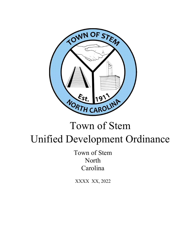

# Town of Stem Unified Development Ordinance

Town of Stem North Carolina

XXXX XX, 2022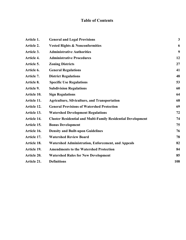# **Table of Contents**

| Article 1.  | <b>General and Legal Provisions</b>                                 | $\mathbf{3}$ |
|-------------|---------------------------------------------------------------------|--------------|
| Article 2.  | <b>Vested Rights &amp; Nonconformities</b>                          | 6            |
| Article 3.  | <b>Administrative Authorities</b>                                   | 9            |
| Article 4.  | <b>Administrative Procedures</b>                                    | 12           |
| Article 5.  | <b>Zoning Districts</b>                                             | 27           |
| Article 6.  | <b>General Regulations</b>                                          | 41           |
| Article 7.  | <b>District Regulations</b>                                         | 48           |
| Article 8.  | <b>Specific Use Regulations</b>                                     | 53           |
| Article 9.  | <b>Subdivision Regulations</b>                                      | 60           |
| Article 10. | <b>Sign Regulations</b>                                             | 64           |
| Article 11. | <b>Agriculture, Silviculture, and Transportation</b>                | 68           |
| Article 12. | <b>General Provisions of Watershed Protection</b>                   | 69           |
| Article 13. | <b>Watershed Development Regulations</b>                            | 72           |
| Article 14. | <b>Cluster Residential and Multi-Family Residential Development</b> | 74           |
| Article 15. | <b>Bonus Development</b>                                            | 75           |
| Article 16. | <b>Density and Built-upon Guidelines</b>                            | 76           |
| Article 17. | <b>Watershed Review Board</b>                                       | 78           |
| Article 18. | <b>Watershed Administration, Enforcement, and Appeals</b>           | 82           |
| Article 19. | <b>Amendments to the Watershed Protection</b>                       | 84           |
| Article 20. | <b>Watershed Rules for New Development</b>                          | 85           |
| Article 21. | <b>Definitions</b>                                                  | 108          |
|             |                                                                     |              |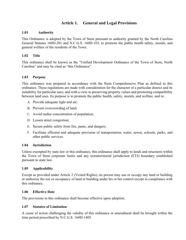# **Article 1. General and Legal Provisions**

#### **1.01 Authority**

This Ordinance is adopted by the Town of Stem pursuant to authority granted by the North Carolina General Statutes 160D-201 and N.C.G.S. 160D-103, to promote the public health safety, morals, and general welfare of the residents of the Town.

## **1.02 Title**

This ordinance shall be known as the "Unified Development Ordinance of the Town of Stem, North Carolina" and may be cited as "this Ordinance".

#### **1.03 Purpose**

This ordinance was prepared in accordance with the Stem Comprehensive Plan as defined in this ordinance. These regulations are made with consideration for the character of a particular district and its suitability for particular uses; and with a view to preserving property values and promoting compatibility between land uses. Its purpose is to promote the public health, safety, morals, and welfare, and to:

- A. Provide adequate light and air;
- B. Prevent overcrowding of land;
- C. Avoid undue concentration of population;
- D. Lessen street congestion;
- E. Secure public safety from fire, panic, and dangers;
- F. Facilitate efficient and adequate provision of transportation, water, sewer, schools, parks, and other public services.

#### **1.04 Jurisdiction**

Unless exempted by state law or this ordinance, this ordinance shall apply to lands and structures within the Town of Stem corporate limits and any extraterritorial jurisdiction (ETJ) boundary established pursuant to state law.

#### **1.05 Applicability**

Except as provided under Article 2 (Vested Rights), no person may use or occupy any land or building or authorize the use or occupancy of land or building under his or her control except in compliance with this ordinance.

#### **1.06 Effective Date**

The provisions in this ordinance shall become effective upon adoption.

#### **1.07 Statutes of Limitation**

A cause of action challenging the validity of this ordinance or amendment shall be brought within the time period prescribed by N.C.G.S. 160D-1405.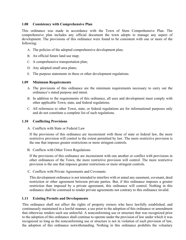#### **1.08 Consistency with Comprehensive Plan**

This ordinance was made in accordance with the Town of Stem Comprehensive Plan. The comprehensive plan includes any official document the town adopts to manage any aspect of development. The provisions of this ordinance were found to be consistent with one or more of the following:

- A. The policies of the adopted comprehensive development plan;
- B. An official future land use map;
- C. A comprehensive transportation plan;
- D. Any adopted small area plans;
- E. The purpose statements in these or other development regulations.

#### **1.09 Minimum Requirements**

- A. The provisions of this ordinance are the minimum requirements necessary to carry out the ordinance's stated purpose and intent.
- B. In addition to the requirements of this ordinance, all uses and development must comply with other applicable Town, state, and federal regulations.
- C. All references to other Town, state, or federal regulations are for informational purposes only and do not constitute a complete list of such regulations.

#### **1.10 Conflicting Provisions**

A. Conflicts with State or Federal Law

If the provisions of this ordinance are inconsistent with those of state or federal law, the more restrictive provision will control to the extent permitted by law. The more restrictive provision is the one that imposes greater restrictions or more stringent controls.

B. Conflicts with Other Town Regulations

If the provisions of this ordinance are inconsistent with one another or conflict with provisions in other ordinances of the Town, the more restrictive provision will control. The more restrictive provision is the one that imposes greater restrictions or more stringent controls.

C. Conflicts with Private Agreements and Covenants

This development ordinance is not intended to interfere with or annul any easement, covenant, deed restriction or other agreement between private parties. But, if this ordinance imposes a greater restriction than imposed by a private agreement, this ordinance will control. Nothing in this ordinance shall be construed to render private agreements not contrary to this ordinance invalid.

# **1.11 Existing Permits and Developments**

This ordinance shall not affect the rights of property owners who have lawfully established, and continuously maintained in a lawful manner, a use prior to the adoption of this ordinance or amendment that otherwise renders such use unlawful. A nonconforming use or structure that was recognized prior to the adoption of this ordinance shall continue to operate under the provision of law under which it was recognized so long as the nonconforming use or structure is not in violation of such provision of law, the adoption of this ordinance notwithstanding. Nothing in this ordinance prohibits the voluntary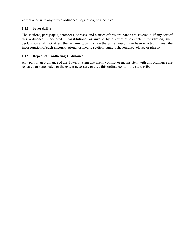compliance with any future ordinance, regulation, or incentive.

# **1.12 Severability**

The sections, paragraphs, sentences, phrases, and clauses of this ordinance are severable. If any part of this ordinance is declared unconstitutional or invalid by a court of competent jurisdiction, such declaration shall not affect the remaining parts since the same would have been enacted without the incorporation of such unconstitutional or invalid section, paragraph, sentence, clause or phrase.

# **1.13 Repeal of Conflicting Ordinance**

Any part of an ordinance of the Town of Stem that are in conflict or inconsistent with this ordinance are repealed or superseded to the extent necessary to give this ordinance full force and effect.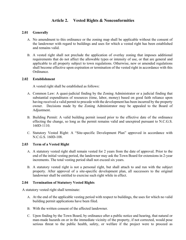# **Article 2. Vested Rights & Nonconformities**

#### **2.01 Generally**

- A. No amendment to this ordinance or the zoning map shall be applicable without the consent of the landowner with regard to buildings and uses for which a vested right has been established and remains valid.
- B. A vested right shall not preclude the application of overlay zoning that imposes additional requirements that do not affect the allowable types or intensity of use, or that are general and applicable to all property subject to town regulations. Otherwise, new or amended regulations shall become effective upon expiration or termination of the vested right in accordance with this Ordinance.

#### **2.02 Establishment**

A vested right shall be established as follows:

- A. Common Law: A quasi-judicial finding by the Zoning Administrator or a judicial finding that substantial expenditures of resources (time, labor, money) based on good faith reliance upon having received a valid permit to precede with the development has been incurred by the property owner. Decisions made by the Zoning Administrator may be appealed to the Board of Adjustment.
- B. Building Permit: A valid building permit issued prior to the effective date of the ordinance effecting the change, so long as the permit remains valid and unexpired pursuant to N.C.G.S. 160D-1110.
- C. Statutory Vested Right: A "Site-specific Development Plan" approved in accordance with N.C.G.S. 160D-108.

#### **2.03 Term of a Vested Right**

- A. A statutory vested right shall remain vested for 2 years from the date of approval. Prior to the end of the initial vesting period, the landowner may ask the Town Board for extensions in 2-year increments. The total vesting period shall not exceed six years.
- B. A statutory vested right is not a personal right, but shall attach to and run with the subject property. After approval of a site-specific development plan, all successors to the original landowner shall be entitled to exercise such right while in effect.

#### **2.04 Termination of Statutory Vested Rights**

A statutory vested right shall terminate:

- A. At the end of the applicable vesting period with respect to buildings, the uses for which no valid building permit applications have been filed.
- B. With the written consent of the affected landowner.
- C. Upon finding by the Town Board, by ordinance after a public notice and hearing, that natural or man-made hazards on or in the immediate vicinity of the property, if not corrected, would pose serious threat to the public health, safety, or welfare if the project were to proceed as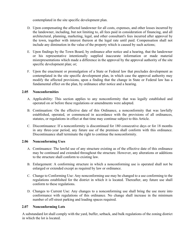contemplated in the site specific development plan.

- D. Upon compensating the affected landowner for all costs, expenses, and other losses incurred by the landowner, including, but not limiting to, all fees paid in consideration of financing, and all architectural, planning, marketing, legal, and other consultant's fees incurred after approval by the town, together with interest thereon at the legal rate until paid. Compensation shall not include any diminution in the value of the property which is caused by such actions;
- E. Upon findings by the Town Board, by ordinance after notice and a hearing, that the landowner or his representative intentionally supplied inaccurate information or made material misrepresentations which made a difference in the approval by the approval authority of the site specific development plan; or;
- F. Upon the enactment or promulgation of a State or Federal law that precludes development as contemplated in the site specific development plan, in which case the approval authority may modify the affected provisions, upon a finding that the change in State or Federal law has a fundamental effect on the plan, by ordinance after notice and a hearing.

# **2.05 Nonconformities**

- A. Applicability: This section applies to any nonconformity that was legally established and operated on or before these regulations or amendments were adopted.
- B. Continuation: On the effective date of this Ordinance, a nonconformity that was lawfully established, operated, or commenced in accordance with the provisions of all ordinances, statutes, or regulations in effect at that time may continue subject to this Article.
- C. Discontinuance: If a nonconformity is discontinued for 180 consecutive days or for 18 months in any three-year period, any future use of the premises shall conform with this ordinance. Discontinuance shall terminate the right to continue the nonconformity.

# **2.06 Nonconforming Uses**

- A. Continuance: The lawful use of any structure existing as of the effective date of this ordinance may be continued and extended throughout the structure. However, any alterations or additions to the structure shall conform to existing law.
- B. Enlargement: A conforming structure in which a nonconforming use is operated shall not be enlarged or extended except as required by law or ordinance.
- C. Change to Conforming Use: Any nonconforming use may be changed to a use conforming to the regulations established for the district in which it is located. Thereafter, any future use shall conform to these regulations.
- D. Changes to Current Use: Any changes to a nonconforming use shall bring the use more into conformance with regulations of this ordinance. No change shall increase in the minimum number of off-street parking and loading spaces required.

# **2.07 Nonconforming Lots**

A substandard lot shall comply with the yard, buffer, setback, and bulk regulations of the zoning district in which the lot is located.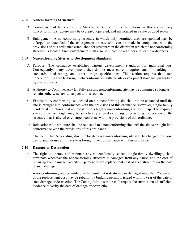#### **2.08 Nonconforming Structures**

- A. Continuance of Nonconforming Structures: Subject to the limitations in this section, any nonconforming structure may be occupied, operated, and maintained in a state of good repair.
- B. Enlargement: A nonconforming structure in which only permitted uses are operated may be enlarged or extended if the enlargement or extension can be made in compliance with the provisions of this ordinance established for structures in the district in which the nonconforming structure is located. Such enlargement shall also be subject to all other applicable ordinances.

## **2.09 Nonconforming Sites as to Development Standards**

- A. Purpose*:* The ordinance establishes various development standards for individual lots. Consequently, many development sites do not meet current requirements for parking lot standards, landscaping, and other design specifications. This section requires that such nonconforming sites be brought into conformance with the site development standards prescribed by this ordinance.
- B. Authority to Continue: Any lawfully existing nonconforming site may be continued so long as it remains otherwise lawful subject to this section.
- C. Extension: A conforming use located on a nonconforming site shall not be expanded until the site is brought into conformance with the provisions of this ordinance. However, single-family residential structures that are located on a legally nonconforming site with respect to required yards, areas, or height may be structurally altered or enlarged, providing the portion of the structure that is altered or enlarged conforms with the provisions of this ordinance.
- D. Relocations: No structure shall be relocated to a nonconforming site until the site is brought into conformance with the provisions of this ordinance.
- E. Change in Use: No existing structure located on a nonconforming site shall be changed from one use to another use until the site is brought into conformance with this ordinance.

#### **2.10 Damage or Destruction**

- A. The right to operate and maintain any nonconformity, except single-family dwellings, shall terminate whenever the nonconforming structure is damaged from any cause, and the cost of repairing such damage exceeds 25 percent of the replacement cost of such structure on the date of such damage.
- B. A nonconforming single-family dwelling unit that is destroyed or damaged more than 25 percent of the replacement cost may be rebuilt, if a building permit is issued within 1 year of the date of such damage or destruction. The Zoning Administrator shall require the submission of sufficient evidence to verify the date of damage or destruction.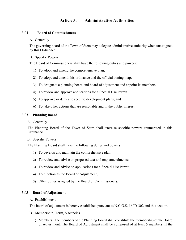# **Article 3. Administrative Authorities**

#### **3.01 Board of Commissioners**

#### A. Generally

The governing board of the Town of Stem may delegate administrative authority when unassigned by this Ordinance.

#### B. Specific Powers

The Board of Commissioners shall have the following duties and powers:

- 1) To adopt and amend the comprehensive plan;
- 2) To adopt and amend this ordinance and the official zoning map;
- 3) To designate a planning board and board of adjustment and appoint its members;
- 4) To review and approve applications for a Special Use Permit
- 5) To approve or deny site specific development plans; and
- 6) To take other actions that are reasonable and in the public interest.

#### **3.02 Planning Board**

#### A. Generally

The Planning Board of the Town of Stem shall exercise specific powers enumerated in this Ordinance.

#### B. Specific Powers

The Planning Board shall have the following duties and powers:

- 1) To develop and maintain the comprehensive plan;
- 2) To review and advise on proposed text and map amendments;
- 3) To review and advise on applications for a Special Use Permit;
- 4) To function as the Board of Adjustment;
- 5) Other duties assigned by the Board of Commissioners.

# **3.03 Board of Adjustment**

#### A. Establishment

The board of adjustment is hereby established pursuant to N.C.G.S. 160D-302 and this section.

#### B. Membership, Term, Vacancies

1) Members: The members of the Planning Board shall constitute the membership of the Board of Adjustment. The Board of Adjustment shall be composed of at least 5 members. If the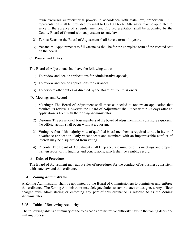town exercises extraterritorial powers in accordance with state law, proportional ETJ representation shall be provided pursuant to GS 160D-302. Alternates may be appointed to serve in the absence of a regular member. ETJ representation shall be appointed by the County Board of Commissioners pursuant to state law.

- 2) Terms: Seats on the Board of Adjustment shall have a term of 4 years.
- 3) Vacancies: Appointments to fill vacancies shall be for the unexpired term of the vacated seat on the board.
- C. Powers and Duties

The Board of Adjustment shall have the following duties:

- 1) To review and decide applications for administrative appeals;
- 2) To review and decide applications for variances;
- 3) To perform other duties as directed by the Board of Commissioners.

D. Meetings and Record

- 1) Meetings: The Board of Adjustment shall meet as needed to review an application that requires its review. However, the Board of Adjustment shall meet within 45 days after an application is filed with the Zoning Administrator.
- 2) Quorum: The presence of four members of the board of adjustment shall constitute a quorum. No official action shall occur without a quorum.
- 3) Voting: A four-fifth majority vote of qualified board members is required to rule in favor of a variance application. Only vacant seats and members with an impermissible conflict of interest may be disqualified from voting.
- 4) Records: The Board of Adjustment shall keep accurate minutes of its meetings and prepare written report of its findings and conclusions, which shall be a public record.
- E. Rules of Procedure

The Board of Adjustment may adopt rules of procedures for the conduct of its business consistent with state law and this ordinance.

#### **3.04 Zoning Administrator**

A Zoning Administrator shall be appointed by the Board of Commissioners to administer and enforce this ordinance. The Zoning Administrator may delegate duties to subordinates or designees. Any officer charged with administering or enforcing any part of this ordinance is referred to as the Zoning Administrator.

#### **3.05 Table of Reviewing Authority**

The following table is a summary of the roles each administrative authority have in the zoning decisionmaking process: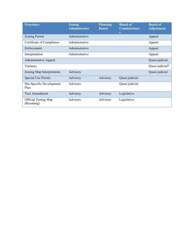| <b>Procedure</b>                  | <b>Zoning</b><br><b>Administrator</b> | <b>Planning</b><br><b>Board</b> | <b>Board of</b><br><b>Commissioner</b><br>S | <b>Board of</b><br><b>Adjustment</b> |
|-----------------------------------|---------------------------------------|---------------------------------|---------------------------------------------|--------------------------------------|
| <b>Zoning Permit</b>              | Administrative                        |                                 |                                             | Appeal                               |
| Certificate of Compliance         | Administrative                        |                                 |                                             | Appeal                               |
| Enforcement                       | Administrative                        |                                 |                                             | Appeal                               |
| Interpretation                    | Administrative                        |                                 |                                             | Appeal                               |
| <b>Administrative Appeal</b>      |                                       |                                 |                                             | Quasi-judicial                       |
| Variance                          |                                       |                                 |                                             | Quasi-judicial*                      |
| Zoning Map Interpretation         | Advisory                              |                                 |                                             | Quasi-judicial                       |
| <b>Special Use Permit</b>         | Advisory                              | Advisory                        | Quasi-judicial                              |                                      |
| Site Specific Development<br>Plan | Advisory                              |                                 | Quasi-judicial                              |                                      |
| <b>Text Amendment</b>             | Advisory                              | Advisory                        | Legislative                                 |                                      |
| Official Zoning Map<br>(Rezoning) | Advisory                              | Advisory                        | Legislative                                 |                                      |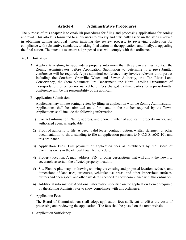# **Article 4. Administrative Procedures**

The purpose of this chapter is to establish procedures for filing and processing applications for zoning approval. This article is formatted to allow users to quickly and efficiently ascertain the steps involved in obtaining zoning approval—from initiating the review process, to reviewing application for compliance with substantive standards, to taking final action on the application, and finally, to appealing the final action. The intent is to ensure all proposed uses will comply with this ordinance.

#### **4.01 Initiation**

- A. Applicants wishing to subdivide a property into more than three parcels must contact the Zoning Administrator before Application Submission to determine if a pre-submittal conference will be required. A pre-submittal conference may involve relevant third parties including the Southern Granville Water and Sewer Authority, the Tar River Land Conservancy, the Stem Volunteer Fire Department, the North Carolina Department of Transportation, or others not named here. Fees charged by third parties for a pre-submittal conference will be the responsibility of the applicant.
- B. Application Submission

Applicants may initiate zoning review by filing an application with the Zoning Administrator. Applications shall be submitted on a form and in the number required by the Town. Applications shall include the following information:

- 1) Contact information: Name, address, and phone number of applicant, property owner, and authorized agent as applicable.
- 2) Proof of authority to file: A deed, valid lease, contract, option, written statement or other documentation to show standing to file an application pursuant to N.C.G.S.160D-101 and this ordinance.
- 3) Application Fees: Full payment of application fees as established by the Board of Commissioners in the official Town fee schedule.
- 4) Property location: A map, address, PIN, or other descriptions that will allow the Town to accurately ascertain the affected property location.
- 5) Site Plan: A plat, map, or drawing showing the existing and proposed location, setback, and dimensions of land uses, structures, vehicular use areas, and other impervious surfaces, buffers and open space, and other site details needed to show compliance with this ordinance.
- 6) Additional information: Additional information specified on the application form or required by the Zoning Administrator to show compliance with this ordinance.
- C. Application Fees

The Board of Commissioners shall adopt application fees sufficient to offset the costs of processing and reviewing the application. The fees shall be posted on the town website.

D. Application Sufficiency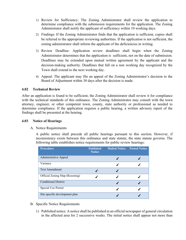- 1) Review for Sufficiency: The Zoning Administrator shall review the application to determine compliance with the submission requirements for the application. The Zoning Administrator shall notify the applicant of sufficiency within 10 working days.
- 2) Findings: If the Zoning Administrator finds that the application is sufficient, copies shall be referred to the appropriate reviewing authorities. If the application is not sufficient, the zoning administrator shall inform the applicant of the deficiencies in writing.
- 3) Review Deadline: Application review deadlines shall begin when the Zoning Administrator determines that the application is sufficient, not on the date of submission. Deadlines may be extended upon mutual written agreement by the applicant and the decision-making authority. Deadlines that fall on a non working day recognized by the Town shall extend to the next working day.
- 4) Appeal: The applicant may file an appeal of the Zoning Administrator's decision to the Board of Adjustment within 30 days after the decision is made.

# **4.02 Technical Review**

After an application is found to be sufficient, the Zoning Administrator shall review it for compliance with the technical standards of this ordinance. The Zoning Administrator may consult with the town attorney, engineer, or other competent town, county, state authority or professional as needed to determine compliance. If the application requires a public hearing, a written advisory report of the findings shall be presented at the hearing.

## **4.03 Notice of Hearings**

#### A. Notice Requirements

A public notice shall precede all public hearings pursuant to this section. However, if inconsistency exists between this ordinance and state statute, the state statute governs. The following table establishes notice requirements for public review hearings:

| <b>Procedure</b>               | <b>Published</b><br><b>Notice</b> | <b>Mailed Notice Posted Notice</b> |  |
|--------------------------------|-----------------------------------|------------------------------------|--|
| Administrative Appeal          |                                   |                                    |  |
| Variance                       |                                   |                                    |  |
| <b>Text Amendment</b>          |                                   |                                    |  |
| Official Zoning Map (Rezoning) |                                   |                                    |  |
| <b>Conditional District</b>    |                                   |                                    |  |
| Special Use Permit             |                                   |                                    |  |
| Site specific development plan |                                   |                                    |  |

- B. Specific Notice Requirements
	- 1) Published notice: A notice shall be published in an official newspaper of general circulation in the affected area for 2 successive weeks. The initial notice shall appear not more than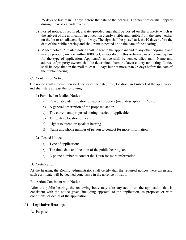25 days or less than 10 days before the date of the hearing. The next notice shall appear during the next calendar week.

- 2) Posted notice: If required, a water-proofed sign shall be posted on the property which is the subject of the application in a location clearly visible and legible from the street, either on the lot or an adjacent right-of-way. The sign shall be posted at least 10 days before the date of the public hearing and shall remain posted up to the date of the hearing.
- 3) Mailed notice: A mailed notice shall be sent to the applicant and to any other adjoining and nearby property owners within 1000 feet, as specified in this ordinance or otherwise by law for the type of application. Applicant's notice shall be sent certified mail. Name and address of property owners shall be determined from the latest county tax listing. Notice shall be deposited in the mail at least 10 days but not more than 25 days before the date of the public hearing.
- C. Contents of Notice

The notice shall inform interested parties of the date, time, location, and subject of the application and shall state at least the following:

- 1) Published or Mailed Notice
	- a) Reasonable identification of subject property (map, description, PIN, etc.)
	- b) A general description of the proposed action
	- c) The current and proposed zoning district, if applicable
	- d) Time, date, location of hearing
	- e) Rights to attend or speak at hearing
	- f) Name and phone number of person to contact for more information
- 2) Posted Notice
	- a) Type of application;
	- b) The time, date and location of the public hearing; and
	- c) A phone number to contact the Town for more information.
- D. Certification

At the hearing, the Zoning Administrator shall certify that the required notices were given and such certificate will be deemed conclusive in the absence of fraud.

E. Action Consistent with Notice

After the public hearing, the reviewing body may take any action on the application that is consistent with the notice given, including approval of the application, as proposed or with conditions, or denial of the application.

#### **4.04 Legislative Hearings**

A. Purpose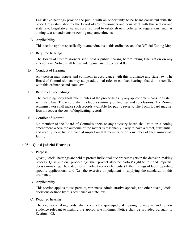Legislative hearings provide the public with an opportunity to be heard consistent with the procedures established by the Board of Commissioners and consistent with this section and state law. Legislative hearings are required to establish new policies or regulations, such as zoning text amendments or zoning map amendments.

B. Applicability

This section applies specifically to amendments to this ordinance and the Official Zoning Map.

C. Required hearings

The Board of Commissioners shall hold a public hearing before taking final action on any amendment. Notice shall be provided pursuant to Section 4.03.

D. Conduct of Hearing

Any person may appear and comment in accordance with this ordinance and state law. The Board of Commissioners may adopt additional rules to conduct hearings that do not conflict with this ordinance and state law.

E. Record of Proceedings

The presiding body shall take minutes of the proceedings by any appropriate means consistent with state law. The record shall include a summary of findings and conclusions. The Zoning Administrator shall make such records available for public review. The Town Board may set fees to recover the cost of duplicating records.

F. Conflict of Interest

No member of the Board of Commissioners or any advisory board shall vote on a zoning amendment where the outcome of the matter is reasonably likely to have a direct, substantial, and readily identifiable financial impact on that member or on a member of their immediate family.

#### **4.05 Quasi-judicial Hearings**

A. Purpose

Quasi-judicial hearings are held to protect individual due process rights in the decision-making process. Quasi-judicial proceedings shall protect affected parties' right to fair and impartial decision-making. These decisions involve two key elements: (1) the findings of facts regarding specific applications; and (2) the exercise of judgment in applying the standards of this ordinance.

B. Applicability

This section applies to use permits, variances, administrative appeals, and other quasi-judicial decisions defined by this ordinance or state law.

C. Required hearing

The decision-making body shall conduct a quasi-judicial hearing to receive and review evidence relevant to making the appropriate findings. Notice shall be provided pursuant to Section 4.03.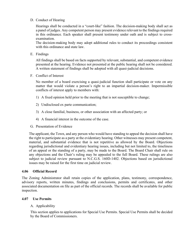# D. Conduct of Hearing

Hearings shall be conducted in a "court-like" fashion. The decision-making body shall act as a panel of judges. Any competent person may present evidence relevant to the findings required in this ordinance. Each speaker shall present testimony under oath and is subject to crossexamination.

The decision-making body may adopt additional rules to conduct its proceedings consistent with this ordinance and state law.

E. Findings

All findings shall be based on facts supported by relevant, substantial, and competent evidence presented at the hearing. Evidence not presented at the public hearing shall not be considered. A written statement of findings shall be adopted with all quasi-judicial decisions.

F. Conflict of Interest

No member of a board exercising a quasi-judicial function shall participate or vote on any matter that would violate a person's right to an impartial decision-maker. Impermissible conflicts of interest apply to members with:

- 1) A fixed opinion held prior to the meeting that is not susceptible to change;
- 2) Undisclosed ex parte communication;
- 3) A close familial, business, or other association with an affected party; or
- 4) A financial interest in the outcome of the case.
- G. Presentation of Evidence

The applicant, the Town, and any person who would have standing to appeal the decision shall have the right to participate as a party at the evidentiary hearing. Other witnesses may present competent, material, and substantial evidence that is not repetitive as allowed by the Board. Objections regarding jurisdictional and evidentiary hearing issues, including but not limited to, the timeliness of an appeal or the standing of a party, may be made to the Board. The Board Chair shall rule on any objections and the Chair's ruling may be appealed to the full Board. These rulings are also subject to judicial review pursuant to N.C.G.S. 160D-1402. Objections based on jurisdictional issues may be raised for the first time on judicial review.

#### **4.06 Official Record**

The Zoning Administrator shall retain copies of the application, plans, testimony, correspondence, advisory reports, written minutes, findings and conclusions, permits and certificates, and other associated documentation on file as part of the official records. The records shall be available for public inspection.

#### **4.07 Use Permits**

#### A. Applicability

This section applies to applications for Special Use Permits. Special Use Permits shall be decided by the Board of Commissioners.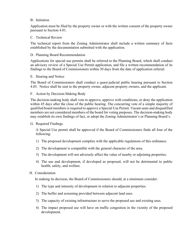#### B. Initiation

Application must be filed by the property owner or with the written consent of the property owner pursuant to Section 4.01.

#### C. Technical Review

The technical report from the Zoning Administrator shall include a written summary of facts established by the documentation submitted with the application.

#### D. Planning Board Recommendation

Applications for special use permits shall be referred to the Planning Board, which shall conduct an advisory review of a Special Use Permit application, and file a written recommendation of its findings to the Board of Commissioners within 30 days from the date of application referral.

#### E. Hearing and Notice

The Board of Commissioners shall conduct a quasi-judicial public hearing pursuant to Section 4.05. Notice shall be sent to the property owner, adjacent property owners, and the applicant.

#### F. Action by Decision-Making Body

The decision-making body shall vote to approve, approve with conditions, or deny the application within 45 days after the close of the public hearing. The concurring vote of a simple majority of qualified board members is required to approve a Special Use Permit. Vacant seats and disqualified members are not considered members of the board for voting purposes. The decision-making body may establish its own findings of fact, or adopt the Zoning Administrator's or Planning Board's.

#### G. Required Findings

A Special Use permit shall be approved if the Board of Commissioners finds all four of the following:

- 1) The proposed development complies with the applicable regulations of this ordinance.
- 2) The development is compatible with the general character of the area.
- 3) The development will not adversely affect the value of nearby or adjoining properties.
- 4) The use and development, if developed as proposed, will not be detrimental to public health, safety, and welfare.

#### H. Consideration

In making its decision, the Board of Commissioners should, at a minimum consider:

- 1) The type and intensity of development in relation to adjacent properties.
- 2) The buffer and screening provided between adjacent land uses.
- 3) The capacity of existing infrastructure to serve the proposed use and existing uses.
- 4) The impact proposed use will have on traffic congestion in the vicinity of the proposed development.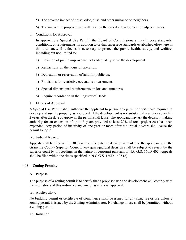- 5) The adverse impact of noise, odor, dust, and other nuisance on neighbors.
- 6) The impact the proposed use will have on the orderly development of adjacent areas.
- I. Conditions for Approval

In approving a Special Use Permit, the Board of Commissioners may impose standards, conditions, or requirements, in addition to or that supersede standards established elsewhere in this ordinance, if it deems it necessary to protect the public health, safety, and welfare, including but not limited to:

- 1) Provision of public improvements to adequately serve the development
- 2) Restrictions on the hours of operation.
- 3) Dedication or reservation of land for public use.
- 4) Provisions for restrictive covenants or easements.
- 5) Special dimensional requirements on lots and structures.
- 6) Require recordation in the Register of Deeds.
- J. Effects of Approval

A Special Use Permit shall authorize the applicant to pursue any permit or certificate required to develop and use the property as approved. If the development is not substantially underway within 2 years after the date of approval, the permit shall lapse. The applicant may ask the decision-making authority for an extension of up to 5 years provided at least 20% of total project cost has been expended. Any period of inactivity of one year or more after the initial 2 years shall cause the permit to lapse.

#### K. Judicial Review

Appeals shall be filed within 30 days from the date the decision is mailed to the applicant with the Granville County Superior Court. Every quasi-judicial decision shall be subject to review by the superior court by proceedings in the nature of certiorari pursuant to N.C.G.S. 160D-402. Appeals shall be filed within the times specified in N.C.G.S. 160D-1405 (d).

# **4.08 Zoning Permits**

#### A. Purpose

The purpose of a zoning permit is to certify that a proposed use and development will comply with the regulations of this ordinance and any quasi-judicial approval.

#### B. Applicability:

No building permit or certificate of compliance shall be issued for any structure or use unless a zoning permit is issued by the Zoning Administrator. No change in use shall be permitted without a zoning permit.

#### C. Initiation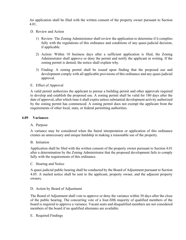An application shall be filed with the written consent of the property owner pursuant to Section 4.01.

- D. Review and Action
	- 1) Review: The Zoning Administrator shall review the application to determine if it complies fully with the regulations of this ordinance and conditions of any quasi-judicial decision, if applicable.
	- 2) Action: Within 10 business days after a sufficient application is filed, the Zoning Administrator shall approve or deny the permit and notify the applicant in writing. If the zoning permit is denied, the notice shall explain why.
	- 3) Finding: A zoning permit shall be issued upon finding that the proposed use and development comply with all applicable provisions of this ordinance and any quasi-judicial approval.
- E. Effect of Approval

A valid permit authorizes the applicant to pursue a building permit and other approvals required to develop and establish the proposed use. A zoning permit shall be valid for 180 days after the date of approval, after which time it shall expire unless substantial development activity authorized by the zoning permit has commenced. A zoning permit does not exempt the applicant from the requirements of other local, state, or federal permitting authorities.

#### **4.09 Variances**

#### A. Purpose

A variance may be considered when the literal interpretation or application of this ordinance creates an unnecessary and unique hardship in making a reasonable use of the property.

#### B. Initiation

Application shall be filed with the written consent of the property owner pursuant to Section 4.01 after a determination by the Zoning Administrator that the proposed development fails to comply fully with the requirements of this ordinance.

#### C. Hearing and Notice

A quasi-judicial public hearing shall be conducted by the Board of Adjustment pursuant to Section 4.05. A mailed notice shall be sent to the applicant, property owner, and the adjacent property owners.

#### D. Action by Board of Adjustment

The Board of Adjustment shall vote to approve or deny the variance within 30 days after the close of the public hearing. The concurring vote of a four-fifth majority of qualified members of the board is required to approve a variance. Vacant seats and disqualified members are not considered members of the board if no qualified alternates are available.

#### E. Required Findings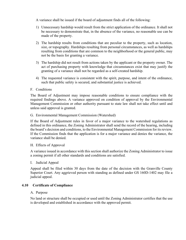A variance shall be issued if the board of adjustment finds all of the following:

- 1) Unnecessary hardship would result from the strict application of the ordinance. It shall not be necessary to demonstrate that, in the absence of the variance, no reasonable use can be made of the property.
- 2) The hardship results from conditions that are peculiar to the property, such as location, size, or topography. Hardships resulting from personal circumstances, as well as hardships resulting from conditions that are common to the neighborhood or the general public, may not be the basis for granting a variance.
- 3) The hardship did not result from actions taken by the applicant or the property owner. The act of purchasing property with knowledge that circumstances exist that may justify the granting of a variance shall not be regarded as a self-created hardship.
- 4) The requested variance is consistent with the spirit, purpose, and intent of the ordinance, such that public safety is secured, and substantial justice is achieved.

# F. Conditions

The Board of Adjustment may impose reasonable conditions to ensure compliance with the required findings above. A variance approved on condition of approval by the Environmental Management Commission or other authority pursuant to state law shall not take effect until and unless said approval is granted.

#### G. Environmental Management Commission (Watershed)

If the Board of Adjustment rules in favor of a major variance to the watershed regulations as defined in this ordinance, the Zoning Administrator shall send the record of the hearing, including the board's decision and conditions, to the Environmental Management Commission for its review. If the Commission finds that the application is for a major variance and denies the variance, the variance shall be denied.

#### H. Effects of Approval

A variance issued in accordance with this section shall authorize the Zoning Administrator to issue a zoning permit if all other standards and conditions are satisfied.

#### I. Judicial Appeal

Appeal shall be filed within 30 days from the date of the decision with the Granville County Superior Court. Any aggrieved person with standing as defined under GS 160D-1402 may file a judicial appeal.

#### **4.10 Certificate of Compliance**

#### A. Purpose

No land or structure shall be occupied or used until the Zoning Administrator certifies that the use is developed and established in accordance with the approved permit.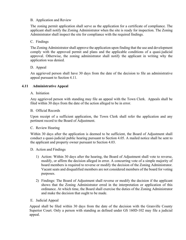## B. Application and Review

The zoning permit application shall serve as the application for a certificate of compliance. The applicant shall notify the Zoning Administrator when the site is ready for inspection. The Zoning Administrator shall inspect the site for compliance with the required findings.

#### C. Findings

The Zoning Administrator shall approve the application upon finding that the use and development comply with the approved permit and plans and the applicable conditions of a quasi-judicial approval. Otherwise, the zoning administrator shall notify the applicant in writing why the application was denied.

#### D. Appeal

An aggrieved person shall have 30 days from the date of the decision to file an administrative appeal pursuant to Section 4.11.

# **4.11 Administrative Appeal**

#### A. Initiation

Any aggrieved person with standing may file an appeal with the Town Clerk. Appeals shall be filed within 30 days from the date of the action alleged to be in error.

#### B. Official Records

Upon receipt of a sufficient application, the Town Clerk shall refer the application and any pertinent record to the Board of Adjustment.

#### C. Review Hearing

Within 30 days after the application is deemed to be sufficient, the Board of Adjustment shall conduct a quasi-judicial public hearing pursuant to Section 4.05. A mailed notice shall be sent to the applicant and property owner pursuant to Section 4.03.

#### D. Action and Findings

- 1) Action: Within 30 days after the hearing, the Board of Adjustment shall vote to reverse, modify, or affirm the decision alleged in error. A concurring vote of a simple majority of board members is required to reverse or modify the decision of the Zoning Administrator. Vacant seats and disqualified members are not considered members of the board for voting purposes.
- 2) Findings: The Board of Adjustment shall reverse or modify the decision if the applicant shows that the Zoning Administrator erred in the interpretation or application of this ordinance. At which time, the Board shall exercise the duties of the Zoning Administrator and make the decision that ought to be made.

#### E. Judicial Appeal

Appeal shall be filed within 30 days from the date of the decision with the Granville County Superior Court. Only a person with standing as defined under GS 160D-102 may file a judicial appeal.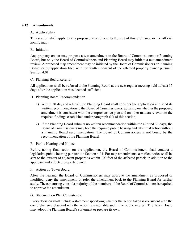# **4.12 Amendments**

## A. Applicability

This section shall apply to any proposed amendment to the text of this ordinance or the official zoning map.

#### B. Initiation

Any property owner may propose a text amendment to the Board of Commissioners or Planning Board, but only the Board of Commissioners and Planning Board may initiate a text amendment review. A proposed map amendment may be initiated by the Board of Commissioners or Planning Board, or by application filed with the written consent of the affected property owner pursuant Section 4.01.

#### C. Planning Board Referral

All applications shall be referred to the Planning Board at the next regular meeting held at least 15 days after the application was deemed sufficient.

#### D. Planning Board Recommendation

- 1) Within 30 days of referral, the Planning Board shall consider the application and send its written recommendation to the Board of Commissioners, advising on whether the proposed amendment is consistent with the comprehensive plan and on other matters relevant to the required findings established under paragraph (H) of this section.
- 2) If the Planning Board submits no written recommendation within the allotted 30 days, the Board of Commissioners may hold the required public hearing and take final action without a Planning Board recommendation. The Board of Commissioners is not bound by the recommendation of the Planning Board.

#### E. Public Hearing and Notice

Before taking final action on the application, the Board of Commissioners shall conduct a legislative public hearing pursuant to Section 4.04. For map amendments, a mailed notice shall be sent to the owners of adjacent properties within 100 feet of the affected parcels in addition to the applicant and affected property owner.

#### F. Action by Town Board

After the hearing, the Board of Commissioners may approve the amendment as proposed or modified, deny the amendment, or refer the amendment back to the Planning Board for further study. The concurring vote of a majority of the members of the Board of Commissioners is required to approve the amendment.

#### G. Statement on Plan Consistency:

Every decision shall include a statement specifying whether the action taken is consistent with the comprehensive plan and why the action is reasonable and in the public interest. The Town Board may adopt the Planning Board's statement or prepare its own.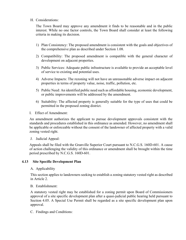#### H. Considerations:

The Town Board may approve any amendment it finds to be reasonable and in the public interest. While no one factor controls, the Town Board shall consider at least the following criteria in making its decision.

- 1) Plan Consistency: The proposed amendment is consistent with the goals and objectives of the comprehensive plan as described under Section 1.08.
- 2) Compatibility: The proposed amendment is compatible with the general character of development on adjacent properties.
- 3) Public Services: Adequate public infrastructure is available to provide an acceptable level of service to existing and potential uses.
- 4) Adverse Impacts: The rezoning will not have an unreasonable adverse impact on adjacent properties in terms of property value, noise, traffic, pollution, etc.
- 5) Public Need: An identified public need such as affordable housing, economic development, or public improvements will be addressed by the amendment.
- 6) Suitability: The affected property is generally suitable for the type of uses that could be permitted in the proposed zoning district.
- I. Effect of Amendment:

An amendment authorizes the applicant to pursue development approvals consistent with the standards and procedures established in this ordinance as amended. However, no amendment shall be applicable or enforceable without the consent of the landowner of affected property with a valid zoning vested right.

J. Judicial Appeal:

Appeals shall be filed with the Granville Superior Court pursuant to N.C.G.S. 160D-601. A cause of action challenging the validity of this ordinance or amendment shall be brought within the time period prescribed by N.C.G.S. 160D-601.

# **4.13 Site Specific Development Plan**

#### A. Applicability

This section applies to landowners seeking to establish a zoning statutory vested right as described in Article 2.

B. Establishment:

A statutory vested right may be established for a zoning permit upon Board of Commissioners approval of a site specific development plan after a quasi-judicial public hearing held pursuant to Section 4.05. A Special Use Permit shall be regarded as a site specific development plan upon approval.

C. Findings and Conditions: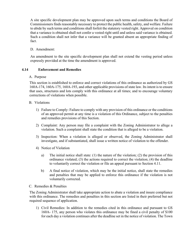A site specific development plan may be approved upon such terms and conditions the Board of Commissioners finds reasonably necessary to protect the public health, safety, and welfare. Failure to abide by such terms and conditions shall forfeit the statutory vested right. Approval on condition that a variance is obtained shall not confer a vested right until and unless said variance is obtained. Such a condition shall not infer that a variance will be granted absent an appropriate finding of fact.

# D. Amendment:

An amendment to the site specific development plan shall not extend the vesting period unless expressly provided at the time the amendment is approved.

# **4.14 Enforcement and Remedies**

#### A. Purpose

This section is established to enforce and correct violations of this ordinance as authorized by GS 160A-174, 160A-175, 160A-193, and other applicable provisions of state law. Its intent is to ensure that uses, structures and lots comply with this ordinance at all times; and to encourage voluntary corrections of violations when possible.

# B. Violations

- 1) Failure to Comply: Failure to comply with any provision of this ordinance or the conditions of an approved permit at any time is a violation of this Ordinance, subject to the penalties and remedies provisions of this Section.
- 2) Complaint: Any person may file a complaint with the Zoning Administrator to allege a violation. Such a complaint shall state the condition that is alleged to be a violation.
- 3) Inspection: When a violation is alleged or observed, the Zoning Administrator shall investigate, and if substantiated, shall issue a written notice of violation to the offender.
- 4) Notice of Violation
	- a) The initial notice shall state: (1) the nature of the violation; (2) the provision of this ordinance violated; (3) the actions required to correct the violation; (4) the deadline to voluntarily correct the violation or file an appeal pursuant to Section 4.11.
	- b) A final notice of violation, which may be the initial notice, shall state the remedies and penalties that may be applied to enforce this ordinance if the violation is not voluntarily corrected.
- C. Remedies & Penalties

The Zoning Administrator shall take appropriate action to abate a violation and insure compliance with this ordinance. The remedies and penalties in this section are listed in their preferred but not required sequence of application.

1) Civil Remedies: In addition to the remedies cited in this ordinance and pursuant to GS 160A- 175, any person who violates this ordinance may be fined a civil penalty of \$100 for each day a violation continues after the deadline set in the notice of violation. The Town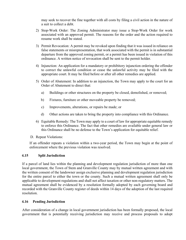may seek to recover the fine together with all costs by filing a civil action in the nature of a suit to collect a debt.

- 2) Stop-Work Order: The Zoning Administrator may issue a Stop-Work Order for work associated with an approved permit. The reasons for the order and the action required to resume work shall be stated.
- 3) Permit Revocation: A permit may be revoked upon finding that it was issued in reliance on false statements or misrepresentation, that work associated with the permit is in substantial departure from the approved zoning permit, or a permit has been issued in violation of this ordinance. A written notice of revocation shall be sent to the permit holder.
- 4) Injunction: An application for a mandatory or prohibitory injunction ordering the offender to correct the unlawful condition or cease the unlawful activity may be filed with the appropriate court. It may be filed before or after all other remedies are applied.
- 5) Order of Abatement: In addition to an injunction, the Town may apply to the court for an Order of Abatement to direct that:
	- a) Buildings or other structures on the property be closed, demolished, or removed;
	- b) Fixtures, furniture or other moveable property be removed;
	- c) Improvements, alterations, or repairs be made; or
	- d) Other actions are taken to bring the property into compliance with this Ordinance.
- 6) Equitable Remedy: The Town may apply to a court of law for appropriate equitable remedy to enforce this Ordinance. The fact that other remedies are available under general law or this Ordinance shall be no defense to the Town's application for equitable relief.
- D. Repeat Violations:

If an offender repeats a violation within a two-year period, the Town may begin at the point of enforcement where the previous violation was resolved.

# **4.15 Split Jurisdiction**

If a parcel of land lies within the planning and development regulation jurisdiction of more than one local government, the Town of Stem and Granville County may by mutual written agreement and with the written consent of the landowner assign exclusive planning and development regulation jurisdiction for the entire parcel to either the town or the county. Such a mutual written agreement shall only be applicable to development regulations and shall not affect taxation or other non-regulatory matters. The mutual agreement shall be evidenced by a resolution formally adopted by each governing board and recorded with the Granville County register of deeds within 14 days of the adoption of the last required resolution.

# **4.16 Pending Jurisdiction**

After consideration of a change in local government jurisdiction has been formally proposed, the local government that is potentially receiving jurisdiction may receive and process proposals to adopt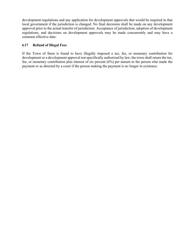development regulations and any application for development approvals that would be required in that local government if the jurisdiction is changed. No final decisions shall be made on any development approval prior to the actual transfer of jurisdiction. Acceptance of jurisdiction, adoption of development regulations, and decisions on development approvals may be made concurrently and may have a common effective date.

# **4.17 Refund of Illegal Fees**

If the Town of Stem is found to have illegally imposed a tax, fee, or monetary contribution for development or a development approval not specifically authorized by law, the town shall return the tax, fee, or monetary contribution plus interest of six percent (6%) per annum to the person who made the payment or as directed by a court if the person making the payment is no longer in existence.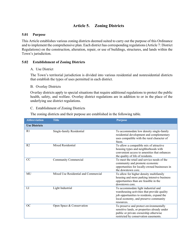# **Article 5. Zoning Districts**

#### **5.01 Purpose**

This Article establishes various zoning districts deemed suited to carry out the purpose of this Ordinance and to implement the comprehensive plan. Each district has corresponding regulations (Article 7: District Regulations) on the construction, alteration, repair, or use of buildings, structures, and lands within the Town's jurisdiction.

# **5.02 Establishment of Zoning Districts**

#### A. Use District

The Town's territorial jurisdiction is divided into various residential and nonresidential districts that establish the types of uses permitted in each district.

#### B. Overlay Districts

Overlay districts apply to special situations that require additional regulations to protect the public health, safety, and welfare. Overlay district regulations are in addition to or in the place of the underlying use district regulations.

#### C. Establishment of Zoning Districts

The zoning districts and their purpose are established in the following table.

| <b>Abbreviation</b>  | <b>Title</b>                         | <b>Purpose</b>                                                                                                                                                                          |
|----------------------|--------------------------------------|-----------------------------------------------------------------------------------------------------------------------------------------------------------------------------------------|
| <b>Use Districts</b> |                                      |                                                                                                                                                                                         |
| R <sub>1</sub>       | Single-family Residential            | To accommodate low density single-family<br>residential development and complementary<br>uses compatible with the rural character of<br>Stem.                                           |
| R <sub>2</sub>       | Mixed Residential                    | To allow a compatible mix of attractive<br>housing types and neighborhoods with<br>convenient access to amenities that enhances<br>the quality of life of residents.                    |
| $\overline{CC}$      | Community Commercial                 | To meet the retail and service needs of the<br>community and promote economic<br>opportunities for locally-owned businesses in<br>the downtown core.                                    |
| MU                   | Mixed Use Residential and Commercial | To allow for higher density multifamily<br>housing and more parking intensive business<br>opportunities than are feasible in the<br>downtown core.                                      |
| LI                   | Light Industrial                     | To accommodate light industrial and<br>warehousing activities that provide quality<br>job opportunities to residents, expand the<br>local economy, and preserve community<br>resources. |
| OC                   | Open Space & Conservation            | To preserve and protect environmentally<br>sensitive lands, or properties already under<br>public or private ownership otherwise<br>restricted by conservation easements.               |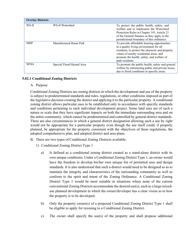| <b>Overlay Districts</b> |                           |                                                                                                                                                                                                                                                        |
|--------------------------|---------------------------|--------------------------------------------------------------------------------------------------------------------------------------------------------------------------------------------------------------------------------------------------------|
| WS-II                    | WS-II Watershed           | To protect the public health, safety, and<br>welfare and to implement the Watershed<br>Protection Rules in Chapter 143, Article 21<br>of the General Statutes as they apply to the<br>jurisdictional boundary of this ordinance.                       |
| <b>MHP</b>               | Manufactured Home Park    | To provide affordable housing opportunities<br>in a quality living environment for all<br>residents, to protect the character and property<br>values of nearby residential areas, and<br>promote the health, safety, and welfare of<br>park residents. |
| <b>SFHA</b>              | Special Flood Hazard Area | To promote the public health, safety and general<br>welfare by minimizing public and private losses<br>due to flood conditions in specific areas.                                                                                                      |

#### **5.02.1 Conditional Zoning Districts**

#### A. Purpose

Conditional Zoning Districts are zoning districts in which the development and use of the property is subject to predetermined standards and rules, regulations, or other conditions imposed as part of the legislative decision creating the district and applying it to the particular property. A conditional zoning district allows particular uses to be established only in accordance with specific standards and conditions pertaining to each individual development project. Some land uses are of such a nature or scale that they have significant impacts on both the immediate surrounding area and on the entire community, which cannot be predetermined and controlled by general district standards. There are also circumstances in which a general district designation allowing such a use by right would not be appropriate for a particular property even though the use itself could, if properly planned, be appropriate for the property consistent with the objectives of these regulations, the adopted comprehensive plan, and adopted district and area plans.

- B. There are two types of Conditional Zoning Districts available:
	- 1) Conditional Zoning District Type 1
		- a) Is defined as a conditional zoning district created as a stand-alone district with its own unique conditions. Under a Conditional Zoning District Type 1, an owner would have the freedom to develop his/her own unique list of permitted uses and design standards. It is also understood that such a district would need to be designed so as to maintain the integrity and characteristics of the surrounding community as well as conform to the spirit and intent of the Zoning Ordinance. A Conditional Zoning District Type 1 would be most suitable in situations where none of the current conventional Zoning Districts accommodate the desired use(s), such as a large mixeduse planned development in which the owner/developer has a clear vision as to how the property is to be developed.
		- b) Only the property owner(s) of a proposed Conditional Zoning District Type 1 shall be eligible to apply for rezoning to a Conditional Zoning District.
		- c) The owner shall specify the use(s) of the property and shall propose additional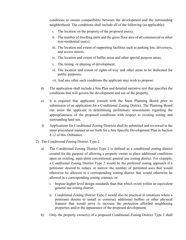conditions to ensure compatibility between the development and the surrounding neighborhood. The conditions shall include all of the following (as applicable):

- i. The location on the property of the proposed use(s);
- ii. The number of dwelling units and the gross floor area of all commercial or other non-residential use(s);
- iii. The location and extent of supporting facilities such as parking lots, driveways, and access streets;
- iv. The location and extent of buffer areas and other special purpose areas;
- v. The timing or phasing of development;
- vi. The location and extent of rights-of-way and other areas to be dedicated for public purposes;
- vii. And any other such conditions the applicant may wish to propose.
- d) The application shall include a Site Plan and detailed narrative text that specifies the conditions that will govern the development and use of the property.
- e) It is required that applicants consult with the Stem Planning Board prior to submission of an application for a Conditional Zoning District. The Planning Board can assist the applicant in determining preliminary assessments regarding the appropriateness of the proposed conditions with respect to existing zoning and surrounding land use.
- f) Applications for Conditional Zoning Districts shall be submitted and reviewed in the same procedural manner as set forth for a Site Specific Development Plan in Section 4.12 of this Ordinance.
- 2) The Conditional Zoning District Type 2
	- a) The Conditional Zoning District Type 2 is defined as a conditional zoning district created for the purpose of allowing a property owner to place additional conditions upon an existing, equivalent conventional, general use zoning district. For example, a Conditional Zoning District Type 2 would be the preferred zoning approach if a petitioner desired to reduce or narrow the number of permitted uses that would otherwise be allowed in a corresponding zoning district that would otherwise be allowed in a corresponding zoning contract, or:
		- i. Impose higher level design standards than that which exists within an equivalent general use zoning district.
		- ii. Conditional Zoning District Type 2 would also be practical in situations where a petitioner desires to install or construct additional buffers or other physical features that would serve to increase the protection afforded neighboring properties and/or the appearance of the proposed development.
	- b) Only the property owner(s) of a proposed Conditional Zoning District Type 2 shall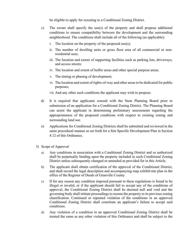be eligible to apply for rezoning to a Conditional Zoning District.

- c) The owner shall specify the use(s) of the property and shall propose additional conditions to ensure compatibility between the development and the surrounding neighborhood. The conditions shall include all of the following (as applicable):
	- i. The location on the property of the proposed use(s);
	- ii. The number of dwelling units or gross floor area of all commercial or nonresidential uses;
	- iii. The location and extent of supporting facilities such as parking lots, driveways, and access streets;
	- iv. The location and extent of buffer areas and other special purpose areas;
	- v. The timing or phasing of development;
	- vi. The location and extent of rights-of-way and other areas to be dedicated for public purposes;

vii. And any other such conditions the applicant may wish to propose.

- d) It is required that applicants consult with the Stem Planning Board prior to submission of an application for a Conditional Zoning District. The Planning Board can assist the applicant in determining preliminary assessments regarding the appropriateness of the proposed conditions with respect to existing zoning and surrounding land use.
- e) Applications for Conditional Zoning Districts shall be submitted and reviewed in the same procedural manner as set forth for a Site Specific Development Plan in Section 4.12 of this Ordinance.
- 3) Scope of Approval
	- a) Any conditions in association with a Conditional Zoning District and so authorized shall be perpetually binding upon the property included in such Conditional Zoning District unless subsequently changed or amended as provided for in this Article.
	- b) The applicant shall obtain certification of the approval of the Conditional District, and shall record the legal description and accompanying map exhibit/site plan in the office of the Register of Deeds of Granville County.
	- c) If for any reason any condition imposed pursuant to these regulations is found to be illegal or invalid, or if the applicant should fail to accept any of the conditions of approval, the Conditional Zoning District shall be deemed null and void and the governing body shall initiate proceedings to rezone the property to its previous zoning classification. Continued or repeated violation of the conditions in an approved Conditional Zoning District shall constitute an applicant's failure to accept said conditions.
	- d) Any violation of a condition in an approved Conditional Zoning District shall be treated the same as any other violation of this Ordinance and shall be subject to the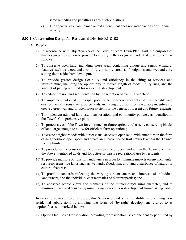same remedies and penalties as any such violations.

e) The approval of a zoning map or text amendment does not authorize any development activity.

#### **5.02.2 Conservation Design for Residential Districts R1 & R2**

- A. Purpose
	- 1) In accordance with Objective 2A of the Town of Stem Town Plan 2040, the purposes of this design philosophy is to provide flexibility in the design of residential development, as follows:
	- 2) To conserve open land, including those areas containing unique and sensitive natural features such as woodlands, wildlife corridors, streams, floodplains and wetlands, by setting them aside from development;
	- 3) To provide greater design flexibility and efficiency in the siting of services and infrastructure, including the opportunity to reduce length of roads, utility runs, and the amount of paving required for residential development;
	- 4) To reduce erosion and sedimentation by the retention of existing vegetation;
	- 5) To implement adopted municipal policies to conserve a variety of irreplaceable and environmentally sensitive resource lands, including provisions for reasonable incentives to create a greenway and/or open space system for the benefit of present and future residents;
	- 6) To implement adopted land use, transportation, and community policies, as identified in the Town's Comprehensive plan;
	- 7) To protect areas of the Town for continued or future agricultural use, by conserving blocks of land large enough to allow for efficient farm operations;
	- 8) To create neighborhoods with direct visual access to open land, with amenities in the form of neighborhood open space and create an interconnected trail network within the Town's zoning limits.
	- 9) To provide for the conservation and maintenance of open land within the Town to achieve the above-mentioned goals and for active or passive recreational use by residents;
	- 10) To provide multiple options for landowners in order to minimize impacts on environmental resources (sensitive lands such as wetlands, floodplain, and) and disturbance of natural or cultural features;
	- 11) To provide standards reflecting the varying circumstances and interests of individual landowners, and the individual characteristics of their properties; and
	- 12) To conserve scenic views and elements of the municipality's rural character, and to minimize perceived density, by minimizing views of new development from existing roads.
- B. In order to achieve these purposes, this Section provides for flexibility in designing new residential subdivisions by allowing two forms of "by-right" development referred to as "options", as summarized below:
	- 1) Option One: Basic Conservation, providing for residential uses at the density permitted by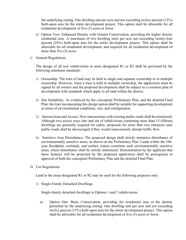the underlying zoning. One dwelling unit per acre and not exceeding twelve percent (12%) built-upon area for the entire development project. This option shall be allowable for all residential development of five (5) acres or fewer.

- 2) Option Two: Enhanced Density with Greater Conservation, providing for higher density residential uses. A maximum of two dwelling units per acre not exceeding twenty-four percent (24%) built-upon area for the entire development project. This option shall be allowable for all residential development, and required for all residential development of more than five (5) acres.
- C. General Regulations

The design of all new subdivisions in areas designated R1 or R2 shall be governed by the following minimum standards:

- 1) Ownership: The tract of land may be held in single and separate ownership or in multiple ownership. However, when a tract is held in multiple ownership, the application must be signed by all owners and the proposed development shall be subject to a common plan of development with standards which apply to all land within the district.
- 2) Site Suitability: As evidenced by the conceptual Preliminary Plan, and the detailed Final Plan, the tract incorporating this design option shall be suitable for supporting development in terms of environmental conditions, size, and configuration.
- 3) Intersections and Access: New intersections with existing public roads shall be minimized. Although two access ways into and out of subdivisions containing more than 15 (fifteen) dwellings are generally required for safety, proposals for more than two entrances onto public roads shall be discouraged if they would unnecessarily disrupt traffic flow.
- 4) Sensitive Area Disturbance: The proposed design shall strictly minimize disturbance of environmentally sensitive areas, as shown on the Preliminary Plan. Lands within the 100 year floodplain, wetlands, and surface waters constitute such environmentally sensitive areas, where disturbance shall be strictly minimized. Demonstration by the applicant that these features will be protected by the proposed application shall be prerequisite to approval of both the conceptual Preliminary Plan and the detailed Final Plan.
- D. Use Regulations

Land in the areas designated R1 or R2 may be used for the following purposes only:

1) Single-Family Detached Dwellings

Single-family detached dwellings in Options 1 and 2 subdivisions:

a) Option One: Basic Conservation, providing for residential uses at the density permitted by the underlying zoning. One dwelling unit per acre and not exceeding twelve percent (12%) built-upon area for the entire development project. This option shall be allowable for all residential development of five (5) acres or fewer.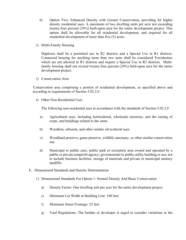- b) Option Two: Enhanced Density with Greater Conservation, providing for higher density residential uses. A maximum of two dwelling units per acre not exceeding twenty-four percent (24%) built-upon area for the entire development project. This option shall be allowable for all residential development, and required for all residential development of more than five (5) acres.
- 2) Multi-Family Housing

Duplexes shall be a permitted use in R2 districts and a Special Use in R1 districts. Connected housing for anything more than two units shall be considered Townhomes which are not allowed in R1 districts and require a Special Use in R2 districts. Multifamily housing shall not exceed twenty-four percent (24%) built-upon area for the entire development project.

3) Conservation Area

Conservation area comprising a portion of residential development, as specified above and according to requirements of Section 5.02.2.F.

4) Other Non-Residential Uses

The following non-residential uses in accordance with the standards of Section 5.02.2.F

- a) Agricultural uses, including horticultural, wholesale nurseries, and the raising of crops, and buildings related to the same.
- b) Woodlots, arboreta, and other similar silvicultural uses.
- c) Woodland preserve, game preserve, wildlife sanctuary, or other similar conservation use.
- d) Municipal or public uses; public park or recreation area owned and operated by a public or private nonprofit agency; governmental or public utility building or use; not to include business facilities, storage of materials and private or municipal sanitary landfills.
- E. Dimensional Standards and Density Determination
	- 1) Dimensional Standards For Option 1: Neutral Density And Basic Conservation
		- d) Density Factor: One dwelling unit per acre for the entire development project.
		- e) Minimum Lot Width at Building Line: 100 feet
		- f) Minimum Street Frontage: 25 feet
		- g) Yard Regulations: The builder or developer is urged to consider variations in the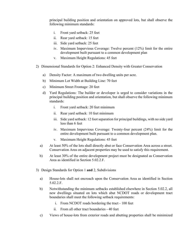principal building position and orientation on approved lots, but shall observe the following minimum standards:

- i. Front yard setback: 25 feet
- ii. Rear yard setback: 15 feet
- iii. Side yard setback: 25 feet
- iv. Maximum Impervious Coverage: Twelve percent (12%) limit for the entire development built pursuant to a common development plan
- v. Maximum Height Regulations: 45 feet
- 2) Dimensional Standards for Option 2: Enhanced Density with Greater Conservation
	- a) Density Factor: A maximum of two dwelling units per acre.
	- b) Minimum Lot Width at Building Line: 70 feet
	- c) Minimum Street Frontage: 20 feet
	- d) Yard Regulations: The builder or developer is urged to consider variations in the principal building position and orientation, but shall observe the following minimum standards:
		- i. Front yard setback: 20 feet minimum
		- ii. Rear yard setback: 10 feet minimum
		- iii. Side yard setback: 12 foot separation for principal buildings, with no side yard less than 6 feet
		- iv. Maximum Impervious Coverage: Twenty-four percent (24%) limit for the entire development built pursuant to a common development plan.
		- v. Maximum Height Regulations: 45 feet
	- a) At least 50% of the lots shall directly abut or face Conservation Area across a street. Conservation Area on adjacent properties may be used to satisfy this requirement.
	- b) At least 30% of the entire development project must be designated as Conservation Area as identified in Section 5.02.2.F.
- 3) Design Standards for Option 1 **and** 2, Subdivisions
	- a) House-lots shall not encroach upon the Conservation Area as identified in Section 5.02.2.F.
	- b) Notwithstanding the minimum setbacks established elsewhere in Section 5.02.2, all new dwellings situated on lots which abut NCDOT roads or development tract boundaries shall meet the following setback requirements:
		- i. From NCDOT roads bordering the tract 100 feet
		- ii. From all other tract boundaries 40 feet
	- c) Views of house-lots from exterior roads and abutting properties shall be minimized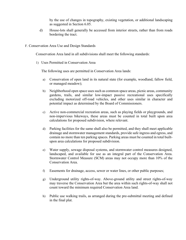by the use of changes in topography, existing vegetation, or additional landscaping as suggested in Section 6.05.

- d) House-lots shall generally be accessed from interior streets, rather than from roads bordering the tract.
- F. Conservation Area Use and Design Standards

Conservation Area land in all subdivisions shall meet the following standards:

1) Uses Permitted in Conservation Area

The following uses are permitted in Conservation Area lands:

- a) Conservation of open land in its natural state (for example, woodland, fallow field, or managed meadow);
- b) Neighborhood open space uses such as common space areas, picnic areas, community gardens, trails, and similar low-impact passive recreational uses specifically excluding motorized off-road vehicles, and other uses similar in character and potential impact as determined by the Board of Commissioners.
- c) Active non-commercial recreation areas, such as playing fields or playgrounds, and non-impervious bikeways, these areas must be counted in total built upon area calculations for proposed subdivision, where relevant.
- d) Parking facilities for the same shall also be permitted, and they shall meet applicable drainage and stormwater management standards, provide safe ingress and egress, and contain no more than ten parking spaces. Parking areas must be counted in total builtupon area calculations for proposed subdivision.
- e) Water supply, sewage disposal systems, and stormwater control measures designed, landscaped, and available for use as an integral part of the Conservation Area. Stormwater Control Measure (SCM) areas may not occupy more than 10% of the Conservation Area.
- f) Easements for drainage, access, sewer or water lines, or other public purposes;
- g) Underground utility rights-of-way. Above-ground utility and street rights-of-way may traverse the Conservation Area but the area within such rights-of-way shall not count toward the minimum required Conservation Area land.
- h) Public use walking trails, as arranged during the pre-submittal meeting and defined in the final plat.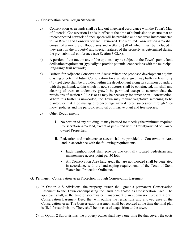- 2) Conservation Area Design Standards
	- a) Conservation Area lands shall be laid out in general accordance with the Town's Map of Potential Conservation Lands in effect at the time of submission to ensure that an interconnected network of open space will be provided and that areas interconnected to Tar River Land Conservancy are maximized. The required Conservation Area shall consist of a mixture of floodplains and wetlands (all of which must be included if they exist on the property) and special features of the property as determined during the pre- submittal conference (see Section 3.02.A).
	- b) A portion of the tract in any of the options may be subject to the Town's public land dedication requirement (typically to provide potential connections with the municipal long-range trail network).
	- c) Buffers for Adjacent Conservation Areas: Where the proposed development adjoins existing or potential future Conservation Area, a natural greenway buffer at least forty (40) feet deep shall be provided within the development along its common boundary with the parkland, within which no new structures shall be constructed, nor shall any clearing of trees or understory growth be permitted except to accommodate the provisions of section 5.02.2.E or as may be necessary for street or trail construction. Where this buffer is unwooded, the Town may require vegetative screening to be planted, or that it be managed to encourage natural forest succession through "nomow" policies and the periodic removal of invasive plant and tree species.
	- d) Other Requirements
		- i. No portion of any building lot may be used for meeting the minimum required Conservation Area land, except as permitted within County-owned or Townowned Properties.
		- ii. Pedestrian and maintenance access shall be provided to Conservation Area land in accordance with the following requirements:
			- Each neighborhood shall provide one centrally located pedestrian and maintenance access point per 30 lots.
			- All Conservation Area land areas that are not wooded shall be vegetated in accordance with the landscaping requirements of the Town of Stem Watershed Protection Ordinance.
- G. Permanent Conservation Area Protection through Conservation Easement
	- 1) In Option 2 Subdivisions, the property owner shall grant a permanent Conservation Easement to the Town encompassing the lands designated as Conservation Area. The applicant shall, at the time of stormwater management plan submission, present a draft Conservation Easement Deed that will outline the restrictions and allowed uses of the Conservation Area. The Conservation Easement shall be recorded at the time the final plat is filed for subdivision. There shall be no cost of acquisition to the town.
	- 2) In Option 2 Subdivisions, the property owner shall pay a one-time fee that covers the costs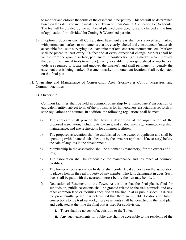to monitor and enforce the terms of the easement in perpetuity. This fee will be determined based on the rate listed in the most recent Town of Stem Zoning Application Fee Schedule. The fee will be divided by the number of planned developed lots and charged at the time of application for individual lot Zoning & Watershed permits.

- 3) In option 2 Subdivisions, all Conservation Easement areas shall be surveyed and marked with permanent markers or monuments that are clearly labeled and constructed of materials acceptable for use in surveying, i.e., carsonite markers, concrete monuments, etc. Markers shall be placed at least every 300 feet and at every directional change. Markers shall be visible from the ground surface, permanent in construction (i.e. a marker which requires the use of mechanical tools to remove), easily locatable (i.e. no specialized or mechanical tools are required to locate and uncover the marker), and shall permanently identify the easement that is being marked. Easement marker or monument locations shall be depicted on the final plat.
- H. Ownership and Maintenance of Conservation Area, Stormwater Control Measures, and Common Facilities
	- 1) Ownership

Common facilities shall be held in common ownership by a homeowners' association or equivalent entity, subject to all of the provisions for homeowners' associations set forth in state regulations and statutes. In addition, the following regulations shall be met:

- a) The applicant shall provide the Town a description of the organization of the proposed association, including its by-laws, and all documents governing ownership, maintenance, and use restrictions for common facilities;
- b) The proposed association shall be established by the owner or applicant and shall be operating (with financial subsidization by the owner or applicant, if necessary) before the sale of any lots in the development;
- c) Membership in the association shall be automatic (mandatory) for the owners of all lots;
- d) The association shall be responsible for maintenance and insurance of common facilities;
- e) The homeowners association by-laws shall confer legal authority on the association to place a lien on the real property of any member who falls delinquent in dues. Such dues shall be paid with the accrued interest before the lien may be lifted;
- f) Dedication of Easements to the Town. At the time that the final plat is filed for subdivision, public easements shall be granted related to the trail network, and any other common land or facilities specified in the final plat as public space. If during the pre-submittal phase it is determined that there are suitable locations for future connections to the trail network, those easements shall be identified in the final plat, and dedicated at the time the final plat is filed for subdivision.
	- i. There shall be no cost of acquisition to the Town;
	- ii. Any such easements for public use shall be accessible to the residents of the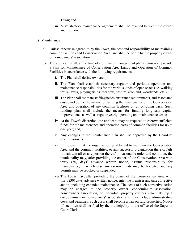Town; and

- iii. A satisfactory maintenance agreement shall be reached between the owner and the Town.
- 2) Maintenance
	- a) Unless otherwise agreed to by the Town, the cost and responsibility of maintaining common facilities and Conservation Area land shall be borne by the property owner or homeowners' association.
	- b) The applicant shall, at the time of stormwater management plan submission, provide a Plan for Maintenance of Conservation Area Lands and Operation of Common Facilities in accordance with the following requirements.
		- i. The Plan shall define ownership;
		- ii. The Plan shall establish necessary regular and periodic operation and maintenance responsibilities for the various kinds of open space (i.e. walking trails, lawns, playing fields, meadow, pasture, cropland, woodlands, etc.);
		- iii. The Plan shall estimate staffing needs, insurance requirements, and associated costs, and define the means for funding the maintenance of the Conservation Area and operation of any common facilities on an on-going basis. Such funding plan shall include the means for funding long-term capital improvements as well as regular yearly operating and maintenance costs;
		- iv. At the Town's discretion, the applicant may be required to escrow sufficient funds for the maintenance and operation costs of common facilities for up to one year; and,
		- v. Any changes to the maintenance plan shall be approved by the Board of Commissioners
		- vi. In the event that the organization established to maintain the Conservation Area and the common facilities, or any successor organization thereto, fails to maintain all or any portion thereof in reasonable order and condition, the municipality may, after providing the owner of the Conservation Area with thirty (30) days' advance written notice, assume responsibility for maintenance, in which case any escrow funds may be forfeited and any permits may be revoked or suspended.
		- vii. The Town may, after providing the owner of the Conservation Area with thirty (30) days' advance written notice, enter the premises and take corrective action, including extended maintenance. The costs of such corrective action may be charged to the property owner, condominium association, homeowners association, or individual property owners who make up a condominium or homeowners' association and may include administrative costs and penalties. Such costs shall become a lien on said properties. Notice of such lien shall be filed by the municipality in the office of the Superior Court Clerk.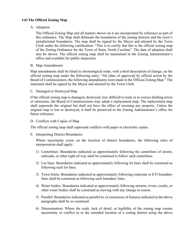### **5.03The Official Zoning Map**

A. Adoption

The Official Zoning Map and all matters shown on it are incorporated by reference as part of this ordinance. The Map shall delineate the boundaries of the zoning districts and the town's jurisdictional boundaries. The map shall be signed by the Mayor and attested by the Town Clerk under the following certification: "This is to certify that this is the official zoning map of the Zoning Ordinance for the Town of Stem, North Carolina". The date of adoption shall also be shown. The official zoning map shall be maintained in the Zoning Administrator's office and available for public inspection.

#### B. Map Amendments

Map amendments shall be listed in chronological order, with a brief description of change, on the official zoning map under the following entry: "On [date of approval] by official action by the Board of Commissioners, the following amendments were made to the Official Zoning Map:" The statement shall be signed by the Mayor and attested by the Town Clerk.

#### C. Damaged or Destroyed Map

If the official zoning map is damaged, destroyed, lost, difficult to read, or to correct drafting errors or omissions, the Board of Commissioners may adopt a replacement map. The replacement map shall supersede the original but shall not have the effect of rezoning any property. Unless the original map is lost or destroyed, it shall be preserved in the Zoning Administrator's office for future reference.

#### D. Conflicts with Copies of Map

The official zoning map shall supersede conflicts with paper or electronic copies.

#### E. Interpreting District Boundaries

Where uncertainty exists on the location of district boundaries, the following rules of interpretation shall apply:

- 1) Centerlines: Boundaries indicated as approximately following the centerlines of streets, railroads, or other right-of-way shall be construed to follow such centerlines.
- 2) Lot lines: Boundaries indicated as approximately following lot lines shall be construed as following such lot lines.
- 3) Town limits: Boundaries indicated as approximately following corporate or ETJ boundary lines shall be construed as following such boundary lines.
- 4) Water bodies: Boundaries indicated as approximately following streams, rivers, creeks, or other water bodies shall be construed as moving with any change in course.
- 5) Parallel: Boundaries indicated as parallel to, or extensions of features indicated in the above paragraphs shall be so construed.
- 6) Determination: Where the scale, lack of detail, or legibility of the zoning map creates uncertainty or conflict as to the intended location of a zoning district using the above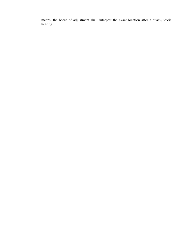means, the board of adjustment shall interpret the exact location after a quasi-judicial hearing.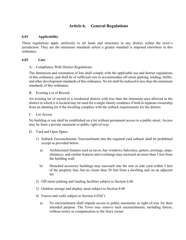# **Article 6. General Regulations**

#### **6.01 Applicability**

These regulations apply uniformly to all lands and structures in any district within the town's jurisdiction. They are the minimum standards unless a greater standard is imposed elsewhere in this ordinance.

#### **6.02 Lots**

A. Compliance With District Regulations

The dimension and orientation of lots shall comply with the applicable use and district regulations of this ordinance, and shall be of sufficient size to accommodate off-street parking, loading, buffer, and other development standards of this ordinance. No lot shall be reduced to less than the minimum standards of this ordinance.

B. Existing Lot of Record

An existing lot of record in a residential district with less than the minimum area allowed in the district in which it is located may be used for a single-family residence if held in separate ownership from an abutting lot if the dwelling complies with the setback requirements for the district.

#### C. Lot Access

No building or use shall be established on a lot without permanent access to a public street. Access may be from a private easement or public right-of-way.

- D. Yard and Open Space
	- 1) Setback Encroachments: Encroachment into the required yard setback shall be prohibited except as provided below:
		- a) Architectural features such as eaves, bay windows, balconies, gutters, awnings, steps, chimneys, and similar features and overhangs may encroach no more than 3 feet from the building wall.
		- b) Detached accessory buildings may encroach into the rear or side yard within 5 feet of the property line, but no closer than 20 feet from a dwelling unit on an adjacent lot.
	- 2) Off-street parking and loading facilities subject to Section 6.06
	- 3) Outdoor storage and display areas subject to Section 8.08
	- 4) Fences and walls subject to Section 6.03(C)
		- a) No encroachment shall impede access to public easements or right-of-way for their intended purpose. The Town may remove such encroachments, including fences, without notice or compensation to the fence owner.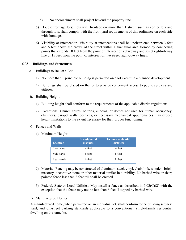- b) No encroachment shall project beyond the property line.
- 5) Double frontage lots: Lots with frontage on more than 1 street, such as corner lots and through lots, shall comply with the front yard requirements of this ordinance on each side with frontage.
- 6) Visibility at Intersection: Visibility at intersections shall be unobstructed between 3 feet and 6 feet above the crown of the street within a triangular area formed by connecting points that extends 10 feet from the point of intersect of a driveway and street right-of-way line or 15 feet from the point of intersect of two street right-of-way lines.

#### **6.03 Buildings and Structures**

- A. Buildings to Be On a Lot
	- 1) No more than 1 principle building is permitted on a lot except in a planned development.
	- 2) Buildings shall be placed on the lot to provide convenient access to public services and utilities.
- B. Building Height
	- 1) Building height shall conform to the requirements of the applicable district regulations.
	- 2) Exceptions: Church spires, belfries, cupolas, or domes not used for human occupancy, chimneys, parapet walls, cornices, or necessary mechanical appurtenances may exceed height limitations to the extent necessary for their proper functioning.
- C. Fences and Walls
	- 1) Maximum Height:

| <b>Location</b> | In residential<br>districts | In non-residential<br>districts |
|-----------------|-----------------------------|---------------------------------|
| Front yard      | 4 feet                      | 4 feet                          |
| Side yards      | 6 feet                      | 8 feet                          |
| Rear yards      | 6 feet                      | 8 feet                          |

- 2) Material: Fencing may be constructed of aluminum, steel, vinyl, chain link, wooden, brick, masonry, decorative stone or other material similar in durability. No barbed wire or sharp pointed fence less than 8 feet tall shall be erected.
- 3) Federal, State or Local Utilities: May install a fence as described in  $6.03(C)(2)$  with the exception that the fence may not be less than 6 feet if topped by barbed wire.
- D. Manufactured Homes

A manufactured home, when permitted on an individual lot, shall conform to the building setback, yard, and off-street parking standards applicable to a conventional, single-family residential dwelling on the same lot.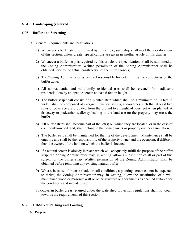### **6.04 Landscaping (reserved)**

#### **6.05 Buffer and Screening**

- A. General Requirements and Regulations
	- 1) Whenever a buffer strip is required by this article, such strip shall meet the specifications of this section, unless greater specifications are given in another article of this chapter.
	- 2) Whenever a buffer strip is required by this article, the specifications shall be submitted to the Zoning Administrator. Written permission of the Zoning Administrator shall be obtained prior to the actual construction of the buffer zone(s).
	- 3) The Zoning Administrator is deemed responsible for determining the correctness of the buffer zone.
	- 4) All nonresidential and multifamily residential uses shall be screened from adjacent residential lots by an opaque screen at least 6 feet in height.
	- 5) The buffer strip shall consist of a planted strip which shall be a minimum of 10 feet in width, shall be composed of evergreen bushes, shrubs, and/or trees such that at least two rows of coverage are provided from the ground to a height of four feet when planted. A driveway or pedestrian walkway leading to the land use on the property may cross the buffer.
	- 6) All buffer strips shall become part of the lot(s) on which they are located, or in the case of commonly-owned land, shall belong to the homeowners or property owners association.
	- 7) The buffer strip shall be maintained for the life of the development. Maintenance shall be ongoing and shall be the responsibility of the property owner and the occupant, if different than the owner, of the land on which the buffer is located.
	- 8) If a natural screen is already in place which will adequately fulfill the purpose of the buffer strip, the Zoning Administrator may, in writing, allow a substitution of all or part of this screen for the buffer strip. Written permission of the Zoning Administrator shall be obtained before removing any existing natural buffer.
	- 9) Where, because of intense shade or soil conditions, a planting screen cannot be expected to thrive, the Zoning Administrator may, in writing, allow the substitution of a well maintained wood or masonry wall or other structure or adornments as deemed suitable for the conditions and intended use.
	- 10) Riparian buffer areas required under the watershed protection regulations shall not count towards the requirements of this section.

#### **6.06 Off-Street Parking and Loading**

A. Purpose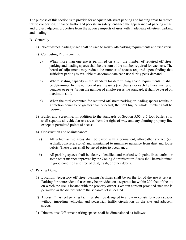The purpose of this section is to provide for adequate off-street parking and loading areas to reduce traffic congestion, enhance traffic and pedestrian safety, enhance the appearance of parking areas, and protect adjacent properties from the adverse impacts of uses with inadequate off-street parking and loading.

- B. Generally
	- 1) No off-street loading space shall be used to satisfy off-parking requirements and vice versa.
	- 2) Computing Requirements:
		- a) When more than one use is permitted on a lot, the number of required off-street parking and loading spaces shall be the sum of the number required for each use. The board of adjustment may reduce the number of spaces required upon finding that sufficient parking is available to accommodate each use during peak demand.
		- b) Where seating capacity is the standard for determining space requirements, it shall be determined by the number of seating units (i.e. chairs), or each 18 lineal inches of benches or pews. When the number of employees is the standard, it shall be based on maximum shift.
		- c) When the total computed for required off-street parking or loading spaces results in a fraction equal to or greater than one-half, the next higher whole number shall be required.
	- 3) Buffer and Screening: In addition to the standards of Section 5.05, a 5-foot buffer strip shall separate all vehicular use areas from the right-of-way and any abutting property line except at permitted points of access.
	- 4) Construction and Maintenance:
		- a) All vehicular use areas shall be paved with a permanent, all-weather surface (i.e. asphalt, concrete, stone) and maintained to minimize nuisance from dust and loose debris. These areas shall be paved prior to occupancy.
		- b) All parking spaces shall be clearly identified and marked with paint lines, curbs, or some other manner approved by the Zoning Administrator. Areas shall be maintained in good condition and free of dust, trash, or other debris.
- C. Parking Design
	- 1) Location: Accessory off-street parking facilities shall be on the lot of the use it serves. Parking for nonresidential uses may be provided on a separate lot within 200 feet of the lot on which the use is located with the property owner's written consent provided such use is permitted in the district where the separate lot is located.
	- 2) Access: Off-street parking facilities shall be designed to allow motorists to access spaces without impeding vehicular and pedestrian traffic circulation on the site and adjacent streets.
	- 3) Dimensions: Off-street parking spaces shall be dimensioned as follows: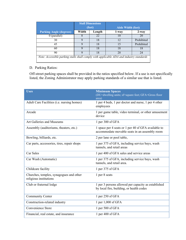|                                                                                         | <b>Stall Dimensions</b><br>(feet) |    | <b>Aisle Width (feet)</b> |            |  |  |
|-----------------------------------------------------------------------------------------|-----------------------------------|----|---------------------------|------------|--|--|
| <b>Parking Angle (degrees)</b>                                                          | Width<br>Length                   |    | 1-way                     | $2$ -way   |  |  |
| $0$ (parallel)                                                                          |                                   | 22 | 10                        | 20         |  |  |
| 30                                                                                      |                                   | 18 | 12                        | Prohibited |  |  |
| 45                                                                                      | 9                                 | 18 | 15                        | Prohibited |  |  |
| 60                                                                                      | 9                                 | 18 | 18                        | 18         |  |  |
| 90                                                                                      | 9                                 | 18 | 20                        | 24         |  |  |
| Note: Accessible parking stalls shall comply with applicable ADA and industry standards |                                   |    |                           |            |  |  |

## D. Parking Ratios:

Off-street parking spaces shall be provided in the ratios specified below. If a use is not specifically listed, the Zoning Administrator may apply parking standards of a similar use that is listed.

| <b>Uses</b>                                                       | <b>Minimum Spaces</b><br>(DU=dwelling units; sf=square feet; GFA=Gross floor<br>area)                |
|-------------------------------------------------------------------|------------------------------------------------------------------------------------------------------|
| Adult Care Facilities (i.e. nursing homes)                        | 1 per 4 beds, 1 per doctor and nurse, 1 per 4 other<br>employees                                     |
| Arcade                                                            | 1 per game table, video terminal, or other amusement<br>device                                       |
| Art Galleries and Museums                                         | 1 per 300 sf GFA                                                                                     |
| Assembly (auditoriums, theaters, etc.)                            | 1 space per 4 seats or 1 per 40 sf GFA available to<br>accommodate movable seats in an assembly room |
| Bowling, billiards, etc.                                          | 2 per lane or pool table,                                                                            |
| Car parts, accessories, tires, repair shops                       | 1 per 375 sf GFA, including service bays, wash<br>tunnels, and retail areas                          |
| Car Sales                                                         | 1 per 400 sf GFA sales and service areas                                                             |
| Car Wash (Automatic)                                              | 1 per 375 sf GFA, including service bays, wash<br>tunnels, and retail area.                          |
| Childcare facility                                                | 1 per 375 sf GFA                                                                                     |
| Churches, temples, synagogues and other<br>religious institutions | 1 per 8 seats                                                                                        |
| Club or fraternal lodge                                           | 1 per 3 persons allowed per capacity as established<br>by local fire, building, or health codes      |
| Community Center                                                  | 1 per 250 sf GFA                                                                                     |
| Construction-related industry                                     | 1 per 1,000 sf GFA                                                                                   |
| Convenience Store                                                 | 1 per 500 sf GFA                                                                                     |
| Financial, real estate, and insurance                             | 1 per 400 sf GFA                                                                                     |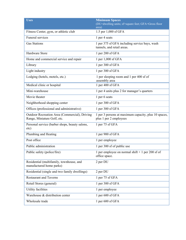| <b>Uses</b>                                                                  | <b>Minimum Spaces</b><br>(DU=dwelling units; sf=square feet; GFA=Gross floor<br>area) |
|------------------------------------------------------------------------------|---------------------------------------------------------------------------------------|
| Fitness Center, gym, or athletic club                                        | 1.5 per 1,000 sf GFA                                                                  |
| Funeral services                                                             | 1 per 4 seats                                                                         |
| <b>Gas Stations</b>                                                          | 1 per 375 sf GFA including service bays, wash<br>tunnels, and retail areas.           |
| Hardware Store                                                               | 1 per 200 sf GFA                                                                      |
| Home and commercial service and repair                                       | 1 per 1,000 sf GFA                                                                    |
| Library                                                                      | 1 per 300 sf GFA                                                                      |
| Light industry                                                               | 1 per 300 sf GFA                                                                      |
| Lodging (hotels, motels, etc.)                                               | 1 per sleeping room and 1 per 400 sf of<br>assembly area                              |
| Medical clinic or hospital                                                   | 1 per 400 sf GFA                                                                      |
| Mini-warehouse                                                               | 1 per 4 units plus 2 for manager's quarters                                           |
| Movie theater                                                                | 1 per 6 seats                                                                         |
| Neighborhood shopping center                                                 | 1 per 300 sf GFA                                                                      |
| Offices (professional and administrative)                                    | 1 per 300 sf GFA                                                                      |
| Outdoor Recreation Area (Commercial), Driving<br>Range, Miniature Golf, etc. | 1 per 3 persons at maximum capacity, plus 10 spaces,<br>plus 1 per 2 employees        |
| Personal service (barber shops, beauty salons,<br>etc)                       | 1 per 75 sf GFA                                                                       |
| Plumbing and Heating                                                         | 1 per 900 sf GFA                                                                      |
| Post office                                                                  | 1 per employee                                                                        |
| Public administration                                                        | 1 per 300 sf of public use                                                            |
| Public safety (police/fire)                                                  | 1 per employee on normal shift $+1$ per 200 sf of<br>office space.                    |
| Residential (multifamily, townhouse, and<br>manufactured home parks)         | 2 per DU                                                                              |
| Residential (single and two family dwellings)                                | 2 per DU                                                                              |
| <b>Restaurant and Taverns</b>                                                | 1 per 75 sf GFA                                                                       |
| Retail Stores (general)                                                      | 1 per 300 sf GFA                                                                      |
| Utility facilities                                                           | 1 per employee                                                                        |
| Warehouse & distribution center                                              | 1 per 600 sf GFA                                                                      |
| Wholesale trade                                                              | 1 per 600 sf GFA                                                                      |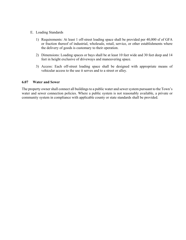- E. Loading Standards
	- 1) Requirements: At least 1 off-street loading space shall be provided per 40,000 sf of GFA or fraction thereof of industrial, wholesale, retail, service, or other establishments where the delivery of goods is customary to their operation.
	- 2) Dimensions: Loading spaces or bays shall be at least 10 feet wide and 30 feet deep and 14 feet in height exclusive of driveways and maneuvering space.
	- 3) Access: Each off-street loading space shall be designed with appropriate means of vehicular access to the use it serves and to a street or alley.

#### **6.07 Water and Sewer**

The property owner shall connect all buildings to a public water and sewer system pursuant to the Town's water and sewer connection policies. Where a public system is not reasonably available, a private or community system in compliance with applicable county or state standards shall be provided.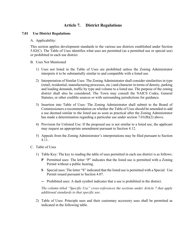# **Article 7. District Regulations**

#### **7.01 Use District Regulations**

#### A. Applicability:

This section applies development standards to the various use districts established under Section 5.02(C). The Table of Uses identifies what uses are permitted (as a permitted use or special use) or prohibited in each use district.

#### B. Uses Not Mentioned

- 1) Uses not listed in the Table of Uses are prohibited unless the Zoning Administrator interprets it to be substantially similar to and compatible with a listed use.
- 2) Interpretation of Similar Uses: The Zoning Administrator shall consider similarities in type (retail, residential, manufacturing processes, etc.) and character in terms of density, parking and loading demands, traffic by type and volume to a listed use. The purpose of the zoning district shall also be considered. The Town may consult the NAICS Codes, General Statutes, or other credible sources or with surrounding jurisdictions for guidance.
- 3) Insertion into Table of Uses: The Zoning Administrator shall submit to the Board of Commissioners a recommendation on whether the Table of Uses should be amended to add a use deemed similar to the listed use as soon as practical after the Zoning Administrator has made a determination regarding a particular use under section 7.01(B)(2) above.
- 4) Provision for Unlisted Use: If the proposed use is not similar to a listed use, the applicant may request an appropriate amendment pursuant to Section 4.12.
- 5) Appeals from the Zoning Administrator's interpretations may be filed pursuant to Section 4.11.
- C. Table of Uses
	- 1) Table Key: The key to reading the table of uses permitted in each use district is as follows:
		- **P** Permitted uses: The letter "P" indicates that the listed use is permitted with a Zoning Permit without a public hearing.
		- **S** Special uses: The letter "S" indicated that the listed use is permitted with a Special Use Permit issued pursuant to Section 4.07.
		- **--** Prohibited uses: A dash symbol indicates that a use is prohibited in the district.

*The column titled "Specific Use" cross-references the sections under Article 7 that apply additional standards to that specific use.*

2) Table of Uses: Principle uses and their customary accessory uses shall be permitted as indicated in the following table.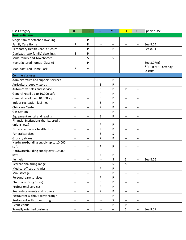| <b>Residential use</b>                                                                                                                                    |  |
|-----------------------------------------------------------------------------------------------------------------------------------------------------------|--|
| Single-family detached dwelling<br>P<br>P<br>$\overline{\phantom{a}}$<br>$\overline{\phantom{m}}$<br>$\overline{\phantom{m}}$<br>--                       |  |
| Family Care Home<br>P<br>P<br>See 8.04<br>--<br>$\qquad \qquad -$                                                                                         |  |
| P<br>P<br>Temporary Health Care Structure<br>P<br>P<br>See 8.11<br>$\overline{\phantom{m}}$<br>--                                                         |  |
| Duplexes (two-family) dwellings<br>S<br>P<br>$- -$<br>--<br>--                                                                                            |  |
| Multi-family and Townhomes<br>S<br>S<br>S<br>$\overline{\phantom{a}}$<br>$\qquad \qquad -$<br>--                                                          |  |
| Manufactured homes (Class A)<br>P<br>See 8.07(B)<br>$\overline{\phantom{m}}$<br>--<br>--<br>--<br>--                                                      |  |
| *"S" in MHP Overlay<br>$\ast$<br>*<br>Manufactured Home Park<br>--<br>$-\!$ $\!-$<br>--<br><b>District</b>                                                |  |
| <b>Commercial uses</b>                                                                                                                                    |  |
| Administrative and support services<br>P<br>P<br>$\qquad \qquad -$<br>$\overline{\phantom{m}}$<br>$\hspace{0.05cm} -\hspace{0.05cm}$<br>$\qquad \qquad -$ |  |
| S<br>Agricultural supply stores<br>P<br>$\qquad \qquad -$<br>--<br>--<br>--                                                                               |  |
| S<br>P<br>P<br>Automotive sales and service<br>$-$<br>$- -$<br>$\overline{\phantom{a}}$                                                                   |  |
| P<br>P<br>General retail up to 10,000 sqft<br>--<br>$\qquad \qquad -$<br>--<br>$\qquad \qquad -$                                                          |  |
| S<br>General retail over 10,000 sqft<br>P<br>$\overline{\phantom{m}}$<br>--<br>--<br>$\overline{\phantom{a}}$                                             |  |
| S<br>Indoor recreation facilities<br>P<br>$\qquad \qquad -$<br>$\qquad \qquad -$<br>--<br>--                                                              |  |
| Childcare Center<br>P<br>P<br>$\overline{\phantom{a}}$<br>$\overline{\phantom{m}}$<br>$\overline{\phantom{a}}$<br>--                                      |  |
| P<br>P<br><b>Gas Station</b><br>$\qquad \qquad -$<br>--<br>--<br>$\overline{\phantom{m}}$                                                                 |  |
| S<br>Equipment rental and leasing<br>P<br>$-$<br>--<br>--<br>$\overline{\phantom{a}}$                                                                     |  |
| Financial Institutions (banks, credit                                                                                                                     |  |
| P<br>P<br>unions, etc.)<br>$\overline{\phantom{m}}$<br>$- -$<br>--<br>$\overline{\phantom{a}}$                                                            |  |
| Fitness centers or health clubs<br>P<br>P<br>$-$<br>--<br>--<br>$\overline{\phantom{a}}$                                                                  |  |
| S<br>S<br><b>Funeral services</b><br>$\overline{\phantom{a}}$<br>$\overline{\phantom{a}}$<br>$-$<br>$-$                                                   |  |
| P<br>P<br>Grocery stores<br>--<br>$\overline{\phantom{m}}$<br>--<br>$\qquad \qquad -$                                                                     |  |
| Hardware/building supply up to 10,000<br>P<br>P<br>sqft<br>$-\, -$<br>$- -$<br>--<br>$\overline{\phantom{a}}$                                             |  |
| Hardware/building supply over 10,000<br>sqft<br>S<br>P<br>$\overline{\phantom{m}}$<br>$-$<br>$\overline{\phantom{a}}$<br>$- -$                            |  |
| S<br>See 8.06<br>Kennels<br>S<br>$\overline{\phantom{m}}$<br>--<br>--<br>--                                                                               |  |
| S<br>S<br>Recreational firing range<br>--<br>$\overline{\phantom{m}}$                                                                                     |  |
| Medical offices or clinics<br>P<br>P<br>$-$<br>--<br>--<br>--                                                                                             |  |
| S<br>P<br>Mini-storage<br>$-\, -$<br>$-\, -$<br>--<br>--                                                                                                  |  |
| Personal care services<br>P<br>P<br>$-\, -$<br>--<br>--<br>--                                                                                             |  |
| Pharmacy (Drug Store)<br>P<br>P<br>--<br>--<br>--                                                                                                         |  |
| Professional services<br>P<br>P<br>$-\, -$<br>--<br>--<br>--                                                                                              |  |
| Real estate agents and brokers<br>P<br>P<br>--<br>$-\hbox{--}$<br>$\hspace{0.05cm}$ $\hspace{0.05cm}$                                                     |  |
| --<br>Restaurant without drivethrough<br>P<br>P<br>$-\, -$<br>$\qquad \qquad -$<br>--<br>--                                                               |  |
| Restaurant with drivethrough<br>S<br>$-\, -$<br>--<br>--<br>--<br>--                                                                                      |  |
| P<br>P<br>P<br><b>Event Venue</b><br>$-\, -$<br>--<br>--                                                                                                  |  |
| Sexually oriented business<br>S<br>See 8.09<br>$\overline{\phantom{a}}$<br>$-\hbox{--}$<br>$-\!$ $\!-$<br>$-\hbox{--}$<br>--                              |  |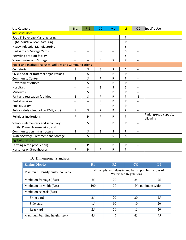| Use Category                                                     | $R-1$                    | $R-2$                    | CC                       | <b>MU</b> | $\mathsf{H}$ | <b>OC</b>                | Specific Use                      |
|------------------------------------------------------------------|--------------------------|--------------------------|--------------------------|-----------|--------------|--------------------------|-----------------------------------|
| <b>Industrial Uses</b>                                           |                          |                          |                          |           |              |                          |                                   |
| Food & Beverage Manufacturing                                    | $-$                      | $-$                      | $\overline{\phantom{a}}$ | $-$       | P            | $\overline{\phantom{a}}$ |                                   |
| Light Industrial Manufacturing                                   | --                       | $-$                      | $-$                      | $-$       | P            | $\overline{\phantom{a}}$ |                                   |
| Heavy Industrial Manufacturing                                   | --                       | $\overline{\phantom{a}}$ | $-$                      | $-$       | S            | --                       |                                   |
| Junkyards or Salvage Yards                                       | --                       | $\qquad \qquad -$        | --                       | --        | S            | $\overline{\phantom{a}}$ |                                   |
| Recycling drop-off facility                                      | $\overline{\phantom{a}}$ | $\qquad \qquad -$        | $\overline{\phantom{m}}$ | --        | S            | $\overline{\phantom{a}}$ |                                   |
| <b>Warehousing and Storage</b>                                   | --                       | $\overline{\phantom{a}}$ | S                        | S         | P            | $\overline{\phantom{m}}$ |                                   |
| Public and Institutional uses, Utilities and Communications      |                          |                          |                          |           |              |                          |                                   |
| Cemeteries                                                       | S                        | S                        | S                        | S         | S            | $\overline{\phantom{m}}$ |                                   |
| Civic, social, or fraternal organizations                        | S                        | S                        | P                        | P         | P            | $\overline{\phantom{m}}$ |                                   |
| Community Center                                                 | S                        | S                        | P                        | P         | P            | $-$                      |                                   |
| Government offices                                               | S                        | S                        | P                        | P         | P            | $\overline{\phantom{a}}$ |                                   |
| Hospitals                                                        | $-$                      | $-$                      | S                        | S         | S            | $\overline{\phantom{a}}$ |                                   |
| <b>Museums</b>                                                   | S                        | S                        | P                        | P         | P            | --                       |                                   |
| Park and recreation facilities                                   | S                        | S                        | P                        | P         | P            | S                        |                                   |
| Postal services                                                  | $\overline{\phantom{a}}$ | $\overline{\phantom{a}}$ | P                        | P         | P            | $\overline{\phantom{a}}$ |                                   |
| Public Library                                                   | $-$                      | $\overline{\phantom{a}}$ | P                        | P         | P            | $\overline{\phantom{a}}$ |                                   |
| Public safety (fire, police, EMS, etc.)                          | S                        | S                        | P                        | P         | P            | $\overline{\phantom{a}}$ |                                   |
| Religious Institutions                                           | P                        | P                        | P                        | P         | P            | $\overline{\phantom{a}}$ | Parking/road capacity<br>allowing |
| Schools (elementary and secondary)                               | S                        | S                        | P                        | P         | P            | $\overline{\phantom{a}}$ |                                   |
| Utility, Power Transmission, and<br>Communication Infrastructure | S                        | S                        | S                        | S         | P            | $\overline{\phantom{a}}$ |                                   |
| <b>Water/Sewage Treatment and Storage</b>                        | S                        | S                        | S                        | S         | S            | $-$                      |                                   |
| <b>Agricultural uses</b>                                         |                          |                          |                          |           |              |                          |                                   |
| Farming (crop production)                                        | P                        | P                        | P                        | P         | P            | $\overline{\phantom{a}}$ |                                   |
| Nurseries or Greenhouses                                         | P                        | P                        | P                        | P         | P            | $\overline{\phantom{m}}$ |                                   |

# D. Dimensional Standards

| <b>Zoning District</b>          | R1                                                                                | R <sub>2</sub> | CC               | LI |  |
|---------------------------------|-----------------------------------------------------------------------------------|----------------|------------------|----|--|
| Maximum Density/built-upon area | Shall comply with density and built-upon limitations of<br>Watershed Regulations. |                |                  |    |  |
| Minimum frontage (feet)         | 25                                                                                | 20             | 25<br>25         |    |  |
| Minimum lot width (feet)        | 100                                                                               | 70             | No minimum width |    |  |
| Minimum setback (feet)          |                                                                                   |                |                  |    |  |
| Front yard                      | 25                                                                                | 20             | 20               | 25 |  |
| Side yard                       | 15                                                                                | 10             | 10               | 20 |  |
| Rear yard                       | 25                                                                                | 20             | 15               | 20 |  |
| Maximum building height (feet)  | 45                                                                                | 45             | 45               | 45 |  |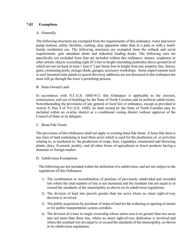### **7.02 Exemptions**

#### A. Generally

The following structures are exempted from the requirements of this ordinance: water and sewer pump stations, utility facilities, curbing, play apparatus other than in a park or with a multifamily residential use. The following structures are exempted from the setback and set-in requirements: gate attendant sheds and industrial loading docks. The following uses are specifically not excluded from (but are included within) this ordinance: statues, sculptures or other artistic objects exceeding eight (8') feet in height (including pedestals) above ground level which are not set back at least 1 foot  $(1')$  per linear foot in height from any property line, fences, gates, swimming pools, storage sheds, garages, accessory workshops. Some improvements such as roof mounted solar panels or gravel driveway additions are not discussed in this ordinance but must still go through the town's permitting process.

### B. State-Owned Land

In accordance with N.C.G.S. 160D-913, this Ordinance is applicable to the erection, construction, and use of buildings by the State of North Carolina and its political subdivisions. Notwithstanding the provisions of any general or local law or ordinance, except as provided in Article 9, Part 4 of N.C.G.S. 160D, no land owned by the State of North Carolina may be included within an overlay district or a conditional zoning district without approval of the Council of State or its delegate.

#### C. Bona Fide Farms

The provisions of this Ordinance shall not apply to existing bona fide farms. A bona fide farm is any tract of land containing at least three acres which is used for the production of, or activities relating to, or incidental to, the production of crops, fruit, vegetables, ornamental and flowering plants, dairy, livestock, poultry, and all other forms of agricultural or forest products having a domestic or foreign market.

### D. Subdivision Exemptions

The following are not included within the definition of a subdivision, and are not subject to the regulations of this Ordinance:

- 1) The combination or recombination of portions of previously subdivided and recorded lots where the total number of lots is not increased and the resultant lots are equal to or exceed the standards of the municipality as shown on its subdivision regulations.
- 2) The division of land into parcels greater than ten acres where no street right-of-way decision is involved.
- 3) The public acquisition by purchase of strips of land for the widening or opening of streets or for public transportation system corridors.
- 4) The division of a tract in single ownership whose entire area is no greater than two acres into not more than three lots, where no street right-of-way dedication is involved and where the resultant lots are equal to or exceed the standards of the municipality, as shown in its subdivision regulations.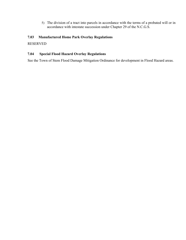5) The division of a tract into parcels in accordance with the terms of a probated will or in accordance with intestate succession under Chapter 29 of the N.C.G.S.

## **7.03 Manufactured Home Park Overlay Regulations**

RESERVED

## **7.04 Special Flood Hazard Overlay Regulations**

See the Town of Stem Flood Damage Mitigation Ordinance for development in Flood Hazard areas.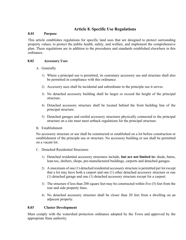# **Article 8. Specific Use Regulations**

#### **8.01 Purpose**

This article establishes regulations for specific land uses that are designed to protect surrounding property values, to protect the public health, safety, and welfare, and implement the comprehensive plan. These regulations are in addition to the procedures and standards established elsewhere in this ordinance.

### **8.02 Accessory Uses**

- A. Generally
	- 1) Where a principal use is permitted, its customary accessory use and structure shall also be permitted in compliance with this ordinance.
	- 2) Accessory uses shall be incidental and subordinate to the principle use it serves.
	- 3) No detached accessory building shall be larger or exceed the height of the principal structure.
	- 4) Detached accessory structure shall be located behind the front building line of the principal structure.
	- 5) Detached garages and roofed accessory structures physically connected to the principal structure on a site must meet setback regulations for the principal structure.
- B. Establishment

No accessory structure or use shall be constructed or established on a lot before construction or establishment of the principle use or structure. No accessory building or use shall be permitted on a vacant lot.

- C. Detached Residential Structures
	- 1) Detached residential accessory structures include, **but are not limited to:** sheds, barns, lean-tos, shelters, shops, pre-manufactured buildings, carports and detached garages.
	- 2) A maximum of one (1) detached residential accessory structure is permitted per lot except that a lot may have both a carport and one (1) other detached accessory structure or one (1) detached garage and one (1) detached accessory structure except for a carport.
	- 3) The structure if less than 200 square feet may be constructed within five (5) feet from the rear and side property lines.
	- 4) No detached accessory structure shall be closer than 20 feet from a dwelling on an adjacent property.

### **8.03 Cluster Development**

Must comply with the watershed protection ordinance adopted by the Town and approved by the appropriate State authority.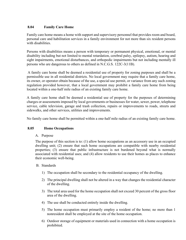## **8.04 Family Care Home**

Family care home means a home with support and supervisory personnel that provides room and board, personal care and habilitation services in a family environment for not more than six resident persons with disabilities.

Persons with disabilities means a person with temporary or permanent physical, emotional, or mental disability including but not limited to mental retardation, cerebral palsy, epilepsy, autism, hearing and sight impairments, emotional disturbances, and orthopedic impairments but not including mentally ill persons who are dangerous to others as defined in N.C.G.S. 122C-3(11B).

 A family care home shall be deemed a residential use of property for zoning purposes and shall be a permissible use in all residential districts. No local government may require that a family care home, its owner, or operator obtain because of the use, a special use permit, or variance from any such zoning regulation provided however, that a local government may prohibit a family care home from being located within a one-half mile radius of an existing family care home.

A family care home shall be deemed a residential use of property for the purposes of determining charges or assessments imposed by local governments or businesses for water, sewer, power, telephone service, cable television, garage and trash collection, repairs or improvements to roads, streets and sidewalks, and other services, utilities and improvements.

No family care home shall be permitted within a one-half mile radius of an existing family care home.

## **8.05 Home Occupations**

### A. Purpose

The purpose of this section is to: (1) allow home occupations as an accessory use in an occupied dwelling unit; (2) ensure that such home occupations are compatible with nearby residential properties; (3) ensure that public infrastructure is not burdened beyond what is normally associated with residential uses; and (4) allow residents to use their homes as places to enhance their economic well-being.

### B. Standards

- 1) The occupation shall be secondary to the residential occupancy of the dwelling.
- 2) The principal dwelling shall not be altered in a way that changes the residential character of the dwelling.
- 3) The total area used for the home occupation shall not exceed 30 percent of the gross floor area of the dwelling.
- 4) The use shall be conducted entirely inside the dwelling.
- 5) The home occupation must primarily employ a resident of the home; no more than 1 nonresident shall be employed at the site of the home occupation.
- 6) Outdoor storage of equipment or materials used in connection with a home occupation is prohibited.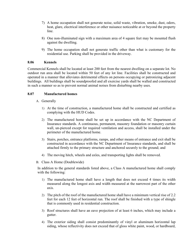- 7) A home occupation shall not generate noise, solid waste, vibration, smoke, dust, odors, heat, glare, electrical interference or other nuisance noticeable at or beyond the property line.
- 8) One non-illuminated sign with a maximum area of 4 square feet may be mounted flush against the dwelling.
- 9) The home occupation shall not generate traffic other than what is customary for the residential use. Parking shall be provided in the driveway.

### **8.06 Kennels**

Commercial Kennels shall be located at least 200 feet from the nearest dwelling on a separate lot. No outdoor run area shall be located within 50 feet of any lot line. Facilities shall be constructed and operated in a manner that alleviates detrimental effects on persons occupying or patronizing adjacent buildings. All buildings shall be soundproofed and all exercise yards shall be walled and constructed in such a manner so as to prevent normal animal noises from disturbing nearby uses.

### **8.07 Manufactured homes**

- A. Generally
	- 1) At the time of construction, a manufactured home shall be constructed and certified as complying with the HUD Codes.
	- 2) The manufactured home shall be set up in accordance with the NC Department of Insurance standards. A continuous, permanent, masonry foundation or masonry curtain wall, un-pierced except for required ventilation and access, shall be installed under the perimeter of the manufactured home.
	- 3) Stairs, porches, entrance platforms, ramps, and other means of entrance and exit shall be constructed in accordance with the NC Department of Insurance standards, and shall be attached firmly to the primary structure and anchored securely to the ground; and
	- 4) The moving hitch, wheels and axles, and transporting lights shall be removed.
- B. Class A Home (Doublewide)

In addition to the general standards listed above, a Class A manufactured home shall comply with the following:

- 1) The manufactured home shall have a length that does not exceed 4 times its width measured along the longest axis and width measured at the narrowest part of the other axis.
- 2) The pitch of the roof of the manufactured home shall have a minimum vertical rise of 2.2 feet for each 12 feet of horizontal run. The roof shall be finished with a type of shingle that is commonly used in residential construction.
- 3) Roof structures shall have an eave projection of at least 6 inches, which may include a gutter.
- 4) The exterior siding shall consist predominantly of vinyl or aluminum horizontal lap siding, whose reflectivity does not exceed that of gloss white paint, wood, or hardboard,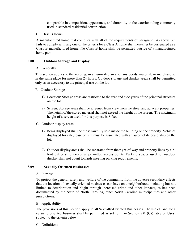comparable in composition, appearance, and durability to the exterior siding commonly used in standard residential construction.

C. Class B Home

A manufactured home that complies with all of the requirements of paragraph (A) above but fails to comply with any one of the criteria for a Class A home shall hereafter be designated as a Class B manufactured home. No Class B home shall be permitted outside of a manufactured home park.

#### **8.08 Outdoor Storage and Display**

#### A. Generally

This section applies to the keeping, in an unroofed area, of any goods, material, or merchandise in the same place for more than 24 hours. Outdoor storage and display areas shall be permitted only as an accessory to the principal use on the lot.

### B. Outdoor Storage

- 1) Location: Storage areas are restricted to the rear and side yards of the principal structure on the lot.
- 2) Screen: Storage areas shall be screened from view from the street and adjacent properties. The height of the stored material shall not exceed the height of the screen. The maximum height of a screen used for this purpose is 8 feet.
- C. Outdoor display areas
	- 1) Items displayed shall be those lawfully sold inside the building on the property. Vehicles displayed for sale, lease or rent must be associated with an automobile dealership on the lot.
	- 2) Outdoor display areas shall be separated from the right-of-way and property lines by a 5 foot buffer strip except at permitted access points. Parking spaces used for outdoor display shall not count towards meeting parking requirements.

#### **8.09 Sexually Oriented Businesses**

A. Purpose

To protect the general safety and welfare of the community from the adverse secondary effects that the location of sexually oriented businesses can have on a neighborhood, including but not limited to deterioration and blight through increased crime and other impacts, as has been documented by the State of North Carolina, other North Carolina municipalities and other jurisdictions.

#### B. Applicability

The provisions of this Section apply to all Sexually-Oriented Businesses. The use of land for a sexually oriented business shall be permitted as set forth in Section 7.01(C)(Table of Uses) subject to the criteria below.

#### C. Definitions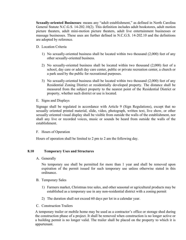**Sexually-oriented Businesses**: means any "adult establishment," as defined in North Carolina General Statute N.C.G.S. 14-202.10(2). This definition includes adult bookstores, adult motion picture theaters, adult mini-motion picture theaters, adult live entertainment businesses or massage businesses. These uses are further defined in N.C.G.S. 14-202.10 and the definitions are adopted by reference.

- D. Location Criteria
	- 1) No sexually-oriented business shall be located within two thousand (2,000) feet of any other sexually-oriented business.
	- 2) No sexually-oriented business shall be located within two thousand (2,000) feet of a school, day care or adult day care center, public or private recreation center, a church or a park used by the public for recreational purposes.
	- 3) No sexually-oriented business shall be located within two thousand (2,000) feet of any Residential Zoning District or residentially developed property. The distance shall be measured from the subject property to the nearest point of the Residential District or property, whether such district or use is located.
- E. Signs and Displays

Signage shall be regulated in accordance with Article 9 (Sign Regulations), except that no sexually oriented printed material, slide, video, photograph, written text, live show, or other sexually oriented visual display shall be visible from outside the walls of the establishment, nor shall any live or recorded voices, music or sounds be heard from outside the walls of the establishment.

F. Hours of Operation

Hours of operation shall be limited to 2 pm to 2 am the following day.

#### **8.10 Temporary Uses and Structures**

A. Generally

No temporary use shall be permitted for more than 1 year and shall be removed upon expiration of the permit issued for such temporary use unless otherwise stated in this ordinance.

- B. Temporary Sales
	- 1) Farmers market, Christmas tree sales, and other seasonal or agricultural products may be established as a temporary use in any non-residential district with a zoning permit
	- 2) The duration shall not exceed 60 days per lot in a calendar year.
- C. Construction Trailers

A temporary trailer or mobile home may be used as a contractor's office or storage shed during the construction phase of a project. It shall be removed when construction is no longer active or a building permit is no longer valid. The trailer shall be placed on the property to which it is appurtenant.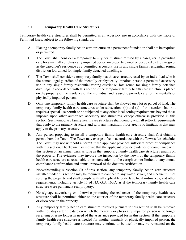## **8.11 Temporary Health Care Structures**

Temporary health care structures shall be permitted as an accessory use in accordance with the Table of Permitted Uses, subject to the following standards:

- A. Placing a temporary family health care structure on a permanent foundation shall not be required or permitted.
- B. The Town shall consider a temporary family health structure used by a caregiver in providing care for a mentally or physically impaired person on property owned or occupied by the caregiver as the caregiver's residence as a permitted accessory use in any single family residential zoning district on lots zoned for single family detached dwellings.
- C. The Town shall consider a temporary family health care structure used by an individual who is the named legal guardian of the mentally or physically impaired person a permitted accessory use in any single family residential zoning district on lots zoned for single family detached dwellings in accordance with this section if the temporary family health care structure is placed on the property of the residence of the individual and is used to provide care for the mentally or physically impaired person.
- D. Only one temporary family health care structure shall be allowed on a lot or parcel of land. The temporary family health care structures under subsections (b) and (c) of this section shall not require a special use permit or be subjected to any other local zoning requirements beyond those imposed upon other authorized accessory use structures, except otherwise provided in this section. Such temporary family health care structures shall comply with all setback requirements that apply to the primary structure and with any maximum floor area ratio limitations that may apply to the primary structure.
- E. Any person proposing to install a temporary family health care structure shall first obtain a permit from the Town. The Town may charge a fee in accordance with the Town's fee schedule. The Town may not withhold a permit if the applicant provides sufficient proof of compliance with this section. The Town may require that the applicant provide evidence of compliance with this section on an annual basis as long as the temporary family health care structure remains on the property. The evidence may involve the inspection by the Town of the temporary family health care structure at reasonable times convenient to the caregiver, not limited to any annual compliance confirmation and annual renewal of the doctor's certification.
- F. Notwithstanding subsection (I) of this section, any temporary family health care structure installed under this section may be required to connect to any water, sewer, and electric utilities serving the property and shall comply with all applicable State law, local ordinances, and other requirements, including Article 11 of N.C.G.S. 160D, as if the temporary family health care structure were permanent real property.
- G. No signage advertising or otherwise promoting the existence of the temporary health care structure shall be permitted either on the exterior of the temporary family health care structure or elsewhere on the property.
- H. Any temporary family health care structure installed pursuant to this section shall be removed within 60 days after the date on which the mentally or physically impaired person is no longer receiving or is no longer in need of the assistance provided for in this section. If the temporary family health care structure is needed for another mentally or physically impaired person, the temporary family health care structure may continue to be used or may be reinstated on the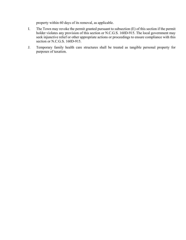property within 60 days of its removal, as applicable.

- I. The Town may revoke the permit granted pursuant to subsection (E) of this section if the permit holder violates any provision of this section or N.C.G.S. 160D-915. The local government may seek injunctive relief or other appropriate actions or proceedings to ensure compliance with this section or N.C.G.S. 160D-915.
- J. Temporary family health care structures shall be treated as tangible personal property for purposes of taxation.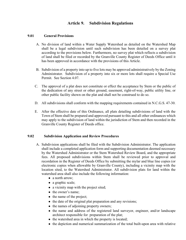# **Article 9. Subdivision Regulations**

### **9.01 General Provisions**

- A. No division of land within a Water Supply Watershed as detailed on the Watershed Map shall be a legal subdivision until such subdivision has been detailed on a survey plat according to the provisions below. Furthermore, no survey plat which reflects a subdivision of land shall be filed or recorded by the Granville County Register of Deeds Office until it has been approved in accordance with the provisions of this Article.
- B. Subdivision of a property into up to five lots may be approved administratively by the Zoning Administrator. Subdivision of a property into six or more lots shall require a Special Use Permit. See Section 4.07.
- C. The approval of a plat does not constitute or effect the acceptance by Stem or the public of the dedication of any street or other ground, easement, right-of-way, public utility line, or other public facility shown on the plat and shall not be construed to do so.
- D. All subdivisions shall conform with the mapping requirements contained in N.C.G.S. 47-30.
- E. After the effective date of this Ordinance, all plats detailing subdivisions of land with the Town of Stem shall be prepared and approved pursuant to this and all other ordinances which may apply to the subdivision of land within the jurisdiction of Stem and then recorded in the Granville County Register of Deeds office.

#### **9.02 Subdivision Application and Review Procedures**

- A. Subdivision applications shall be filed with the Subdivision Administrator. The application shall include a completed application form and supporting documentation deemed necessary by the Watershed Administrator or the Stem Watershed Review Board, and the appropriate fees. All proposed subdivisions within Stem shall be reviewed prior to approval and recordation in the Register of Deeds Office by submitting the mylar and blue line copies (or electronic copies when allowable by Granville County), including a vicinity map with the location sited, to the Watershed Administrator. All subdivision plats for land within the watershed area shall also include the following information:
	- a north arrow;
	- a graphic scale;
	- a vicinity map with the project sited;
	- the owner's name;
	- the name of the project;
	- the date of the original plat preparation and any revisions;
	- the names of adjoining property owners;
	- the name and address of the registered land surveyor, engineer, and/or landscape architect responsible for preparation of the plat;
	- the watershed area in which the property is located;
	- the depiction and numerical summarization of the total built-upon area with relative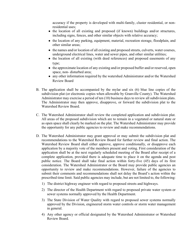accuracy if the property is developed with multi-family, cluster residential, or nonresidential uses;

- the location of all existing and proposed (if known) buildings and/or structures, including signs, fences, and other similar objects with relative accuracy;
- the location of any parking, equipment, material, recreation storage, floodplain, and other similar areas;
- the names and/or location of all existing and proposed streets, culverts, water courses, underground electrical lines, water and sewer pipes, and other similar utilities;
- the location of all existing (with deed references) and proposed easements of any type;
- the approximate location of any existing and/or proposed buffer and/or reserved, open space, non- disturbed area;
- any other information required by the watershed Administrator and/or the Watershed Review Board
- B. The application shall be accompanied by the mylar and six (6) blue line copies of the subdivision plat (or electronic copies when allowable by Granville County). The Watershed Administrator may exercise a period of ten (10) business days to review all subdivision plats. The Administrator may then approve, disapprove, or forward the subdivision plat to the Watershed Review Board.
- C. The Watershed Administrator shall review the completed application and subdivision plat. All areas of the proposed subdivision which are to remain in a vegetated or natural state or as open space shall clearly be marked on the plat. The Watershed Administrator may provide the opportunity for any public agencies to review and make recommendations.
- D. The Watershed Administrator may grant approval or may submit the subdivision plat and recommendations to the Watershed Review Board for further review and final action. The Watershed Review Board shall either approve, approve conditionally, or disapprove each application by a majority vote of the members present and voting. First consideration of the application shall be at the next regularly scheduled meeting of the Board after receipt of a complete application, provided there is adequate time to place it on the agenda and post public notice. The Board shall take final action within forty-five (45) days of its first consideration. The Watershed Administrator or the Board may provide public agencies an opportunity to review and make recommendations. However, failure of the agencies to submit their comments and recommendations shall not delay the Board's action within the prescribed time limit. Said public agencies may include, but are not limited to, the following:
	- 1) The district highway engineer with regard to proposed streets and highways.
	- 2) The director of the Health Department with regard to proposed private water system or sewer systems normally approved by the Health Department.
	- 3) The State Division of Water Quality with regard to proposed sewer systems normally approved by the Division, engineered storm water controls or storm water management in general.
	- 4) Any other agency or official designated by the Watershed Administrator or Watershed Review Board.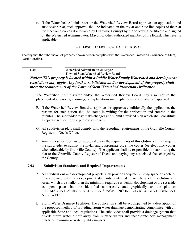E. If the Watershed Administrator or the Watershed Review Board approves an application and subdivision plat, such approval shall be indicated on the mylar and blue line copies of the plat (or electronic copies if allowable by Granville County) by the following certificate and signed by the Watershed Administrator, Mayor, or other authorized member of the Board, whichever is applicable:

#### WATERSHED CERTIFICATE OF APPROVAL

I certify that the subdivision of property shown hereon complies with the Watershed Protection Ordinance of Stem, North Carolina.

Date Watershed Administrator or Mayor,

Town of Stem Watershed Review Board

## *Notice: This property is located within a Public Water Supply Watershed and development restrictions may apply. Any further subdivision and/or development of this property shall meet the requirements of the Town of Stem Watershed Protection Ordinance.*

The Watershed Administrator and/or the Watershed Review Board may also require the placement of any notes, warnings, or explanations on the plat prior to signature of approval.

- F. If the Watershed Review Board disapproves or approves conditionally the application, the reasons for such action shall be stated in writing for the application and entered in the minutes. The subdivider may make changes and submit a revised plan which shall constitute a separate request for the purpose of review.
- G. All subdivision plats shall comply with the recording requirements of the Granville County Register of Deeds Office.
- H. Any request for subdivision approval under the requirements of this Ordinance shall require the subdivider to submit the mylar and appropriate blue line copies (or electronic copies when allowable by Granville County). The applicant shall be responsible for submitting the plat to the Granville County Register of Deeds and paying any associated fees charged by the County.

#### **9.03 Subdivision Standards and Required Improvements**

- A. All subdivisions and development projects shall provide adequate building space on each lot in accordance with the development standards contained in Article V of this Ordinance. Areas which are smaller than the minimum required residential development or are set aside as open space shall be identified numerically and graphically on the plat as "PERMANENTLY RESERVED OPEN SPACE – NO IMPERVIOUS DEVELOPMENT ALLOWED".
- B. Storm Water Drainage Facilities. The application shall be accompanied by a description of the proposed method of providing storm water drainage demonstrating compliance with all applicable State and local regulations. The subdivider shall provide a drainage system that diverts storm water runoff away from surface waters and incorporate best management practices to minimize water quality impacts.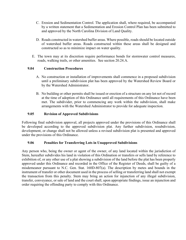- C. Erosion and Sedimentation Control. The application shall, where required, be accompanied by a written statement that a Sedimentation and Erosion Control Plan has been submitted to and approved by the North Carolina Division of Land Quality.
- D. Roads constructed in watershed buffer areas. Where possible, roads should be located outside of watershed buffer areas. Roads constructed within these areas shall be designed and constructed so as to minimize impact on water quality.
- E. The town may at its discretion require performance bonds for stormwater control measures, roads, walking trails, or other amenities. See section 20.24.A.

## **9.04 Construction Procedures**

- A. No construction or installation of improvements shall commence in a proposed subdivision until a preliminary subdivision plat has been approved by the Watershed Review Board or by the Watershed Administrator.
- B. No building or other permits shall be issued or erection of a structure on any lot not of record at the time of adoption of this Ordinance until all requirements of this Ordinance have been met. The subdivider, prior to commencing any work within the subdivision, shall make arrangements with the Watershed Administrator to provide for adequate inspection.

### **9.05 Revision of Approved Subdivisions**

Following final subdivision approval, all projects approved under the provisions of this Ordinance shall be developed according to the approved subdivision plat. Any further subdivision, resubdivision, development, or change shall not be allowed unless a revised subdivision plat is presented and approved under the provisions of this Ordinance.

## **9.06 Penalties for Transferring Lots in Unapproved Subdivisions**

Any person who, being the owner or agent of the owner, of any land located within the jurisdiction of Stem, hereafter subdivides his land in violation of this Ordination or transfers or sells land by reference to exhibition of, or any other use of a plat showing a subdivision of the land before the plat has been properly approved under this Ordinance and recorded in the Office of the Register of Deeds, shall be guilty of a misdemeanor pursuant to N.C. Gen. Stat. 160D-807(a). The description by metes and bounds in the instrument of transfer or other document used in the process of selling or transferring land shall not exempt the transaction from this penalty. Stem may bring an action for injunction of any illegal subdivision, transfer, conveyance, or sale of land and the court shall, upon appropriate findings, issue an injunction and order requiring the offending party to comply with this Ordinance.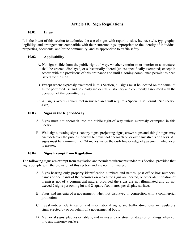# **Article 10. Sign Regulations**

### **10.01 Intent**

It is the intent of this section to authorize the use of signs with regard to size, layout, style, typography, legibility, and arrangements compatible with their surroundings; appropriate to the identity of individual properties, occupants, and/or the community; and as appropriate to traffic safety.

### **10.02 Applicability**

- A. No sign visible from the public right-of-way, whether exterior to or interior to a structure, shall be erected, displayed, or substantially altered (unless specifically exempted) except in accord with the provisions of this ordinance and until a zoning compliance permit has been issued for the sign.
- B. Except where expressly exempted in this Section, all signs must be located on the same lot as the permitted use and be clearly incidental, customary and commonly associated with the operation of the permitted use.
- C. All signs over 25 square feet in surface area will require a Special Use Permit. See section 4.07.

### **10.03 Signs in the Right-of-Way**

- A. Signs must not encroach into the public right-of way unless expressly exempted in this Section.
- B. Wall signs, awning signs, canopy signs, projecting signs, crown signs and shingle signs may encroach over the public sidewalk but must not encroach on or over any streets or alleys. All signs must be a minimum of 24 inches inside the curb line or edge of pavement, whichever is greater.

### **10.04 Signs Exempt from Regulation**

The following signs are exempt from regulation and permit requirements under this Section, provided that signs comply with the provision of this section and are not illuminated.

- A. Signs bearing only property identification numbers and names, post office box numbers, names of occupants of the premises on which the signs are located, or other identification of premises not of a commercial nature, provided the signs are not illuminated and do not exceed 2 signs per zoning lot and 2 square feet in area per display surface.
- B. Flags and insignia of a government, when not displayed in connection with a commercial promotion.
- C. Legal notices, identification and informational signs, and traffic directional or regulatory signs erected by or on behalf of a governmental body.
- D. Memorial signs, plaques or tablets, and names and construction dates of buildings when cut into any masonry surface.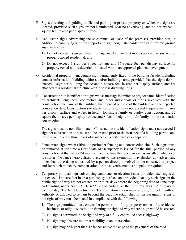- E. Signs directing and guiding traffic and parking on private property on which the signs are located, provided such signs are not illuminated, bear no advertising, and do not exceed 4 square feet in area per display surface.
- F. Real estate signs advertising the sale, rental, or lease of the premises, provided that, in addition to complying with the support and sign height standards for a cantilevered ground sign, such signs:
	- 1) Do not exceed 1 sign per street frontage and 4 square feet in area per display surface for property zoned residential; and
	- 2) Do not exceed 1 sign per street frontage and 16 square feet per display surface for property zoned non-residential or located within an approved planned development.
- G. Residential property management sign permanently fixed to the building facade, including contact information, building address and/or building name, provided that the signs do not exceed 1 sign per building facade and 4 square feet in area per display surface, and are attached to a residential structure with 7 or less dwelling units.
- H. Construction site identification signs whose message is limited to project name, identification of architects, engineers, contractors and other individuals or firms involved with the construction, the name of the building, the intended purpose of the building and the expected completion date. Construction site identification signs may not exceed 4 square feet in area per display surface and 6 feet in height for single-family or duplex construction; and 32 square feet in area per display surface and 8 feet in height for multifamily or non-residential construction.

 The signs must be non-illuminated. Construction site identification signs must not exceed 1 sign per construction site, must not be erected prior to the issuance of a building permit, and must be removed within 7 days of issuance of a certificate of occupancy.

- I. Fence wrap signs when affixed to perimeter fencing at a construction site. Such signs must be removed at the time a Certificate of Occupancy is issued for the final portion of any construction at that site or 24 months from the time the fence wrap was installed, whichever is shorter. No fence wrap affixed pursuant to this exemption may display any advertising other than advertising sponsored by a person directly involved in the construction project and for which monetary compensation for the advertisement is not paid or required.
- J. Temporary political signs advertising candidates or election issues, provided such signs do not exceed 4 square feet in area per display surface, and provided that any such signs in the public right-of-way are not erected prior to 30 days before the beginning date of "one-stop" early voting under N.C.G.S. 163-227.2 and ending on the 10th day after the primary or election day. The NC Department of Transportation may remove any signs erected without authority or allowed to remain beyond the deadline established in this paragraph. Signs in the right-of-way must be placed in compliance with the following:
	- 1) The sign permittee must obtain the permission of any property owner of a residence, business, or religious institution fronting the right-of-way where a sign would be erected.
	- 2) No sign is permitted in the right-of-way of a fully controlled access highway.
	- 3) No sign may obscure motorist visibility at an intersection.
	- 4) No sign may be higher than 42 inches above the edge of the pavement of the road.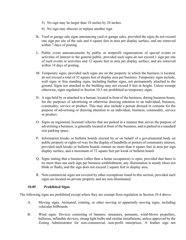- 5) No sign may be larger than 18 inches by 24 inches.
- 6) No sign may obscure or replace another sign.
- K. Yard or garage sale signs announcing yard or garage sales, provided the signs do not exceed one sign per site of the sale and 4 square feet in area per display surface, and are removed within 7 days of posting.
- L. Public event announcements by public or nonprofit organizations of special events or activities of interest to the general public, provided such signs do not exceed 1 sign per site of such events or activities and 12 square feet in area per display surface, and are removed within 14 days of posting.
- M. Temporary signs, provided such signs are on the property in which the business is located, do not exceed a total of 32 square feet of display area per business. Temporary signs include, wall signs or free standing signs, including feather signs, not permanently attached to the ground. Signs not attached to the building may not exceed 8 feet in height. Unless exempt otherwise, signs regulated in Section 10.5 are prohibited as temporary signs.
- N. A sign held by or attached to a human, located in front of the business, during business hours, for the purposes of advertising or otherwise drawing attention to an individual, business, commodity, service or product. This may also include a person dressed in costume for the purpose of advertising or drawing attention to an individual, business, commodity, service or product.
- O. Signs on registered, licensed vehicles that are parked in a manner that serves the purpose of advertising a business, is generally located in front of the business, and is parked in a standard size parking space.
- P. Information kiosks or bulletin boards erected by or on behalf of a governmental body on public property or rights-of-way for the display of handbills or posters of community interest, provided such kiosks or bulletin boards contain no more than 6 square feet in area per sign display surface, and a maximum of 72 square feet per kiosk or bulletin board.
- Q. Signs stating that a business (other than a home occupation) is open, provided that there is no more than one such sign per business establishment, any illumination is steady (does not blink or flash), and the sign does not exceed 2 square feet in display area.
- R. Non-commercial signs not covered by other exemptions listed in this section, provided such signs are located on private property and are non-illuminated.

### **10.05 Prohibited Signs**

The following signs are prohibited except where they are exempt from regulation in Section 10.4 above.

- A. Moving signs. Animated, rotating, or other moving or apparently moving signs, including vehicular billboards.
- B. Wind signs. Devices consisting of banners, streamers, pennants, wind-blown propellers, balloons, inflatable devices, strung light bulbs and similar installations, unless approved by the Zoning Administrator for non-commercial, non-profit enterprises. A feather sign not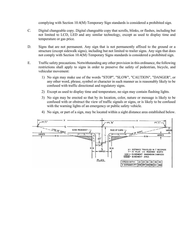complying with Section 10.4(M) Temporary Sign standards is considered a prohibited sign.

- C. Digital changeable copy. Digital changeable copy that scrolls, blinks, or flashes, including but not limited to LCD, LED and any similar technology, except as used to display time and temperature or gas price.
- D. Signs that are not permanent. Any sign that is not permanently affixed to the ground or a structure (except sidewalk signs), including but not limited to trailer signs. Any sign that does not comply with Section 10.4(M) Temporary Signs standards is considered a prohibited sign.
- E. Traffic safety precautions. Notwithstanding any other provision in this ordinance, the following restrictions shall apply to signs in order to preserve the safety of pedestrian, bicycle, and vehicular movement:
	- 1) No sign may make use of the words "STOP", "SLOW", "CAUTION", "DANGER", or any other word, phrase, symbol or character in such manner as is reasonably likely to be confused with traffic directional and regulatory signs.
	- 2) Except as used to display time and temperature, no sign may contain flashing lights.
	- 3) No sign may be erected so that by its location, color, nature or message is likely to be confused with or obstruct the view of traffic signals or signs, or is likely to be confused with the warning lights of an emergency or public safety vehicle.



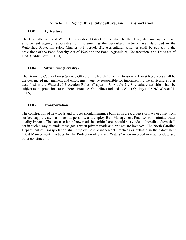# **Article 11. Agriculture, Silviculture, and Transportation**

### **11.01 Agriculture**

The Granville Soil and Water Conservation District Office shall be the designated management and enforcement agency responsible for implementing the agricultural activity rules described in the Watershed Protection rules, Chapter 143, Article 21. Agricultural activities shall be subject to the provisions of the Food Security Act of 1985 and the Food, Agriculture, Conservation, and Trade act of 1990 (Public Law 1.01-24).

### **11.02 Silviculture (Forestry)**

The Granville County Forest Service Office of the North Carolina Division of Forest Resources shall be the designated management and enforcement agency responsible for implementing the silviculture rules described in the Watershed Protection Rules, Chapter 143, Article 21. Silviculture activities shall be subject to the provisions of the Forest Practices Guidelines Related to Water Quality (15A NCAC 0.0101- .0209).

### **11.03 Transportation**

The construction of new roads and bridges should minimize built-upon area, divert storm water away from surface supply waters as much as possible, and employ Best Management Practices to minimize water quality impacts. The construction of new roads in a critical area should be avoided, if possible. Stem shall act in such a way to attain these goals when private roads and bridges are involved. The North Carolina Department of Transportation shall employ Best Management Practices as outlined in their document "Best Management Practices for the Protection of Surface Waters" when involved in road, bridge, and other construction.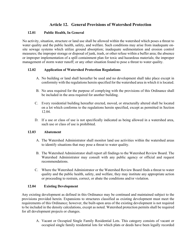# **Article 12. General Provisions of Watershed Protection**

### **12.01 Public Health, In General**

No activity, situation, structure or land use shall be allowed within the watershed which poses a threat to water quality and the public health, safety, and welfare. Such conditions may arise from inadequate onsite sewage systems which utilize ground absorption; inadequate sedimentation and erosion control measures; the improper storage or disposal of junk, trash, or other refuse within a buffer area; the absence or improper implementation of a spill containment plan for toxic and hazardous materials; the improper management of storm water runoff; or any other situation found to pose a threat to water quality.

## **12.02 Application of Watershed Protection Regulations**

- A. No building or land shall hereafter be used and no development shall take place except in conformity with the regulations herein specified for the watershed area in which it is located.
- B. No area required for the purpose of complying with the provisions of this Ordinance shall be included in the area required for another building.
- C. Every residential building hereafter erected, moved, or structurally altered shall be located on a lot which conforms to the regulations herein specified, except as permitted in Section 12.04.
- D. If a use or class of use is not specifically indicated as being allowed in a watershed area, such use or class of use is prohibited.

### **12.03 Abatement**

- A. The Watershed Administrator shall monitor land use activities within the watershed areas to identify situations that may pose a threat to water quality.
- B. The Watershed Administrator shall report all findings to the Watershed Review Board. The Watershed Administrator may consult with any public agency or official and request recommendations.
- C. Where the Watershed Administrator or the Watershed Review Board finds a threat to water quality and the public health, safety, and welfare, they may institute any appropriate action or proceeding to restrain, correct, or abate the conditions and/or violation.

### **12.04 Existing Development**

Any existing development as defined in this Ordinance may be continued and maintained subject to the provisions provided herein. Expansions to structures classified as existing development must meet the requirements of this Ordinance; however, the built-upon area of the existing development is not required to be included in the density calculations, except as noted. Watershed protection permits shall be required for all development projects or changes.

A. Vacant or Occupied Single Family Residential Lots. This category consists of vacant or occupied single family residential lots for which plats or deeds have been legally recorded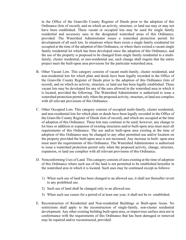in the Office of the Granville County Register of Deeds prior to the adoption of this Ordinance (lots of record), and on which an activity, structure, or land use may or may not have been established. These vacant or occupied lots may be used for single family residential and accessory uses in the designated watershed areas of this Ordinance, provided: The Watershed Administrator issues a watershed protection permit for development of all such lots. In situations where there exists a single family residential lot occupied at the time of the adoption of this Ordinance, or where there existed a vacant single family residential lot which has been developed since the adoption of this Ordinance, and the use of the property is proposed to be changed from single family residential to a multifamily, cluster residential, or non-residential use, such change shall require that the entire project meet the built-upon area provisions for the particular watershed area.

- B. Other Vacant Lots. This category consists of vacant multi-family, cluster residential, and non-residential lots for which plats and deeds have been legally recorded in the Office of the Granville County Register of Deeds prior to the adoption of this Ordinance (lots of record), and on which no activity, structure, or land use has been legally established. These vacant lots may be developed for any of the uses allowed in the watershed area in which it is located, provided the following: The Watershed Administrator is authorized to issue a watershed protection permit only when the proposed activity, structure, or land use complies with all relevant provisions of this Ordinance.
- C. Other Occupied Lots. This category consists of occupied multi-family, cluster residential, and non-residential lots for which plats or deeds have been legally recorded in the Office of the Granville County Register of Deeds (lots of record), and which are occupied at the time of adoption of this Ordinance. These lots may continue to be used; however, any change to lot lines or addition or expansion of existing structures and/or built-upon area must meet all requirements of this Ordinance. The use and/or built-upon area existing at the time of adoption of this Ordinance may be changed to any other permitted use and/or location on the property provided the built-upon area is not increased. Any increase in built- upon area must meet the requirements of this Ordinance. The Watershed Administrator is authorized to issue a watershed protection permit only when the proposed activity, change, structure, expansion, or land use complies with all relevant provisions of this Ordinance.
- D. Nonconforming Uses of Land. This category consists of uses existing at the time of adoption of this Ordinance where such use of the land is not permitted to be established hereafter in the watershed area in which it is located. Such uses may be continued except as follows:
	- 1) When such use of land has been changed to an allowed use, it shall not thereafter revert to any prohibited use.
	- 2) Such use of land shall be changed only to an allowed use.
	- 3) When such use ceases for a period of at least one year, it shall not be re- established.
- E. Reconstruction of Residential and Non-residential Buildings or Built-upon Areas. No restrictions shall apply to the reconstruction of single-family, non-cluster residential development. Any other existing building built-upon area, or impervious surface area not in conformance with the requirements of this Ordinance that has been damaged or removed may be repaired and/or reconstructed, provided: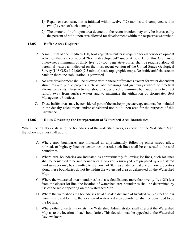- 1) Repair or reconstruction is initiated within twelve (12) months and completed within two (2) years of such damage.
- 2) The amount of built-upon area devoted to the reconstruction may only be increased by the percent of built-upon area allowed for development within the respective watershed.

### **12.05 Buffer Areas Required**

- A. A minimum of one hundred (100) foot vegetative buffer is required for all new development activities that are considered "bonus development" under Article 15 of this Ordinance; otherwise, a minimum of thirty five (35) foot vegetative buffer shall be required along all perennial waters as indicated on the most recent version of the United States Geological Survey (U.S.G.S.) 1:24,000 (7.5 minute) scale topographic maps. Desirable artificial stream bank or shoreline stabilization is permitted.
- B. No new development shall be allowed within these buffer areas except for water dependent structures and public projects such as road crossings and greenways where no practical alternative exists. These activities should be designed to minimize built-upon area to direct runoff away from surface waters and to maximize the utilization of stormwater Best Management Practices.
- C. These buffer areas may be considered part of the entire project acreage and may be included in the density calculations and/or considered non-built-upon area for the purposes of this Ordinance.

### **12.06 Rules Governing the Interpretation of Watershed Area Boundaries**

Where uncertainty exists as to the boundaries of the watershed areas, as shown on the Watershed Map, the following rules shall apply:

- A. Where area boundaries are indicated as approximately following either street, alley, railroad, or highway lines or centerlines thereof, such lines shall be construed to be said boundaries.
- B. Where area boundaries are indicated as approximately following lot lines, such lot lines shall be construed to be said boundaries. However, a surveyed plat prepared by a registered land surveyor may be submitted to the Town of Stem as evidence that one or more properties along these boundaries do not lie within the watershed area as delineated on the Watershed Map.
- C. Where the watershed area boundaries lie at a scaled distance more than twenty-five (25) feet from the closest lot line, the location of watershed area boundaries shall be determined by use of the scale appearing on the Watershed Map.
- D. Where the watershed area boundaries lie at a scaled distance of twenty-five (25) feet or less from the closest lot line, the location of watershed area boundaries shall be construed to be the lot line.
- E. Where other uncertainty exists, the Watershed Administrator shall interpret the Watershed Map as to the location of such boundaries. This decision may be appealed to the Watershed Review Board.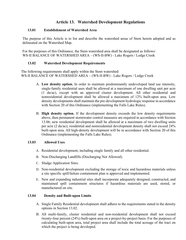# **Article 13. Watershed Development Regulations**

### **13.01 Establishment of Watershed Area**

The purpose of this Article is to list and describe the watershed areas of Stem herein adopted and as delineated on the Watershed Map.

For the purposes of this Ordinance, the Stem watershed area shall be designated as follows: WS-II BALANCE OF WATERSHED AREA – (WS-II-BW) - Lake Rogers / Ledge Creek

### **13.02 Watershed Development Requirements**

The following requirements shall apply within the Stem watershed: WS-II BALANCE OF WATERSHED AREA – (WS-II-BW) - Lake Rogers / Ledge Creek

- A. **Low density option.** In order to maintain predominantly undeveloped land use intensity, single-family residential uses shall be allowed at a maximum of one dwelling unit per acre (1 du/ac), except with an approved cluster development. All other residential and nonresidential development shall be allowed a maximum of 12% built-upon area. Low density developments shall maintain the pre-development hydrologic response in accordance with Section 20 of this Ordinance (implementing the Falls Lake Rules).
- B. **High density option.** If the development density exceeds the low density requirements above, then permanent stormwater control measures are required in accordance with Section 13.06; new residential development shall be allowed at a maximum of two dwelling units per acre (2 du/ac); residential and nonresidential development density shall not exceed 24% built-upon area. All high-density development will be in accordance with Section 20 of this Ordinance (implementing the Falls Lake Rules).

#### **13.03 Allowed Uses**

- A. Residential development, including single family and all other residential.
- B. Non-Discharging Landfills (Discharging Not Allowed).
- C. Sludge Application Sites.
- D. Non-residential development excluding the storage of toxic and hazardous materials unless a site specific spill/failure containment plan is approved and implemented.
- E. New and expanding industrial sites shall incorporate adequately designed, constructed, and maintained spill containment structures if hazardous materials are used, stored, or manufactured on site.

### **13.04 Density and Built-upon Limits**

- A. Single Family Residential development shall adhere to the requirements stated in the density options in Section 13.02.
- B. All multi-family, cluster residential and non-residential development shall not exceed twenty-four percent (24%) built-upon area on a project-by-project basis. For the purposes of calculating built-upon area, total project area shall include the total acreage of the tract on which the project is being developed.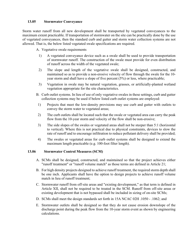#### **13.05 Stormwater Conveyance**

Storm water runoff from all new development shall be transported by vegetated conveyances to the maximum extent practicable. If transportation of stormwater on the site can be practically done by the use of vegetated conveyances, then the standard curb and gutter and storm water collection systems are not allowed. That is, the below listed vegetated swale specifications are required.

A. Vegetative swale requirements

- 1) A vegetated conveyance device such as a swale shall be used to provide transportation of stormwater runoff. The construction of the swale must provide for even distribution of runoff across the width of the vegetated swale;
- 2) The slope and length of the vegetative swale shall be designed, constructed, and maintained so as to provide a non-erosive velocity of flow through the swale for the 10 year storm and shall have a slope of five percent (5%) or less, where practicable;
- 3) Vegetation in swale may be natural vegetation, grasses, or artificially-planted wetland vegetation appropriate for the site characteristics.
- B. Curb outlet systems. In lieu of use of only vegetative swales in these settings, curb and gutter collection systems may be used if below listed curb outlet systems are employed:
	- 1) Projects that meet the low-density provisions may use curb and gutter with outlets to convey the storm water to vegetated areas;
	- 2) The curb outlets shall be located such that the swale or vegetated area can carry the peak flow from the 10-year storm and velocity of the flow shall be non-erosive;
	- 3) The side slopes of the swales or vegetated areas shall not be steeper than 5:1 (horizontal to vertical). Where this is not practical due to physical constraints, devices to slow the rate of runoff and to encourage infiltration to reduce pollutant delivery shall be provided;
	- 4) The swales or vegetated areas for curb outlet systems shall be designed to extend the maximum length practicable (e.g. 100-foot filter length).

#### **13.06 Stormwater Control Measures (SCM)**

- A. SCMs shall be designed, constructed, and maintained so that the project achieves either "runoff treatment" or "runoff volume match" as those terms are defined in Article 21;
- B. For high density projects designed to achieve runoff treatment, the required storm depth shall be one inch. Applicants shall have the option to design projects to achieve runoff volume match in lieu of runoff treatment;
- C. Stormwater runoff from off-site areas and "existing development," as that term is defined in Article XII, shall not be required to be treated in the SCM. Runoff from off-site areas or existing development that is not bypassed shall be included in sizing of on-site SCMs;
- D. SCMs shall meet the design standards set forth in 15A NCAC 02H .1050 .1062; and
- E. Stormwater outlets shall be designed so that they do not cause erosion downslope of the discharge point during the peak flow from the 10-year storm event as shown by engineering calculations.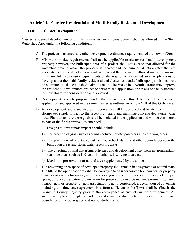# **Article 14. Cluster Residential and Multi-Family Residential Development**

#### **14.01 Cluster Development**

Cluster residential development and multi-family residential development shall be allowed in the Stem Watershed Area under the following conditions:

- A. The projects must meet any other development ordinance requirements of the Town of Stem.
- B. Minimum lot size requirements shall not be applicable to cluster residential development projects; however, the built-upon area of a project shall not exceed that allowed for the watershed area in which the property is located and the number of lots created that are associated with the development shall not exceed the maximum allowed under the normal minimum lot size density requirements of the respective watershed area. Applications to develop under the multi-family residential and cluster residential built-upon provisions must be submitted to the Watershed Administrator. The Watershed Administrator may approve the residential development project or forward the application and plans to the Watershed Review Board for consideration and approval.
- C. Development projects proposed under the provisions of this Article shall be designed, applied for, and approved in the same manner as outlined in Article VIII of this Ordinance.
- D. All development and associated built-upon area shall be designed and located to minimize stormwater runoff impact to the receiving waters and minimize concentrated storm water flow. Plans to achieve these goals shall be included in the application and will be considered as part of the final approval, as amended.

Designs to limit runoff impact should include:

- 1) The creation of grass swales (berms) between built-upon areas and receiving areas
- 2) The placement of vegetative buffers, rock-check dams, and other controls between the built upon areas and storm water receiving areas
- 3) The directing of land disturbing activities and development away from environmentally sensitive areas such as 100-year floodplains, low-lying areas, etc.
- 4) Maximum preservation of natural area supplemented by the above
- E. The remaining open space of developed property shall remain in a vegetated or natural state. The title to the open space area shall be conveyed to an incorporated homeowners or property owners association for management; to a local government for preservation as a park or open space; or to a conservation organization for preservation in a permanent easement. Where a homeowners or property owners association is not incorporated, a declaration of covenants including a maintenance agreement in a form sufficient to the Town shall be filed in the Granville County Registry prior to the conveyance of any lots in the development. All subdivision plats, site plans, and other documents shall detail the exact location and boundaries of the open space and non-disturbed area.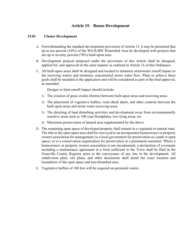# **Article 15. Bonus Development**

#### **15.01 Cluster Development**

- A. Notwithstanding the standard development provisions of Article 13, it may be permitted that up to ten percent (10%) of the WS-II-BW Watershed Area be developed with projects that are up to seventy percent (70%) built-upon area.
- B. Development projects proposed under the provisions of this Article shall be designed, applied for, and approved in the same manner as outlined in Article 16 of this Ordinance.
- C. All built-upon areas shall be designed and located to minimize stormwater runoff impact to the receiving waters and minimize concentrated storm water flow. Plans to achieve these goals shall be included in the application and will be considered as part of the final approval, as amended.

Designs to limit runoff impact should include:

- 1) The creation of grass swales (berms) between built-upon areas and receiving areas
- 2) The placement of vegetative buffers, rock-check dams, and other controls between the built upon areas and storm water receiving areas
- 3) The directing of land disturbing activities and development away from environmentally sensitive areas such as 100-year floodplains, low-lying areas, etc
- 4) Maximum preservation of natural area supplemented by the above
- D. The remaining open space of developed property shall remain in a vegetated or natural state. The title to the open space area shall be conveyed to an incorporated homeowners or property owners association for management; to a local government for preservation as a park or open space; or to a conservation organization for preservation in a permanent easement. Where a homeowners or property owners association is not incorporated, a declaration of covenants including a maintenance agreement in a form sufficient to the Town shall be filed in the Granville County Registry prior to the conveyance of any lots in the development. All subdivision plats, site plans, and other documents shall detail the exact location and boundaries of the open space and non-disturbed area.
- E. Vegetative buffers of 100 feet will be required on perennial waters.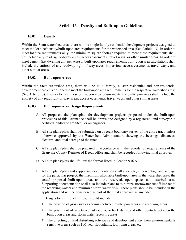# **Article 16. Density and Built-upon Guidelines**

#### **16.01 Density**

Within the Stem watershed area, there will be single family residential development projects designed to meet the lot size/density/built-upon area requirements for the watershed area (See Article 13). In order to meet lot size requirements only, the minimum square footage required to meet these requirements shall not include any road right-of-way areas, access easements, travel ways, or other similar areas. In order to meet density (i.e. dwelling unit per acre) or built-upon area requirements, built-upon area calculations shall include the entirety of any roadway right-of-way areas, impervious access easements, travel ways, and other similar areas.

#### **16.02 Built-upon Areas**

Within the Stem watershed area, there will be multi-family, cluster residential and non-residential development projects designed to meet the built-upon area requirements for the respective watershed areas (See Article 13). In order to meet these built-upon area requirements, the built-upon areas shall include the entirety of any road right-of-way areas, access easements, travel ways, and other similar areas.

#### **16.03 Built-upon Area Design Requirements**

- A. All proposed site plans/plats for development projects proposed under the built-upon provisions of this Ordinance shall be drawn and designed by a registered land surveyor, a certified landscape architect, or an engineer.
- B. All site plans/plats shall be submitted on a recent boundary survey of the entire tract, unless otherwise approved by the Watershed Administrator, showing the bearings, distances, closures, and total acreage of the tract.
- C. All site plans/plats shall be prepared in accordance with the recordation requirements of the Granville County Register of Deeds office and shall be recorded following final approval.
- D. All site plans/plats shall follow the format listed in Section 9.02A.
- E. All site plans/plats and supporting documentation shall also note, in percentage and acreage for the particular project, the maximum allowable built-upon area in the watershed area, the actual proposed built-upon area, and the reserved, open space, non-disturbed area. Supporting documentation shall also include plans to minimize stormwater runoff impact to the receiving waters and minimize storm water flow. These plans should be included in the application and will be considered as part of the final approval, as amended.

Designs to limit runoff impact should include:

- 1) The creation of grass swales (berms) between built-upon areas and receiving areas
- 2) The placement of vegetative buffers, rock-check dams, and other controls between the built upon areas and storm water receiving areas
- 3) The directing of land disturbing activities and development away from environmentally sensitive areas such as 100-year floodplains, low-lying areas, etc.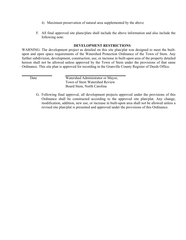- 4) Maximum preservation of natural area supplemented by the above
- F. All final approved site plans/plats shall include the above information and also include the following note:

#### **DEVELOPMENT RESTRICTIONS**

WARNING: The development project as detailed on this site plan/plat was designed to meet the builtupon and open space requirements of the Watershed Protection Ordinance of the Town of Stem. Any further subdivision, development, construction, use, or increase in built-upon area of the property detailed hereon shall not be allowed unless approved by the Town of Stem under the provisions of that same Ordinance. This site plan is approved for recording in the Granville County Register of Deeds Office.

Date Watershed Administrator or Mayor, Town of Stem Watershed Review Board Stem, North Carolina

G. Following final approval, all development projects approved under the provisions of this Ordinance shall be constructed according to the approved site plan/plat. Any change, modification, addition, new use, or increase in built-upon area shall not be allowed unless a revised site plan/plat is presented and approved under the provisions of this Ordinance.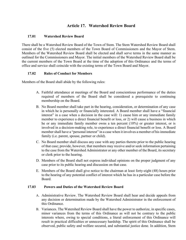# **Article 17. Watershed Review Board**

#### **17.01 Watershed Review Board**

There shall be a Watershed Review Board of the Town of Stem. The Stem Watershed Review Board shall consist of the five (5) elected members of the Town Board of Commissioners and the Mayor of Stem. Members of the Watershed Review Board shall be elected and shall serve terms in the same manner as outlined for the Commissioners and Mayor. The initial members of the Watershed Review Board shall be the current members of the Town Board at the time of the adoption of this Ordinance and the terms of office and service shall coincide with the existing terms of the Town Board and Mayor.

#### **17.02 Rules of Conduct for Members**

Members of the Board shall abide by the following rules:

- A. Faithful attendance at meetings of the Board and conscientious performance of the duties required of members of the Board shall be considered a prerequisite to continuing membership on the Board.
- B. No Board member shall take part in the hearing, consideration, or determination of any case in which he is personally or financially interested. A Board member shall have a "financial interest" in a case when a decision in the case will: 1) cause him or any immediate family member to experience a direct financial benefit or loss, or 2) will cause a business in which he or any immediate family member owns a ten percent (10%) or greater interest, or is involved in a decision-making role, to experience a direct financial benefit or loss. A Board member shall have a "personal interest" in a case when it involves a member of his immediate family (i.e. parent, spouse, partner or child).
- C. No Board member shall discuss any case with any parties thereto prior to the public hearing of that case; provide, however, that members may receive and/or seek information pertaining to the case from the Watershed Administrator or any other member of the Board, its secretary or clerk prior to the hearing.
- D. Members of the Board shall not express individual opinions on the proper judgment of any case prior to its public hearing and discussion on that case.
- E. Members of the Board shall give notice to the chairman at least forty-eight (48) hours prior to the hearing of any potential conflict of interest which he has in a particular case before the Board.

#### **17.03 Powers and Duties of the Watershed Review Board**

- A. Administrative Review. The Watershed Review Board shall hear and decide appeals from any decision or determination made by the Watershed Administrator in the enforcement of this Ordinance.
- B. Variances. The Watershed Review Board shall have the power to authorize, in specific cases, minor variances from the terms of this Ordinance as will not be contrary to the public interests where, owing to special conditions, a literal enforcement of this Ordinance will result in practical difficulties or unnecessary hardship. The spirit of this Ordinance shall be observed, public safety and welfare secured, and substantial justice done. In addition, Stem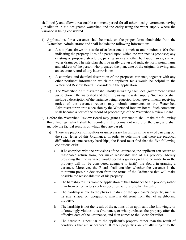shall notify and allow a reasonable comment period for all other local governments having jurisdiction in the designated watershed and the entity using the water supply where the variance is being considered.

- 1) Applications for a variance shall be made on the proper form obtainable from the Watershed Administrator and shall include the following information:
	- a) A site plan, drawn to a scale of at least one (1) inch to one hundred (100) feet, indicating the property lines of a parcel upon which the variance is proposed; any existing or proposed structures; parking areas and other built-upon areas; surface water drainage. The site plan shall be neatly drawn and indicate north point, name and address of the person who prepared the plan, date of the original drawing, and an accurate record of any later revisions.
	- b) A complete and detailed description of the proposed variance, together with any other pertinent information which the applicant feels would be helpful to the Watershed Review Board in considering the application.
	- c) The Watershed Administrator shall notify in writing each local government having jurisdiction in the watershed and the entity using the water supply. Such notice shall include a description of the variance being requested. Local governments receiving notice of the variance request may submit comments to the Watershed Administrator prior to a decision by the Watershed Review Board. Such comments shall become a part of the record of proceedings of the Watershed Review Board.
- 2) Before the Watershed Review Board may grant a variance it shall make the following three findings, which shall be recorded in the permanent record of the case, and shall include the factual reasons on which they are based:
	- a) There are practical difficulties or unnecessary hardships in the way of carrying out the strict letter of this Ordinance. In order to determine that there are practical difficulties or unnecessary hardships, the Board must find that the five following conditions exist:
		- i. If he complies with the provisions of the Ordinance, the applicant can secure no reasonable return from, nor make reasonable use of his property. Merely providing that the variance would permit a greater profit to be made from the property will not be considered adequate to justify the Board in granting a variance. Moreover, the Board shall consider whether the variance is the minimum possible deviation from the terms of the Ordinance that will make possible the reasonable use of his property.
		- ii. The hardship results from the application of the Ordinance to the property rather than from other factors such as deed restrictions or other hardship.
		- iii. The hardship is due to the physical nature of the applicant's property, such as its size, shape, or topography, which is different from that of neighboring property.
		- iv. The hardship is not the result of the actions of an applicant who knowingly or unknowingly violates this Ordinance, or who purchases the property after the effective date of the Ordinance, and then comes to the Board for relief.
		- v. The hardship is peculiar to the applicant's property rather than the result of conditions that are widespread. If other properties are equally subject to the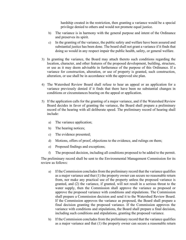hardship created in the restriction, then granting a variance would be a special privilege denied to others and would not promote equal justice.

- b) The variance is in harmony with the general purpose and intent of the Ordinance and preserves its spirit.
- c) In the granting of the variance, the public safety and welfare have been assured and substantial justice has been done. The board shall not grant a variance if it finds that doing so would in any respect impair the public health, safety, or general welfare.
- 3) In granting the variance, the Board may attach thereto such conditions regarding the location, character, and other features of the proposed development, building, structure, or use as it may deem advisable in furtherance of the purpose of this Ordinance. If a variance for construction, alteration, or use of property is granted, such construction, alteration, or use shall be in accordance with the approved site plan.
- 4) The Watershed Review Board shall refuse to hear an appeal or an application for a variance previously denied if it finds that there have been no substantial changes in conditions or circumstances bearing on the appeal or application.
- 5) If the application calls for the granting of a major variance, and if the Watershed Review Board decides in favor of granting the variance, the Board shall prepare a preliminary record of the hearing with all deliberate speed. The preliminary record of hearing shall include:
	- a) The variance application;
	- b) The hearing notices;
	- c) The evidence presented;
	- d) Motions, offers of proof, objections to the evidence, and rulings on them;
	- e) Proposed findings and exceptions;
	- f) The proposed decision, including all conditions proposed to be added to the permit.

The preliminary record shall be sent to the Environmental Management Commission for its review as follows:

- a) If the Commission concludes from the preliminary record that the variance qualifies as a major variance and that (1) the property owner can secure no reasonable return from, nor make any practical use of the property unless the proposed variance is granted, and (2) the variance, if granted, will not result in a serious threat to the water supply, then the Commission shall approve the variance as proposed or approve the proposed variance with conditions and stipulations. The Commission shall prepare a Commission decision and send it to the Watershed Review Board. If the Commission approves the variance as proposed, the Board shall prepare a final decision granting the proposed variance. If the Commission approves the variance with conditions and stipulations, the Board shall prepare a final decision, including such conditions and stipulations, granting the proposed variance.
- b) If the Commission concludes from the preliminary record that the variance qualifies as a major variance and that (1) the property owner can secure a reasonable return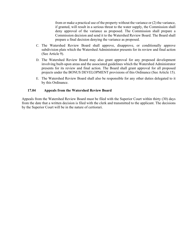from or make a practical use of the property without the variance or (2) the variance, if granted, will result in a serious threat to the water supply, the Commission shall deny approval of the variance as proposed. The Commission shall prepare a Commission decision and send it to the Watershed Review Board. The Board shall prepare a final decision denying the variance as proposed.

- C. The Watershed Review Board shall approve, disapprove, or conditionally approve subdivision plats which the Watershed Administrator presents for its review and final action (See Article 9).
- D. The Watershed Review Board may also grant approval for any proposed development involving built-upon areas and the associated guidelines which the Watershed Administrator presents for its review and final action. The Board shall grant approval for all proposed projects under the BONUS DEVELOPMENT provisions of this Ordinance (See Article 15).
- E. The Watershed Review Board shall also be responsible for any other duties delegated to it by this Ordinance.

#### **17.04 Appeals from the Watershed Review Board**

Appeals from the Watershed Review Board must be filed with the Superior Court within thirty (30) days from the date that a written decision is filed with the clerk and transmitted to the applicant. The decisions by the Superior Court will be in the nature of certiorari.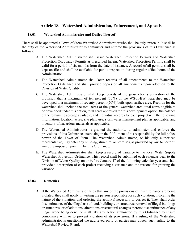# **Article 18. Watershed Administration, Enforcement, and Appeals**

#### **18.01 Watershed Administrator and Duties Thereof**

There shall be appointed a Town of Stem Watershed Administrator who shall be duly sworn in. It shall be the duty of the Watershed Administrator to administer and enforce the provisions of this Ordinance as follows:

- A. The Watershed Administrator shall issue Watershed Protection Permits and Watershed Protection Occupancy Permits as prescribed herein. Watershed Protection Permits shall be valid for a period of six months from the date of issuance. A record of all permits shall be kept on file and shall be available for public inspection during regular office hours of the Administrator.
- B. The Watershed Administrator shall keep records of all amendments to the Watershed Protection Ordinance and shall provide copies of all amendments upon adoption to the Division of Water Quality.
- C. The Watershed Administrator shall keep records of the jurisdiction's utilization of the provision that a maximum of ten percent (10%) of the WS-II-BW watershed may be developed to a maximum of seventy percent (70%) built-upon surface area. Records for the watershed shall include the total acres of the general watershed area, total acres eligible to be developed under this option, total acres approved for this development option, the balance of the remaining acreage available, and individual records for each project with the following information: location, acres, site plan, use, stormwater management plan as applicable, and inventory of hazardous materials as applicable.
- D. The Watershed Administrator is granted the authority to administer and enforce the provisions of this Ordinance, exercising in the fulfillment of his responsibility the full police power of the Town of Stem. The Watershed Administrator, or his duly authorized representative, may enter any building, structure, or premises, as provided by law, to perform any duty imposed upon him by this Ordinance.
- E. The Watershed Administrator shall keep a record of variance to the local Water Supply Watershed Protection Ordinance. This record shall be submitted each calendar year to the Division of Water Quality on or before January  $1<sup>st</sup>$  of the following calendar year and shall provide a description of each project receiving a variance and the reasons for granting the variance.

#### **18.02 Remedies**

A. If the Watershed Administrator finds that any of the provisions of this Ordinance are being violated, they shall notify in writing the person responsible for such violation, indicating the nature of the violation, and ordering the action(s) necessary to correct it. They shall order discontinuance of the illegal use of land, buildings, or structures; removal of illegal buildings or structures, or of additions, alterations or structural changes thereto; discontinuance of any illegal work being done; or shall take any action authorized by this Ordinance to ensure compliance with or to prevent violation of its provisions. If a ruling of the Watershed Administrator is questioned the aggrieved party or parties may appeal such ruling to the Watershed Review Board.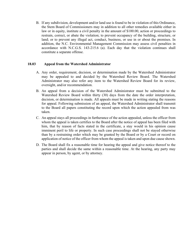B. If any subdivision, development and/or land use is found to be in violation of this Ordinance, the Stem Board of Commissioners may in addition to all other remedies available either in law or in equity, institute a civil penalty in the amount of \$100.00, action or proceedings to restrain, correct, or abate the violation; to prevent occupancy of the building, structure, or land; or to prevent any illegal act, conduct, business, or use in or about the premises. In addition, the N.C. Environmental Management Commission may assess civil penalties in accordance with N.C.G.S. 143-215.6 (a). Each day that the violation continues shall constitute a separate offense.

#### **18.03 Appeal from the Watershed Administrator**

- A. Any order, requirement, decision, or determination made by the Watershed Administrator may be appealed to and decided by the Watershed Review Board. The Watershed Administrator may also refer any item to the Watershed Review Board for its review, oversight, and/or recommendation.
- B. An appeal from a decision of the Watershed Administrator must be submitted to the Watershed Review Board within thirty (30) days from the date the order interpretation, decision, or determination is made. All appeals must be made in writing stating the reasons for appeal. Following submission of an appeal, the Watershed Administrator shall transmit to the Board all papers constituting the record upon which the action appealed from was taken.
- C. An appeal stays all proceedings in furtherance of the action appealed, unless the officer from whom the appeal is taken certifies to the Board after the notice of appeal has been filed with him, that by reason of facts stated in the certificate, a stay would in his opinion cause imminent peril to life or property. In such case proceedings shall not be stayed otherwise than by a restraining order which may be granted by the Board or by a Court or record on application of notice of the officer from whom the appeal is taken and upon due cause shown.
- D. The Board shall fix a reasonable time for hearing the appeal and give notice thereof to the parties and shall decide the same within a reasonable time. At the hearing, any party may appear in person, by agent, or by attorney.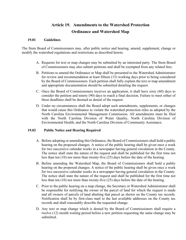# **Article 19. Amendments to the Watershed Protection Ordinance and Watershed Map**

#### **19.01 Guidelines**

The Stem Board of Commissioners may, after public notice and hearing, amend, supplement, change or modify the watershed regulations and restrictions as described herein.

- A. Requests for text or map changes may be submitted by an interested party. The Stem Board of Commissioners may also submit petitions and shall be exempted from any related fees.
- B. Petitions to amend the Ordinance or Map shall be presented to the Watershed Administrator for review and recommendation at least fifteen (15) working days prior to being considered by the Board of Commissioners. Each petition shall fully explain the text or map amendment and appropriate documentation should be submitted detailing the request.
- C. Once the Board of Commissioners receives an application, it shall have sixty (60) days to consider the petition and ninety (90) days to reach a final decision. Failure to meet either of these deadlines shall be deemed as denial of the request.
- D. Under no circumstances shall the Board adopt such amendments, supplements, or changes that would cause this Ordinance to violate the watershed protection rules as adopted by the North Carolina Environmental Management Commission. All amendments must be filed with the North Carolina Division of Water Quality, North Carolina Division of Environmental Health, and the North Carolina Division of Community Assistance.

#### **19.02 Public Notice and Hearing Required**

- A. Before adopting or amending this Ordinance, the Board of Commissioners shall hold a public hearing on the proposed changes. A notice of the public hearing shall be given once a week for two successive calendar weeks in a newspaper having general circulation in the County. The notice shall state the nature of the request and shall be published for the first time not less than ten (10) nor more than twenty-five (25) days before the date of the hearing.
- B. Before amending the Watershed Map, the Board of Commissioners shall hold a public hearing on the proposed changes. A notice of the public hearing shall be given once a week for two successive calendar weeks in a newspaper having general circulation in the County. The notice shall state the nature of the request and shall be published for the first time not less than ten (10) nor more than twenty-five (25) days before the date of the hearing.
- C. Prior to the public hearing on a map change, the Secretary or Watershed Administrator shall be responsible for notifying the owner of the parcel of land for which the request is made and all owners of parcels of land abutting that parcel as shown on the County tax records. Notification shall be by first-class mail to the last available addresses on the County tax records and shall reasonably describe the requested change.
- D. Any text or map change which is denied by the Board of Commissioners shall require a twelve (12) month waiting period before a new petition requesting the same change may be submitted.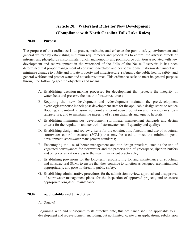# **Article 20. Watershed Rules for New Development (Compliance with North Carolina Falls Lake Rules)**

#### **20.01 Purpose**

The purpose of this ordinance is to protect, maintain, and enhance the public safety, environment and general welfare by establishing minimum requirements and procedures to control the adverse effects of nitrogen and phosphorus in stormwater runoff and nonpoint and point source pollution associated with new development and redevelopment in the watershed of the Falls of the Neuse Reservoir. It has been determined that proper management of construction-related and post-development stormwater runoff will minimize damage to public and private property and infrastructure; safeguard the public health, safety, and general welfare; and protect water and aquatic resources. This ordinance seeks to meet its general purpose through the following specific objectives and means:

- A. Establishing decision-making processes for development that protects the integrity of watersheds and preserve the health of water resources;
- B. Requiring that new development and redevelopment maintain the pre-development hydrologic response in their post-development state for the applicable design storm to reduce flooding, streambank erosion. nonpoint and point source pollution and increases in stream temperature, and to maintain the integrity of stream channels and aquatic habitats;
- C. Establishing minimum post-development stormwater management standards and design criteria for the regulation and control of stormwater runoff quantity and quality;
- D. Establishing design and review criteria for the construction, function, and use of structural stormwater control measures (SCMs) that may be used to meet the minimum postdevelopment stormwater management standards;
- E. Encouraging the use of better management and site design practices, such as the use of vegetated conveyances for stormwater and the preservation of greenspace, riparian buffers and other conservation areas to the maximum extent practicable;
- F. Establishing provisions for the long-term responsibility for and maintenance of structural and nonstructural SCMs to ensure that they continue to function as designed, are maintained appropriately, and pose no threat to public safety;
- G. Establishing administrative procedures for the submission, review, approval and disapproval of stormwater management plans, for the inspection of approved projects, and to assure appropriate long-term maintenance.

#### **20.02 Applicability and Jurisdiction**

A. General

Beginning with and subsequent to its effective date, this ordinance shall be applicable to all development and redevelopment, including, but not limited to, site plan applications, subdivision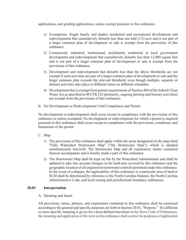applications, and grading applications, unless exempt pursuant to this ordinance.

- 1) Exemptions: Single family and duplex residential and recreational development and redevelopment that cumulatively disturbs less than one half (1/2) acre and is not part of a larger common plan of development or sale is exempt from the provisions of this ordinance.
- 2) Commercial, industrial, institutional, multifamily residential or local government development and redevelopment that cumulatively disturbs less than 12,000 square feet and is not part of a larger common plan of development or sale is exempt from the provisions of this ordinance.
- 3) Development and redevelopment that disturbs less than the above thresholds are not exempt if such activities are part of a larger common plan of development or sale and the larger common plan exceeds the relevant threshold, even though multiple, separate or distinct activities take place at different times on different schedules.
- 4) Development that is exempt from permit requirements of Section 404 of the federal Clean Water Act as specified in 40 CFR 232 (primarily, ongoing farming and forestry activities) are exempt from the provisions of this ordinance.
- B. No Development or Redevelopment Until Compliance and Permit

No development or redevelopment shall occur except in compliance with the provisions of this ordinance or unless exempted. No development or redevelopment for which a permit is required pursuant to this ordinance shall occur except in compliance with the provisions, conditions, and limitations of the permit.

- C. Map
	- 1) The provisions of this ordinance shall apply within the areas designated on the map titled "Falls Watershed Stormwater Map" ("the Stormwater Map"), which is adopted simultaneously herewith. The Stormwater Map and all explanatory matter contained thereon accompanies and is hereby made a part of this ordinance.
	- 2) The Stormwater Map shall be kept on file by the Watershed Administrator and shall be updated to take into account changes in the land area covered by this ordinance and the geographic location of all engineered stormwater controls permitted under this ordinance. In the event of a dispute, the applicability of this ordinance to a particular area of land or SCM shall be determined by reference to the North Carolina Statutes, the North Carolina Administrative Code, and local zoning and jurisdictional boundary ordinances.

#### **20.03 Interpretation**

#### A. Meaning and Intent

All provisions, terms, phrases, and expressions contained in this ordinance shall be construed according to the general and specific purposes set forth in Section 20.01, "Purpose." If a different or more specific meaning is given for a term defined elsewhere in the Stem Code of Ordinances, the meaning and application of the term in this ordinance shall control for purposes of application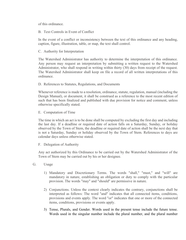of this ordinance.

B. Text Controls in Event of Conflict

In the event of a conflict or inconsistency between the text of this ordinance and any heading, caption, figure, illustration, table, or map, the text shall control.

C. Authority for Interpretation

The Watershed Administrator has authority to determine the interpretation of this ordinance. Any person may request an interpretation by submitting a written request to the Watershed Administrator, who shall respond in writing within thirty (30) days from receipt of the request. The Watershed Administrator shall keep on file a record of all written interpretations of this ordinance.

D. References to Statutes, Regulations, and Documents

Whenever reference is made to a resolution, ordinance, statute, regulation, manual (including the Design Manual), or document, it shall be construed as a reference to the most recent edition of such that has been finalized and published with due provision for notice and comment, unless otherwise specifically stated.

E. Computation of Time

The time in which an act is to be done shall be computed by excluding the first day and including the last day. If a deadline or required date of action falls on a Saturday, Sunday, or holiday observed by the Town of Stem, the deadline or required date of action shall be the next day that is not a Saturday, Sunday or holiday observed by the Town of Stem. References to days are calendar days unless otherwise stated.

F. Delegation of Authority

Any act authorized by this Ordinance to be carried out by the Watershed Administrator of the Town of Stem may be carried out by his or her designee.

- G. Usage
	- 1) Mandatory and Discretionary Terms. The words "shall," "must," and "will" are mandatory in nature, establishing an obligation or duty to comply with the particular provision. The words "may" and "should" are permissive in nature.
	- 2) Conjunctions. Unless the context clearly indicates the contrary, conjunctions shall be interpreted as follows: The word "and" indicates that all connected items, conditions, provisions and events apply. The word "or" indicates that one or more of the connected items, conditions, provisions or events apply.
	- 3) Tense, Plurals, and Gender. Words used in the present tense include the future tense. Words used in the singular number include the plural number, and the plural number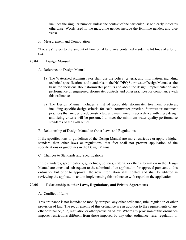includes the singular number, unless the context of the particular usage clearly indicates otherwise. Words used in the masculine gender include the feminine gender, and vice versa.

F. Measurement and Computation

"Lot area" refers to the amount of horizontal land area contained inside the lot lines of a lot or site.

#### **20.04 Design Manual**

- A. Reference to Design Manual
	- 1) The Watershed Administrator shall use the policy, criteria, and information, including technical specifications and standards, in the NC DEQ Stormwater Design Manual as the basis for decisions about stormwater permits and about the design, implementation and performance of engineered stormwater controls and other practices for compliance with this ordinance.
	- 2) The Design Manual includes a list of acceptable stormwater treatment practices, including specific design criteria for each stormwater practice. Stormwater treatment practices that are designed, constructed, and maintained in accordance with these design and sizing criteria will be presumed to meet the minimum water quality performance standards of the Falls Rules.
- B. Relationship of Design Manual to Other Laws and Regulations

If the specifications or guidelines of the Design Manual are more restrictive or apply a higher standard than other laws or regulations, that fact shall not prevent application of the specifications or guidelines in the Design Manual.

C. Changes to Standards and Specifications

If the standards, specifications, guidelines, policies, criteria, or other information in the Design Manual are amended subsequent to the submittal of an application for approval pursuant to this ordinance but prior to approval, the new information shall control and shall be utilized in reviewing the application and in implementing this ordinance with regard to the application.

#### **20.05 Relationship to other Laws, Regulations, and Private Agreements**

A. Conflict of Laws

This ordinance is not intended to modify or repeal any other ordinance, rule, regulation or other provision of law. The requirements of this ordinance are in addition to the requirements of any other ordinance, rule, regulation or other provision of law. Where any provision of this ordinance imposes restrictions different from those imposed by any other ordinance, rule, regulation or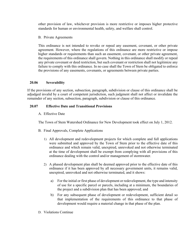other provision of law, whichever provision is more restrictive or imposes higher protective standards for human or environmental health, safety, and welfare shall control.

B. Private Agreements

This ordinance is not intended to revoke or repeal any easement, covenant, or other private agreement. However, where the regulations of this ordinance are more restrictive or impose higher standards or requirements than such an easement, covenant, or other private agreement, the requirements of this ordinance shall govern. Nothing in this ordinance shall modify or repeal any private covenant or deed restriction, but such covenant or restriction shall not legitimize any failure to comply with this ordinance. In no case shall the Town of Stem be obligated to enforce the provisions of any easements, covenants, or agreements between private parties.

#### **20.06 Severability**

If the provisions of any section, subsection, paragraph, subdivision or clause of this ordinance shall be adjudged invalid by a court of competent jurisdiction, such judgment shall not affect or invalidate the remainder of any section, subsection, paragraph, subdivision or clause of this ordinance.

#### **20.07 Effective Date and Transitional Provisions**

A. Effective Date

The Town of Stem Watershed Ordinance for New Development took effect on July 1, 2012.

- B. Final Approvals, Complete Applications
	- 1) All development and redevelopment projects for which complete and full applications were submitted and approved by the Town of Stem prior to the effective date of this ordinance and which remain valid, unexpired, unrevoked and not otherwise terminated at the time of development shall be exempt from complying with all provisions of this ordinance dealing with the control and/or management of stormwater.
	- 2) A phased development plan shall be deemed approved prior to the effective date of this ordinance if it has been approved by all necessary government units, it remains valid, unexpired, unrevoked and not otherwise terminated, and it shows:
		- a) For the initial or first phase of development or redevelopment, the type and intensity of use for a specific parcel or parcels, including at a minimum, the boundaries of the project and a subdivision plan that has been approved; and
		- b) For any subsequent phase of development or redevelopment, sufficient detail so that implementation of the requirements of this ordinance to that phase of development would require a material change in that phase of the plan.
- D. Violations Continue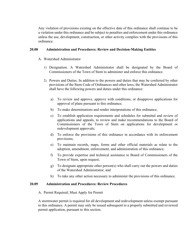Any violation of provisions existing on the effective date of this ordinance shall continue to be a violation under this ordinance and be subject to penalties and enforcement under this ordinance unless the use, development, construction, or other activity complies with the provisions of this ordinance.

#### **20.08 Administration and Procedures: Review and Decision-Making Entities**

- A. Watershed Administrator
	- 1) Designation. A Watershed Administrator shall be designated by the Board of Commissioners of the Town of Stem to administer and enforce this ordinance.
	- 2) Powers and Duties. In addition to the powers and duties that may be conferred by other provisions of the Stem Code of Ordinances and other laws, the Watershed Administrator shall have the following powers and duties under this ordinance:
		- a) To review and approve, approve with conditions, or disapprove applications for approval of plans pursuant to this ordinance;
		- b) To make determinations and render interpretations of this ordinance;
		- c) To establish application requirements and schedules for submittal and review of applications and appeals, to review and make recommendations to the Board of Commissioners of the Town of Stem on applications for development or redevelopment approvals;
		- d) To enforce the provisions of this ordinance in accordance with its enforcement provisions;
		- e) To maintain records, maps, forms and other official materials as relate to the adoption, amendment, enforcement, and administration of this ordinance;
		- f) To provide expertise and technical assistance to Board of Commissioners of the Town of Stem, upon request;
		- g) To designate appropriate other person(s) who shall carry out the powers and duties of the Watershed Administrator; and
		- h) To take any other action necessary to administer the provisions of this ordinance.

#### **20.09 Administration and Procedures: Review Procedures**

A. Permit Required; Must Apply for Permit

A stormwater permit is required for all development and redevelopment unless exempt pursuant to this ordinance. A permit may only be issued subsequent to a properly submitted and reviewed permit application, pursuant to this section.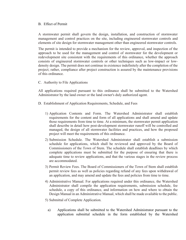#### B. Effect of Permit

A stormwater permit shall govern the design, installation, and construction of stormwater management and control practices on the site, including engineered stormwater controls and elements of site design for stormwater management other than engineered stormwater controls.

The permit is intended to provide a mechanism for the review, approval, and inspection of the approach to be used for the management and control of stormwater for the development or redevelopment site consistent with the requirements of this ordinance, whether the approach consists of engineered stormwater controls or other techniques such as low-impact or lowdensity design. The permit does not continue in existence indefinitely after the completion of the project; rather, compliance after project construction is assured by the maintenance provisions of this ordinance.

#### C. Authority to File Applications

All applications required pursuant to this ordinance shall be submitted to the Watershed Administrator by the land owner or the land owner's duly authorized agent.

- D. Establishment of Application Requirements, Schedule, and Fees
	- 1) Application Contents and Form. The Watershed Administrator shall establish requirements for the content and form of all applications and shall amend and update those requirements from time to time. At a minimum, the stormwater permit application shall describe in detail how post-development stormwater runoff will be controlled and managed, the design of all stormwater facilities and practices, and how the proposed project will meet the requirements of this ordinance.
	- 2) Submission Schedule. The Watershed Administrator shall establish a submission schedule for applications, which shall be reviewed and approved by the Board of Commissioners of the Town of Stem. The schedule shall establish deadlines by which complete applications must be submitted for the purpose of ensuring that there is adequate time to review applications, and that the various stages in the review process are accommodated.
	- 3) Permit Review Fees. The Board of Commissioners of the Town of Stem shall establish permit review fees as well as policies regarding refund of any fees upon withdrawal of an application, and may amend and update the fees and policies from time to time.
	- 4) Administrative Manual. For applications required under this ordinance, the Watershed Administrator shall compile the application requirements, submission schedule, fee schedule, a copy of this ordinance, and information on how and where to obtain the Design Manual in an Administrative Manual, which shall be made available to the public.
	- 5) Submittal of Complete Application.
		- a) Applications shall be submitted to the Watershed Administrator pursuant to the application submittal schedule in the form established by the Watershed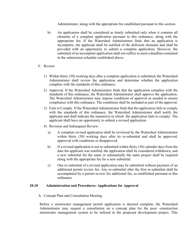Administrator, along with the appropriate fee established pursuant to this section.

- b) An application shall be considered as timely submitted only when it contains all elements of a complete application pursuant to this ordinance, along with the appropriate fee. If the Watershed Administrator finds that an application is incomplete, the applicant shall be notified of the deficient elements and shall be provided with an opportunity to submit a complete application. However, the submittal of an incomplete application shall not suffice to meet a deadline contained in the submission schedule established above.
- F. Review
	- 1) Within thirty (30) working days after a complete application is submitted, the Watershed Administrator shall review the application and determine whether the application complies with the standards of this ordinance.
	- 2) Approval. If the Watershed Administrator finds that the application complies with the standards of this ordinance, the Watershed Administrator shall approve the application. The Watershed Administrator may impose conditions of approval as needed to ensure compliance with this ordinance. The conditions shall be included as part of the approval.
	- 3) Fails to Comply. If the Watershed Administrator finds that the application fails to comply with the standards of this ordinance, the Watershed Administrator shall notify the applicant and shall indicate the manner(s) in which the application fails to comply. The applicant shall have an opportunity to submit a revised application.
	- 4) Revision and Subsequent Review.
		- a) A complete revised application shall be reviewed by the Watershed Administrator within thirty (30) working days after its re-submittal and shall he approved, approved with conditions or disapproved.
		- b) If a revised application is not re-submitted within thirty (30) calendar days from the date the applicant was notified, the application shall be considered withdrawn, and a new submittal for the same or substantially the same project shall be required along with the appropriate fee for a new submittal.
		- c) One re-submittal of a revised application may be submitted without payment of an additional permit review fee. Any re-submittal after the first re-submittal shall be accompanied by a permit review fee additional fee, as established pursuant to this ordinance.

#### **20.10 Administration and Procedures: Applications for Approval**

#### A. Concept Plan and Consultation Meeting

Before a stormwater management permit application is deemed complete, the Watershed Administrator may request a consultation on a concept plan for the post- construction stormwater management system to be utilized in the proposed development project. This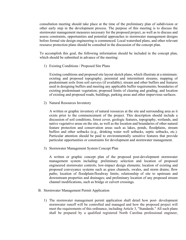consultation meeting should take place at the time of the preliminary plan of subdivision or other early step in the development process. The purpose of this meeting is to discuss the stormwater management measures necessary for the proposed project, as well as to discuss and assess constraints, opportunities and potential approaches to stormwater management designs before formal site design engineering is commenced. Local watershed plans, and other relevant resource protection plans should be consulted in the discussion of the concept plan.

To accomplish this goal, the following information should be included in the concept plan, which should be submitted in advance of the meeting:

1) Existing Conditions / Proposed Site Plans

Existing conditions and proposed site layout sketch plans, which illustrate at a minimum: existing and proposed topography; perennial and intermittent streams; mapping of predominant soils from soil surveys (if available); stream and other buffers and features used in designing buffers and meeting any applicable buffer requirements; boundaries of existing predominant vegetation; proposed limits of clearing and grading; and location of existing and proposed roads, buildings, parking areas and other impervious surfaces.

2) Natural Resources Inventory

A written or graphic inventory of natural resources at the site and surrounding area as it exists prior to the commencement of the project. This description should include a discussion of soil conditions, forest cover, geologic features, topography, wetlands, and native vegetative areas on the site, as well as the location and boundaries of other natural feature protection and conservation areas such as lakes, ponds, floodplains, stream buffers and other setbacks (e.g., drinking water well setbacks, septic setbacks, etc.). Particular attention should be paid to environmentally sensitive features that provide particular opportunities or constraints for development and stormwater management.

3) Stormwater Management System Concept Plan

A written or graphic concept plan of the proposed post-development stormwater management system including: preliminary selection and location of proposed engineered stormwater controls; low-impact design elements; location of existing and proposed conveyance systems such as grass channels, swales, and storm drains; flow paths; location of floodplain/floodway limits; relationship of site to upstream and downstream properties and drainages; and preliminary location of any proposed stream channel modifications, such as bridge or culvert crossings.

- B. Stormwater Management Permit Application
	- 1) The stormwater management permit application shall detail how post- development stormwater runoff will be controlled and managed and how the proposed project will meet the requirements of this ordinance, including Article 3, "Standards." All such plans shall be prepared by a qualified registered North Carolina professional engineer,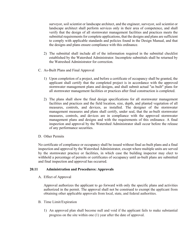surveyor, soil scientist or landscape architect, and the engineer, surveyor, soil scientist or landscape architect shall perform services only in their area of competence, and shall verify that the design of all stormwater management facilities and practices meets the submittal requirements for complete applications, that the designs and plans are sufficient to comply with applicable standards and policies found in the Design Manual, and that the designs and plans ensure compliance with this ordinance.

- 2) The submittal shall include all of the information required in the submittal checklist established by the Watershed Administrator. Incomplete submittals shall be returned by the Watreshed Administrator for correction.
- C. As-Built Plans and Final Approval
	- 1) Upon completion of a project, and before a certificate of occupancy shall be granted, the applicant shall certify that the completed project is in accordance with the approved stormwater management plans and designs, and shall submit actual "as built" plans for all stormwater management facilities or practices after final construction is completed.
	- 2) The plans shall show the final design specifications for all stormwater management facilities and practices and the field location, size, depth, and planted vegetation of all measures, controls, and devices, as installed. The designer of the stormwater management measures and plans shall certify, under seal, that the as-built stormwater measures, controls, and devices are in compliance with the approved stormwater management plans and designs and with the requirements of this ordinance. A final inspection and approval by the Watershed Administrator shall occur before the release of any performance securities.

#### D. Other Permits

No certificate of compliance or occupancy shall be issued without final as-built plans and a final inspection and approval by the Watershed Administrator, except where multiple units are served by the stormwater practice or facilities, in which case the building inspector may elect to withhold a percentage of permits or certificates of occupancy until as-built plans are submitted and final inspection and approval has occurred.

#### **20.11 Administration and Procedures: Approvals**

A. Effect of Approval

Approval authorizes the applicant to go forward with only the specific plans and activities authorized in the permit. The approval shall not be construed to exempt the applicant from obtaining other applicable approvals from local, state, and federal authorities.

- B. Time Limit/Expiration
	- 1) An approved plan shall become null and void if the applicant fails to make substantial progress on the site within one (1) year after the date of approval.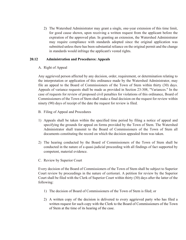2) The Watershed Administrator may grant a single, one-year extension of this time limit, for good cause shown, upon receiving a written request from the applicant before the expiration of the approved plan. In granting an extension, the Watershed Administrator may require compliance with standards adopted since the original application was submitted unless there has been substantial reliance on the original permit and the change in standards would infringe the applicant's vested rights.

#### **20.12 Administration and Procedures: Appeals**

#### A. Right of Appeal

Any aggrieved person affected by any decision, order, requirement, or determination relating to the interpretation or application of this ordinance made by the Watershed Administrator, may file an appeal to the Board of Commissioners of the Town of Stem within thirty (30) days. Appeals of variance requests shall be made as provided in Section 23-308, "Variances." In the case of requests for review of proposed civil penalties for violations of this ordinance, Board of Commissioners of the Town of Stem shall make a final decision on the request for review within ninety (90) days of receipt of the date the request for review is filed.

- B. Filing of Appeal and Procedures
- 1) Appeals shall be taken within the specified time period by filing a notice of appeal and specifying the grounds for appeal on forms provided by the Town of Stem. The Watershed Administrator shall transmit to the Board of Commissioners of the Town of Stem all documents constituting the record on which the decision appealed from was taken.
- 2) The hearing conducted by the Board of Commissioners of the Town of Stem shall be conducted in the nature of a quasi-judicial proceeding with all findings of fact supported by competent, material evidence.
- C. Review by Superior Court

Every decision of the Board of Commissioners of the Town of Stem shall be subject to Superior Court review by proceedings in the nature of certiorari. A petition for review by the Superior Court shall be filed with the Clerk of Superior Court within thirty (30) days after the latter of the following:

- 1) The decision of Board of Commissioners of the Town of Stem is filed; or
- 2) A written copy of the decision is delivered to every aggrieved party who has filed a written request for such copy with the Clerk to the Board of Commissioners of the Town of Stem at the time of its hearing of the case.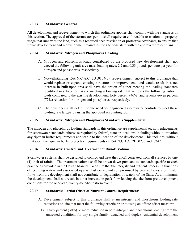## **20.13 Standards: General**

All development and redevelopment to which this ordinance applies shall comply with the standards of this section. The approval of the stormwater permit shall require an enforceable restriction on property usage that runs with the land, such as a recorded deed restriction or protective covenants, to ensure that future development and redevelopment maintains the site consistent with the approved project plans.

## **20.14 Standards: Nitrogen and Phosphorus Loading**

- A. Nitrogen and phosphorus loads contributed by the proposed new development shall not exceed the following unit-area mass loading rates: 2.2 and 0.33 pounds per acre per year for nitrogen and phosphorus, respectively.
- B. Notwithstanding 15A N.C.A.C. 2B .0104(q), redevelopment subject to this ordinance that would replace or expand existing structures or improvements and would result in a net increase in built-upon area shall have the option of either meeting the loading standards identified in subsection (A) or meeting a loading rate that achieves the following nutrient loads compared to the existing development: forty percent (40%) and seventy-seven percent (77%) reduction for nitrogen and phosphorus, respectively.
- C. The developer shall determine the need for engineered stormwater controls to meet these loading rate targets by using the approved accounting tool.

## **20.15 Standards: Nitrogen and Phosphorus Standard is Supplemental**

The nitrogen and phosphorus loading standards in this ordinance are supplemental to, not replacements for, stormwater standards otherwise required by federal, state or local law, including without limitation any riparian buffer requirements applicable to the location of the development. This includes, without limitation, the riparian buffer protection requirements of 15A N.C.A.C. 2B. 0233 and .0242.

## **20.16 Standards: Control and Treatment of Runoff Volume**

Stormwater systems shall be designed to control and treat the runoff generated from all surfaces by one (1) inch of rainfall. The treatment volume shall be drawn down pursuant to standards specific to each practice as provided in the Design Manual. To ensure that the integrity and nutrient processing functions of receiving waters and associated riparian buffers are not compromised by erosive flows, stormwater flows from the development shall not contribute to degradation of waters of the State. At a minimum, the development shall not result in a net increase in peak flow leaving the site from pre-development conditions for the one-year, twenty-four-hour storm event.

#### **20.17 Standards: Partial Offset of Nutrient Control Requirements**

- A. Development subject to this ordinance shall attain nitrogen and phosphorus loading rate reductions on-site that meet the following criteria prior to using an offsite offset measure:
	- 1) Thirty percent (30%) or more reduction in both nitrogen and phosphorus loading from the untreated conditions for any single-family, detached and duplex residential development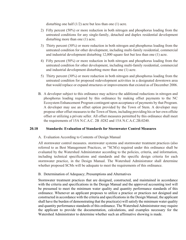disturbing one half  $(1/2)$  acre but less than one  $(1)$  acre.

- 2) Fifty percent (50%) or more reduction in both nitrogen and phosphorus loading from the untreated conditions for any single-family, detached and duplex residential development disturbing more than one (1) acre.
- 3) Thirty percent (30%) or more reduction in both nitrogen and phosphorus loading from the untreated condition for other development, including multi-family residential, commercial and industrial development disturbing 12,000 square feet but less than one (1) acre.
- 4) Fifty percent (50%) or more reduction in both nitrogen and phosphorus loading from the untreated condition for other development, including multi-family residential, commercial and industrial development disturbing more than one (1) acre.
- 5) Thirty percent (30%) or more reduction in both nitrogen and phosphorus loading from the untreated condition for proposed redevelopment activities in a designated downtown area that would replace or expand structures or improvements that existed as of December 2006.
- B. A developer subject to this ordinance may achieve the additional reductions in nitrogen and phosphorus loading required by this ordinance by making offset payments to the NC Ecosystem Enhancement Program contingent upon acceptance of payments by that Program. A developer may use an offset option provided by the Town of Stem. A developer may propose other offset measures to the Town of Stem, including providing his or her own offsite offset or utilizing a private seller. All offset measures permitted by this ordinance shall meet the requirements of 15A N.C.A.C. 2B .0282 and 15A N.C.A.C.2B.0240.

#### **20.18 Standards: Evaluation of Standards for Stormwater Control Measures**

#### A. Evaluation According to Contents of Design Manual

All stormwater control measures. stormwater systems and stormwater treatment practices (also referred to as Best Management Practices, or "SCM' s) required under this ordinance shall be evaluated by the Watershed Administrator according to the policies, criteria, and information, including technical specifications and standards and the specific design criteria for each stormwater practice, in the Design Manual. The Watershed Administrator shall determine whether proposed SCMs will be adequate to meet the requirements of this ordinance.

#### B. Determination of Adequacy; Presumptions and Alternatives

Stormwater treatment practices that are designed, constructed, and maintained in accordance with the criteria and specifications in the Design Manual and the approved accounting tool will be presumed to meet the minimum water quality and quantity performance standards of this ordinance. Whenever an applicant proposes to utilize a practice or practices not designed and constructed in accordance with the criteria and specifications in the Design Manual, the applicant shall have the burden of demonstrating that the practice(s) will satisfy the minimum water quality and quantity performance standards of this ordinance. The Watershed Administrator may require the applicant to provide the documentation, calculations, and examples necessary for the Watershed Administrator to determine whether such an affirmative showing is made.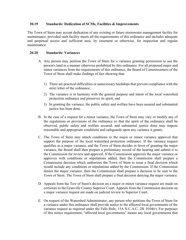#### **20.19 Standards: Dedication of SCMs, Facilities & Improvements**

The Town of Stem may accept dedication of any existing or future stormwater management facility for maintenance, provided such facility meets all the requirements of this ordinance and includes adequate and perpetual access and sufficient area, by easement or otherwise, for inspection and regular maintenance.

#### **20.20 Standards: Variances**

- A. Any person may petition the Town of Stem for a variance granting permission to use the person's land in a manner otherwise prohibited by this ordinance. For all proposed major and minor variances from the requirements of this ordinance, the Board of Commissioners of the Town of Stem shall make findings of fact showing that:
	- 1) There are practical difficulties or unnecessary hardships that prevent compliance with the strict letter of the ordinance;
	- 2) The variance is in harmony with the general purpose and intent of the local watershed protection ordinance and preserves its spirit; and
	- 3) In granting the variance, the public safety and welfare have been assured and substantial justice has been done.
- B. In the case of a request for a minor variance, the Town of Stem may vary or modify any of the regulations or provisions of the ordinance so that the spirit of the ordinance shall be observed, public safety and welfare secured, and substantial justice done may impose reasonable and appropriate conditions and safeguards upon any variance it grants.
- C. The Town of Stem may attach conditions to the major or minor variance approval that support the purpose of the local watershed protection ordinance. If the variance request qualifies as a major variance, and the Town of Stem decides in favor of granting the major variance, the Board shall then prepare a preliminary record of the hearing and submit it to the Commission for review and approval. If the Commission approves the major variance or approves with conditions or stipulations added, then the Commission shall prepare a Commission decision which authorizes the Town of Stem to issue a final decision which would include any conditions or stipulations added by the Commission. If the Commission denies the major variance, then the Commission shall prepare a decision to be sent to the Town of Stem. The Town of Stem shall prepare a final decision denying the major variance.
- D. Appeals from the Tow of Stem's decision on a major or minor variance request are made on certiorari to the Granville County Superior Court. Appeals from the Commission decision on a major variance request are made on judicial review to Superior Court.
- E. On request of the Watershed Administrator, any person who petitions the Town of Stem for a variance under this ordinance shall provide notice to the affected local governments of the variance request as required under the Falls Rule, 15A N.C.A.C. 2B. 0104(r). For purposes of this notice requirement, "affected local governments" means any local governments that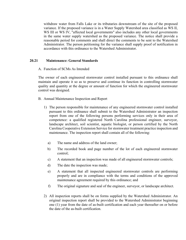withdraw water from Falls Lake or its tributaries downstream of the site of the proposed variance. If the proposed variance is in a Water Supply Watershed area classified as WS II, WS III or WS IV, "affected local governments" also includes any other local governments in the same water supply watershed as the proposed variance. The notice shall provide a reasonable period for comments and shall direct the comments to be sent to the Watershed Administrator. The person petitioning for the variance shall supply proof of notification in accordance with this ordinance to the Watershed Administrator.

#### **20.21 Maintenance: General Standards**

A. Function of SCMs As Intended

The owner of each engineered stormwater control installed pursuant to this ordinance shall maintain and operate it so as to preserve and continue its function in controlling stormwater quality and quantity at the degree or amount of function for which the engineered stormwater control was designed.

- B. Annual Maintenance Inspection and Report
	- 1) The person responsible for maintenance of any engineered stormwater control installed pursuant to this ordinance shall submit to the Watershed Administrator an inspection report from one of the following persons performing services only in their area of competence: a qualified registered North Carolina professional engineer, surveyor, landscape architect, soil scientist, aquatic biologist, or person certified by the North Carolina Cooperative Extension Service for stormwater treatment practice inspection and maintenance. The inspection report shall contain all of the following:
		- a) The name and address of the land owner;
		- b) The recorded book and page number of the lot of each engineered stormwater control;
		- c) A statement that an inspection was made of all engineered stormwater controls;
		- d) The date the inspection was made;
		- e) A statement that all inspected engineered stormwater controls are performing properly and are in compliance with the terms and conditions of the approved maintenance agreement required by this ordinance; and
		- f) The original signature and seal of the engineer, surveyor, or landscape architect.
	- 2) All inspection reports shall be on forms supplied by the Watershed Administrator. An original inspection report shall be provided to the Watershed Administrator beginning one (1) year from the date of as-built certification and each year thereafter on or before the date of the as-built certification.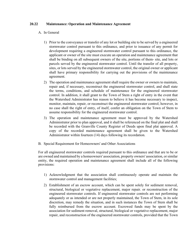#### **20.22 Maintenance: Operation and Maintenance Agreement**

#### A. In General

- 1) Prior to the conveyance or transfer of any lot or building site to be served by a engineered stormwater control pursuant to this ordinance, and prior to issuance of any permit for development requiring a engineered stormwater control pursuant to this ordinance, the applicant or owner of the site must execute an operation and maintenance agreement that shall be binding on all subsequent owners of the site, portions of them- site, and lots or parcels served by the engineered stormwater control. Until the transfer of all property, sites, or lots served by the engineered stormwater control, the original owner or applicant shall have primary responsibility for carrying out the provisions of the maintenance agreement.
- 2) The operation and maintenance agreement shall require the owner or owners to maintain, repair and, if necessary, reconstruct the engineered stormwater control, and shall state the terms, conditions, and schedule of maintenance for the engineered stormwater control. In addition, it shall grant to the Town of Stem a right of entry in the event that the Watershed Administrator has reason to believe it has become necessary to inspect, monitor, maintain, repair, or reconstruct the engineered stormwater control; however, in no case shall the right of entry, of itself, confer an obligation on the Town of Stem to assume responsibility for the engineered stormwater control.
- 3) The operation and maintenance agreement must be approved by the Watershed Administrator prior to plan approval, and it shall be referenced on the final plat and shall be recorded with the Granville County Register of Deeds upon final plat approval. A copy of the recorded maintenance agreement shall be given to the Watershed Administrator within fourteen (14) days following its recordation.
- B. Special Requirement for Homeowners' and Other Associations

For all engineered stormwater controls required pursuant to this ordinance and that are to be or are owned and maintained by a homeowners' association, property owners' association, or similar entity, the required operation and maintenance agreement shall include all of the following provisions:

- 1) Acknowledgment that the association shall continuously operate and maintain the stormwater control and management facilities;
- 2) Establishment of an escrow account, which can be spent solely for sediment removal, structural, biological or vegetative replacement, major repair. or reconstruction of the engineered stormwater controls. If engineered stormwater controls are not performing adequately or as intended or are not properly maintained, the Town of Stem, in its sole discretion, may remedy the situation, and in such instances the Town of Stem shall be fully reimbursed from the escrow account. Escrowed funds may be spent by the association for sediment removal, structural, biological or vegetative replacement, major repair, and reconstruction of the engineered stormwater controls, provided that the Town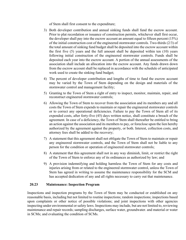of Stem shall first consent to the expenditure;

- 3) Both developer contribution and annual sinking funds shall fund the escrow account. Prior to plat recordation or issuance of construction permits, whichever shall first occur, the developer shall pay into the escrow account an amount equal to fifteen percent (15%) of the initial construction cost of the engineered stormwater controls. Two-thirds (2/3) of the total amount of sinking fund budget shall be deposited into the escrow account within the first five (5) years and the full amount shall be deposited within ten (10) years following initial construction of the engineered stormwater controls. Funds shall be deposited each year into the escrow account. A portion of the annual assessments of the association shall include an allocation into the escrow account. Any funds drawn down from the escrow account shall be replaced in accordance with the schedule of anticipated work used to create the sinking fund budget;
- 4) The percent of developer contribution and lengths of time to fund the escrow account may be varied by the Town of Stem depending on the design and materials of the stormwater control and management facility;
- 5) Granting to the Town of Stem a right of entry to inspect, monitor, maintain, repair, and reconstruct engineered stormwater controls;
- 6) Allowing the Town of Stem to recover from the association and its members any and all costs the Town of Stem expends to maintain or repair the engineered stormwater controls or to correct any operational deficiencies. Failure to pay the Town of Stem all of its expended costs, after forty-five (45) days written notice, shall constitute a breach of the agreement. In case of a deficiency, the Town of Stem shall thereafter be entitled to bring an action against the association and its members to pay, or foreclose upon the lien hereby authorized by the agreement against the property, or both. Interest, collection costs, and attorney fees shall be added to the recovery;
- 7) A statement that this agreement shall not obligate the Town of Stem to maintain or repair any engineered stormwater controls, and the Town of Stem shall not be liable to any person for the condition or operation of engineered stormwater controls;
- 8) A statement that this agreement shall not in any way diminish, limit, or restrict the right of the Town of Stem to enforce any of its ordinances as authorized by law; and
- 9) A provision indemnifying and holding harmless the Town of Stem for any costs and injuries arising from or related to the engineered stormwater control, unless the Town of Stem has agreed in writing to assume the maintenance responsibility for the SCM and has accepted dedication of any and all rights necessary to carry out that maintenance.

#### **20.23 Maintenance: Inspection Program**

Inspections and inspection programs by the Town of Stem may be conducted or established on any reasonable basis, including but not limited to routine inspections; random inspections; inspections based upon complaints or other notice of possible violations; and joint inspections with other agencies inspecting under environmental or safety laws. Inspections may include, but are not limited to, reviewing maintenance and repair records; sampling discharges, surface water, groundwater. and material or water in SCMs; and evaluating the condition of SCMs.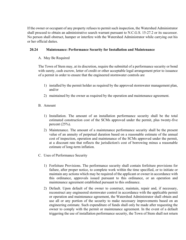If the owner or occupant of any property refuses to permit such inspection, the Watershed Administrator shall proceed to obtain an administrative search warrant pursuant to N.C.G.S. 15-27.2 or its successor. No person shall obstruct, hamper or interfere with the Watershed Administrator while carrying out his or her official duties.

## **20.24 Maintenance: Performance Security for Installation and Maintenance**

### A. May Be Required

The Town of Stem may, at its discretion, require the submittal of a performance security or bond with surety, cash escrow, letter of credit or other acceptable legal arrangement prior to issuance of a permit in order to ensure that the engineered stormwater controls are

- 1) installed by the permit holder as required by the approved stormwater management plan, and/or
- 2) maintained by the owner as required by the operation and maintenance agreement.
- B. Amount
	- 1) Installation. The amount of an installation performance security shall be the total estimated construction cost of the SCMs approved under the permit, plus twenty-five percent (25%).
	- 2) Maintenance. The amount of a maintenance performance security shall be the present value of an annuity of perpetual duration based on a reasonable estimate of the annual cost of inspection, operation and maintenance of the SCMs approved under the permit, at a discount rate that reflects the jurisdiction's cost of borrowing minus a reasonable estimate of long-term inflation.
- C. Uses of Performance Security
	- 1) Forfeiture Provisions. The performance security shall contain forfeiture provisions for failure, after proper notice, to complete work within the time specified, or to initiate or maintain any actions which may be required of the applicant or owner in accordance with this ordinance, approvals issued pursuant to this ordinance, or an operation and maintenance agreement established pursuant to this ordinance.
	- 2) Default. Upon default of the owner to construct, maintain, repair and, if necessary, reconstruct any engineered stormwater control in accordance with the applicable permit or operation and maintenance agreement, the Watershed Administrator shall obtain and use all or any portion of the security to make necessary improvements based on an engineering estimate. Such expenditure of funds shall only be made after requesting the owner to comply with the permit or maintenance agreement. In the event of a default triggering the use of installation performance security, the Town of Stem shall not return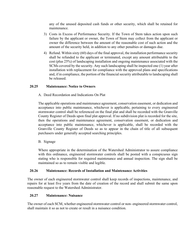any of the unused deposited cash funds or other security, which shall be retained for maintenance.

- 3) Costs in Excess of Performance Security. If the Town of Stem takes action upon such failure by the applicant or owner, the Town of Stem may collect from the applicant or owner the difference between the amount of the reasonable cost of such action and the amount of the security held, in addition to any other penalties or damages due.
- 4) Refund. Within sixty (60) days of the final approval, the installation performance security shall be refunded to the applicant or terminated, except any amount attributable to the cost (plus 25%) of landscaping installation and ongoing maintenance associated with the SCMs covered by the security. Any such landscaping shall be inspected one (1) year after installation with replacement for compliance with the approved plans and specifications and, if in compliance, the portion of the financial security attributable to landscaping shall be released.

#### **20.25 Maintenance: Notice to Owners**

A. Deed Recordation and Indications On Plat

The applicable operations and maintenance agreement, conservation easement, or dedication and acceptance into public maintenance, whichever is applicable, pertaining to every engineered stormwater control shall be referenced on the final plat and shall be recorded with the Granville County Register of Deeds upon final plat approval. If no subdivision plat is recorded for the site, then the operations and maintenance agreement, conservation easement, or dedication and acceptance into public maintenance, whichever is applicable, shall be recorded with the Granville County Register of Deeds so as to appear in the chain of title of all subsequent purchasers under generally accepted searching principles.

B. Signage

Where appropriate in the determination of the Watershed Administrator to assure compliance with this ordinance, engineered stormwater controls shall be posted with a conspicuous sign stating who is responsible for required maintenance and annual inspection. The sign shall be maintained so as to remain visible and legible.

#### **20.26 Maintenance: Records of Installation and Maintenance Activities**

The owner of each engineered stormwater control shall keep records of inspections, maintenance, and repairs for at least five years from the date of creation of the record and shall submit the same upon reasonable request to the Watershed Administrator.

#### **20.27 Maintenance: Nuisance**

The owner of each SCM, whether engineered stormwater control or non- engineered stormwater control, shall maintain it so as not to create or result in a nuisance condition.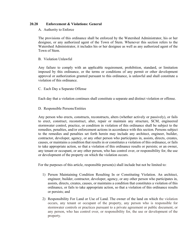#### **20.28 Enforcement & Violations: General**

#### A. Authority to Enforce

The provisions of this ordinance shall be enforced by the Watershed Administrator, his or her designee, or any authorized agent of the Town of Stem. Whenever this section refers to the Watershed Administrator, it includes his or her designee as well as any authorized agent of the Town of Stem.

#### B. Violation Unlawful

Any failure to comply with an applicable requirement, prohibition, standard, or limitation imposed by this ordinance, or the terms or conditions of any permit or other development approval or authorization granted pursuant to this ordinance, is unlawful and shall constitute a violation of this ordinance.

#### C. Each Day a Separate Offense

Each day that a violation continues shall constitute a separate and distinct violation or offense.

#### D. Responsible Persons/Entities

Any person who erects, constructs, reconstructs, alters (whether actively or passively), or fails to erect, construct, reconstruct, alter, repair or maintain any structure, SCM, engineered stormwater control, practice, or condition in violation of this ordinance shall be subject to the remedies, penalties, and/or enforcement actions in accordance with this section. Persons subject to the remedies and penalties set forth herein may include any architect, engineer, builder, contractor, developer, agency, or any other person who participates in, assists, directs, creates, causes, or maintains a condition that results in or constitutes a violation of this ordinance, or fails to take appropriate action, so that a violation of this ordinance results or persists; or an owner, any tenant or occupant, or any other person, who has control over, or responsibility for, the use or development of the property on which the violation occurs.

For the purposes of this article, responsible person(s) shall include but not be limited to:

- 1) Person Maintaining Condition Resulting In or Constituting Violation. An architect, engineer, builder, contractor, developer, agency, or any other person who participates in, assists, directs, creates, causes, or maintains a condition that constitutes a violation of this ordinance, or fails to take appropriate action, so that a violation of this ordinance results or persists; and
- 2) Responsibility For Land or Use of Land. The owner of the land on which the violation occurs, any tenant or occupant of the property, any person who is responsible for stormwater controls or practices pursuant to a private agreement or public document, or any person, who has control over, or responsibility for, the use or development of the property.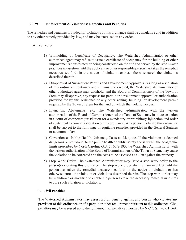#### **20.29 Enforcement & Violations: Remedies and Penalties**

The remedies and penalties provided for violations of this ordinance shall be cumulative and in addition to any other remedy provided by law, and may be exercised in any order.

#### A. Remedies

- 1) Withholding of Certificate of Occupancy. The Watershed Administrator or other authorized agent may refuse to issue a certificate of occupancy for the building or other improvements constructed or being constructed on the site and served by the stormwater practices in question until the applicant or other responsible person has taken the remedial measures set forth in the notice of violation or has otherwise cured the violations described therein.
- 2) Disapproval of Subsequent Permits and Development Approvals. As long as a violation of this ordinance continues and remains uncorrected, the Watershed Administrator or other authorized agent may withhold, and the Board of Commissioners of the Town of Stem may disapprove, any request for permit or development approval or authorization provided for by this ordinance or any other zoning, building. or development permit required by the Town of Stem for the land on which the violation occurs.
- 3) Injunction, Abatements, etc. The Watershed Administrator, with the written authorization of the Board of Commissioners of the Town of Stem may institute an action in a court of competent jurisdiction for a mandatory or prohibitory injunction and order of abatement to correct a violation of this ordinance. Any person violating this ordinance shall be subject to the full range of equitable remedies provided in the General Statutes or at common law.
- 4) Correction as Public Health Nuisance, Costs as Lien, etc. If the violation is deemed dangerous or prejudicial to the public health or public safety and is within the geographic limits prescribed by North Carolina G.S. § 160A-193, the Watershed Administrator, with the written authorization of the Board of Commissioners of the Town of Stem, may cause the violation to be corrected and the costs to be assessed as a lien against the property.
- 5) Stop Work Order. The Watershed Administrator may issue a stop work order to the person(s) violating this ordinance. The stop work order shall remain in effect until the person has taken the remedial measures set forth in the notice of violation or has otherwise cured the violation or violations described therein. The stop work order may be withdrawn or modified to enable the person to take the necessary remedial measures to cure such violation or violations.

#### B. Civil Penalties

The Watershed Administrator may assess a civil penalty against any person who violates any provision of this ordinance or of a permit or other requirement pursuant to this ordinance. Civil penalties may be assessed up to the full amount of penalty authorized by N.C.G.S. 143-215.6A.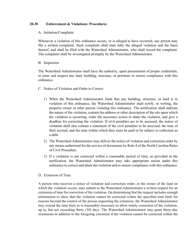#### **20.30 Enforcement & Violations: Procedures**

#### A. Initiation/Complaint

Whenever a violation of this ordinance occurs, or is alleged to have occurred, any person may file a written complaint. Such complaint shall state fully the alleged violation and the basis thereof, and shall be filed with the Watershed Administrator, who shall record the complaint. The complaint shall be investigated promptly by the Watershed Administrator.

#### B. Inspection

The Watershed Administrator shall have the authority, upon presentation of proper credentials, to enter and inspect any land, building, structure, or premises to ensure compliance with this ordinance.

- C. Notice of Violation and Order to Correct
	- 1) When the Watershed Administrator finds that any building, structure, or land is in violation of this ordinance, the Watershed Administrator shall notify, in writing, the property owner or other person violating this ordinance. The notification shall indicate the nature of the violation, contain the address or other description of the site upon which the violation is occurring, order the necessary action to abate the violation, and give a deadline for correcting the violation. If civil penalties are to be assessed, the notice of violation shall also contain a statement of the civil penalties to be assessed, the time of their accrual, and the time within which they must be paid or be subject to collection as a debt.
	- 2) The Watershed Administrator may deliver the notice of violation and correction order by any means authorized for the service of documents by Rule 4 of the North Carolina Rules of Civil Procedure.
	- 3) If a violation is not corrected within a reasonable period of time, as provided in the notification, the Watershed Administrator may take appropriate action under this ordinance to correct and abate the violation and to ensure compliance with this ordinance.
- D. Extension of Time

A person who receives a notice of violation and correction order, or the owner of the land on which the violation occurs, may submit to the Watershed Administrator a written request for an extension of time for correction of the violation. On determining that the request includes enough information to show that the violation cannot be corrected within the specified time limit for reasons beyond the control of the person requesting the extension, the Watershed Administrator may extend the time limit as is reasonably necessary to allow timely correction of the violation, up to, but not exceeding thirty (30) days. The Watershed Administrator may grant thirty-day extensions in addition to the foregoing extension if the violation cannot be corrected within the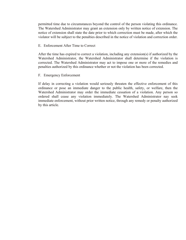permitted time due to circumstances beyond the control of the person violating this ordinance. The Watershed Administrator may grant an extension only by written notice of extension. The notice of extension shall state the date prior to which correction must be made, after which the violator will be subject to the penalties described in the notice of violation and correction order.

#### E. Enforcement After Time to Correct

After the time has expired to correct a violation, including any extension(s) if authorized by the Watershed Administrator, the Watershed Administrator shall determine if the violation is corrected. The Watershed Administrator may act to impose one or more of the remedies and penalties authorized by this ordinance whether or not the violation has been corrected.

#### F. Emergency Enforcement

If delay in correcting a violation would seriously threaten the effective enforcement of this ordinance or pose an immediate danger to the public health, safety, or welfare, then the Watershed Administrator may order the immediate cessation of a violation. Any person so ordered shall cease any violation immediately. The Watershed Administrator nay seek immediate enforcement, without prior written notice, through any remedy or penalty authorized by this article.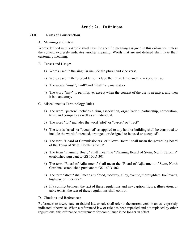## **Article 21. Definitions**

#### **21.01 Rules of Construction**

A. Meanings and Intent:

Words defined in this Article shall have the specific meaning assigned in this ordinance, unless the context expressly indicates another meaning. Words that are not defined shall have their customary meaning.

- B. Tenses and Usage:
	- 1) Words used in the singular include the plural and vice versa.
	- 2) Words used in the present tense include the future tense and the reverse is true.
	- 3) The words "must", "will" and "shall" are mandatory.
	- 4) The word "may" is permissive, except when the context of the use is negative, and then it is mandatory.
- C. Miscellaneous Terminology Rules
	- 1) The word "person" includes a firm, association, organization, partnership, corporation, trust, and company as well as an individual.
	- 2) The word "lot" includes the word "plot" or "parcel" or "tract".
	- 3) The words "used" or "occupied" as applied to any land or building shall be construed to include the words "intended, arranged, or designed to be used or occupied".
	- 4) The term "Board of Commissioners" or "Town Board" shall mean the governing board of the Town of Stem, North Carolina".
	- 5) The term "Planning Board" shall mean the "Planning Board of Stem, North Carolina" established pursuant to GS 160D-301
	- 6) The term "Board of Adjustment" shall mean the "Board of Adjustment of Stem, North Carolina" established pursuant to GS 160D-302.
	- 7) The term "street" shall mean any "road, roadway, alley, avenue, thoroughfare, boulevard, highway or interstate".
	- 8) If a conflict between the text of these regulations and any caption, figure, illustration, or table exists, the text of these regulations shall control.
- D. Citations and References:

References to town, state, or federal law or rule shall refer to the current version unless expressly indicated otherwise. When a referenced law or rule has been repealed and not replaced by other regulations, this ordinance requirement for compliance is no longer in effect.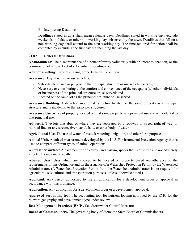E. Interpreting Deadlines:

Deadlines stated in days shall mean calendar days. Deadlines stated in working days exclude weekends, holidays, or other non working days observed by the town. Deadlines that fall on a non working day shall extend to the next working day. The time required for action shall be computed by excluding the first day but including the last day.

## **21.02 General Definitions**

**Abandonment**: The discontinuance of a nonconformity voluntarily with an intent to abandon, or the commission of an overt act of substantial discontinuance.

**Abut or abutting**: Two lots having property lines in common.

**Accessory**: Any structure or use which is:

- a) Subordinate in size or purpose to the principal structure or use which it serves;
- b) Necessary or contributing to the comfort and convenience of the occupants (whether individuals or businesses) of the principal structure or use served; and
- c) Located on the same lot as the principal structure or use served.

**Accessory Building.** A detached subordinate structure located on the same property as a principal structure and is incidental to that principal structure.

**Accessory Use.** A use of property located on that same property as a principal use and is incidental to that principal use.

**Adjacent**: Two lots that abut, or where they are separated by a roadway or street, right-of-way, or railroad line, or any stream, river, canal, lake, or other body of water.

**Agricultural Use.** The use of waters for stock watering, irrigation, and other farm purposes.

**Animal Unit.** A unit of measurement developed by the U. S. Environmental Protection Agency that is used to compare different types of animal operations.

**All weather surface:** A pavement for driveways and parking spaces that is dust free and not adversely affected by inclement weather.

**Allowed Uses.** Uses which are allowed to be located on property based on adherence to the requirements of this Ordinance and on the issuance of a Watershed Protection Permit by the Watershed Administrator. (A Watershed Protection Permit from the Watershed Administrator is not required for agricultural, silviculture, and transportation purposes, unless otherwise noted.)

**Applicant**: Any person authorized to file an application for a development order or approval in accordance with this ordinance.

**Application**: Any application for a development order or a development approval.

**Approved accounting tool.** The accounting tool for nutrient loading approved by the EMC for the relevant geography and development type under review.

**Best Management Practices (BMP).** See Stormwater Control Measure

**Board of Commissioners.** The governing body of Stem, the Stem Board of Commissioners.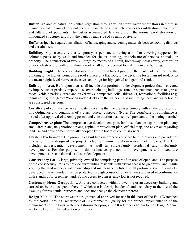**Buffer.** An area of natural or planted vegetation through which storm water runoff flows in a diffuse manner so that the runoff does not become channelized and which provides for infiltration of the runoff and filtering of pollutants. The buffer is measured landward from the normal pool elevation of impounded structures and from the bank of each side of streams or rivers.

**Buffer strip**: The required installation of landscaping and screening materials between zoning districts and certain uses.

**Building***:* Any structure, either temporary or permanent, having a roof or covering supported by columns, posts, or by walls and intended for shelter, housing, or enclosure of persons, animals, or property. The connection of two buildings by means of a porch, breezeway, passageway, carport, or other such structure, with or without a roof, shall not be deemed to make them one building.

**Building height:** The vertical distance from the established grade of the center of the front of the building to the highest point of the roof surface of a flat roof, to the deck line for a mansard roof, or to the mean height level between the eaves and ridge for hip, gabled and gambrel roofs.

**Built-upon Area.** Built-upon areas shall include that portion of a development project that is covered by impervious or partially impervious cover including buildings, structures, pavement concrete, gravel roads, vehicle parking areas and travel ways, compacted soils, sidewalks, recreational facilities (e.g. tennis courts), etc. (Note: Wooden slatted decks and the water area of swimming pools and water bodies are considered pervious.)

**Certificate of compliance**: A certificate indicating that the premises comply with all the provisions of this Ordinance and conditions of a quasi-judicial approval. (Note: The certificate of compliance is issued after approval of a zoning permit and construction has occurred pursuant to the zoning permit.)

**Comprehensive plan**: The comprehensive development plan, land-use plan, transportation plan, any small area plans, neighborhood plans, capital improvement plan, official map, and any plan regarding land use and development officially adopted by the board of commissioners.

**Cluster Development.** The grouping of buildings in order to conserve land resources and provide for innovation in the design of the project including minimizing storm water runoff impacts. This term includes nonresidential development as well as single-family residential and multifamily developments. For the purpose of this ordinance, planned unit developments and mixed use developments are considered as cluster development.

**Conservancy Lot**: A large, privately-owned lot comprising part of an area of open land. The purpose of the conservancy lot is to provide surrounding residents with visual access to greenway land, while keeping the land under private ownership and maintenance. Only a small portion of such lots may be developed; the remainder must be protected through conservation easements and used in conformance with standard for greenway land. Public access to conservancy lots is not required.

**Customary Home Occupations.** Any use conducted within a dwelling or an accessory building and carried on by the occupants thereof, which use is clearly incidental and secondary to the use of the dwelling for residential purposes and does not change the character thereof.

**Design Manual.** The stormwater design manual approved for use in this part of the Falls Watershed by the North Carolina Department of Environmental Quality for the proper implementation of the requirements of the Falls Watershed stormwater program. All references herein to the Design Manual are to the latest published edition or revision.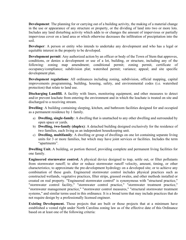**Development**: The planning for or carrying out of a building activity, the making of a material change in the use or appearance of any structure or property, or the dividing of land into two or more lots. Includes any land disturbing activity which adds to or changes the amount of impervious or partially impervious cover on a land area or which otherwise decreases the infiltration of precipitation into the soil.

**Developer**: A person or entity who intends to undertake any development and who has a legal or equitable interest in the property to be developed.

**Development permit**: Any authorized action by an officer or body of the Town of Stem that approves, conditions, or denies a development or use of a lot, building, or structure, including any of the following: zoning map amendment; conditional permit; zoning permit, certificate of occupancy/compliance; subdivision plat; watershed permit; variance; appeal; and site specific development plan.

**Development regulations**: All ordinances including zoning, subdivision, official mapping, capital improvements programming, building, housing, safety, and environmental codes (i.e. watershed protection) that relate to land use.

**Discharging Landfill.** A facility with liners, monitoring equipment, and other measures to detect and/or prevent leachate from entering the environment and in which the leachate is treated on site and discharged to a receiving stream.

**Dwelling**: A building containing sleeping, kitchen, and bathroom facilities designed for and occupied as a permanent residence by 1 family.

- a) **Dwelling, single-family**: A dwelling that is unattached to any other dwelling and surrounded by open space or yards.
- b) **Dwelling, two-family (duplex)**: A detached building designed exclusively for the residence of two families, each living as an independent housekeeping unit.
- c) **Dwelling, multifamily**: A dwelling or group of dwellings on one lot containing separate living units for 3 or more families, but which may have joint services or facilities. Includes the term "apartments".

**Dwelling Unit.** A building, or portion thereof, providing complete and permanent living facilities for one family.

**Engineered stormwater control.** A physical device designed to trap, settle out, or filter pollutants from stormwater runoff; to alter or reduce stormwater runoff velocity, amount, timing, or other characteristics; to approximate the pre-development hydrology on a developed site; or to achieve any combination of these goals. Engineered stormwater control includes physical practices such as constructed wetlands, vegetative practices, filter strips, grassed swales, and other methods installed or created on real property. "Engineered stormwater control" is synonymous with "structural practice," "stormwater control facility," "stormwater control practice," "stormwater treatment practice," "stormwater management practice," "stormwater control measures," "structural stormwater treatment systems," and similar terms used in this ordinance. It is a broad term that may include practices that do not require design by a professionally licensed engineer.

**Existing Development.** Those projects that are built or those projects that at a minimum have established a vested right under North Carolina zoning law as of the effective date of this Ordinance based on at least one of the following criteria: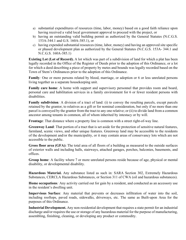- a) substantial expenditures of resources (time, labor, money) based on a good faith reliance upon having received a valid local government approval to proceed with the project, or
- b) having an outstanding valid building permit as authorized by the General Statutes (N.C.G.S. 153A-344.1 and G.S. 160A-385.1), or
- c) having expended substantial resources (time, labor, money) and having an approved site specific or phased development plan as authorized by the General Statutes (N.C.G.S. 153A- 344.1 and N.C.G.S. 160A-385.1)

**Existing Lot (Lot of Record).** A lot which was part of a subdivision of land for which a plat has been legally recorded in the Office of the Register of Deeds prior to the adoption of this Ordinance, or a lot for which a deed describing a piece of property by metes and bounds was legally recorded based on the Town of Stem's Ordinances prior to the adoption of this Ordinance.

**Family***:* One or more persons related by blood, marriage, or adoption or 6 or less unrelated persons living together as a separate housekeeping unit.

**Family care home**: A home with support and supervisory personnel that provides room and board, personal care and habilitation services in a family environment for 6 or fewer resident persons with disabilities.

**Family subdivision***:* A division of a tract of land: (i) to convey the resulting parcels, except parcels retained by the grantor, to relatives as a gift or for nominal consideration, but only if no more than one parcel is conveyed by the grantor from the tract to any one relative; or (ii) to divide land from a common ancestor among tenants in common, all of whom inherited by intestacy or by will.

**Frontage**: That distance where a property line is common with a street right-of-way line.

**Greenway Land**: That portion of a tract that is set aside for the protection of sensitive natural features, farmland, scenic views, and other unique features. Greenway land may be accessible to the residents of the development and/or the municipality, or it may contain areas of conservancy lots which are not accessible to the public.

**Gross floor area (GFA):** The total area of all floors of a building as measured to the outside surfaces of exterior walls and including halls, stairways, attached garages, porches, balconies, basements, and offices.

**Group home**: A facility where 7 or more unrelated persons reside because of age, physical or mental disability, or developmental disability.

**Hazardous Material.** Any substance listed as such in: SARA Section 302, Extremely Hazardous Substances, CERCLA Hazardous Substances, or Section 311 of CWA (oil and hazardous substances).

**Home occupations***:* Any activity carried out for gain by a resident, and conducted as an accessory use in the resident's dwelling unit.

**Impervious Surface**: Any material that prevents or decreases infiltration of water into the soil, including rooftops, paved roads, sidewalks, driveways, etc. The same as Built-upon Area for the purposes of this Ordinance.

**Industrial Development.** Any non-residential development that requires a state permit for an industrial discharge and/or requires the use or storage of any hazardous material for the purpose of manufacturing, assembling, finishing, cleaning, or developing any product or commodity.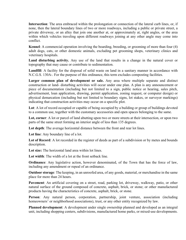**Intersection**: The area embraced within the prolongation or connection of the lateral curb lines, or, if none, then the lateral boundary lines of two or more roadways, including a public or private street, a private driveway, or an alley that join one another at, or approximately at, right angles, or the area within which vehicles traveling upon different roadways joining at any other angle may come into conflict.

**Kennel**: A commercial operation involving the boarding, breeding, or grooming of more than four (4) adult dogs, cats, or other domestic animals, excluding pet grooming shops, veterinary clinics and veterinary hospitals.

**Land disturbing activity.** Any use of the land that results in a change in the natural cover or topography that may cause or contribute to sedimentation.

**Landfill**: A facility for the disposal of solid waste on land in a sanitary manner in accordance with N.C.G.S. 130A-. For the purpose of this ordinance, this term excludes composting facilities.

Larger common plan of development or sale. Any area where multiple separate and distinct construction or land- disturbing activities will occur under one plan. A plan is any announcement or piece of documentation (including but not limited to a sign, public notice or hearing, sales pitch, advertisement, loan application, drawing, permit application, zoning request, or computer design) or physical demarcation (including but not limited to boundary signs, lot stakes, or surveyor markings) indicating that construction activities may occur on a specific plot.

**Lot**: A lot of record occupied or capable of being occupied by a building or group of buildings devoted to a common use, together with the customary accessories and open spaces belonging to the same.

**Lot, corner**: A lot or parcel of land abutting upon two or more streets at their intersection, or upon two parts of the same street forming an interior angle of less than 135 degrees.

**Lot depth**: The average horizontal distance between the front and rear lot lines.

**Lot line**: Any boundary line of a lot.

**Lot of Record**: A lot recorded in the register of deeds as part of a subdivision or by metes and bounds description.

**Lot size:** The horizontal land area within lot lines.

**Lot width**: The width of a lot at the front setback line.

**Ordinance**: Any legislative action, however denominated, of the Town that has the force of law, including any amendment or repeal of an ordinance.

**Outdoor storage**: The keeping, in an unroofed area, of any goods, material, or merchandise in the same place for more than 24 hours.

**Pavement**: An artificial covering on a street, road, parking lot, driveway, walkway, patio, or other natural surface of the ground composed of concrete, asphalt, brick, or stone; or other manufactured products having the characteristics of concrete, asphalt, brick, or stone.

**Person**: Any natural person, corporation, partnership, joint venture, association (including homeowners' or neighborhood associations), trust, or any other entity recognized by law.

**Planned development**: A development under single ownership planned and developed as an integral unit, including shopping centers, subdivisions, manufactured home parks, or mixed-use developments.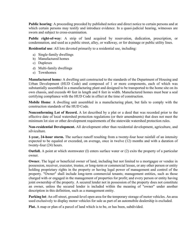**Public hearing**: A proceeding preceded by published notice and direct notice to certain persons and at which certain persons may testify and introduce evidence. In a quasi-judicial hearing, witnesses are sworn and subject to cross-examination.

**Public right-of-way**: A strip of land acquired by reservation, dedication, prescription, or condemnation, and used as a public street, alley, or walkway, or for drainage or public utility lines.

**Residential use**: All lots devoted primarily to a residential use, including:

- a) Single-family dwellings
- b) Manufactured homes
- c) Duplexes
- d) Multi-family dwellings
- e) Townhomes

**Manufactured home***:* A dwelling unit constructed to the standards of the Department of Housing and Urban Development (HUD Code) and composed of 1 or more components, each of which was substantially assembled in a manufacturing plant and designed to be transported to the home site on its own chassis, and exceeds 40 feet in length and 8 feet in width. Manufactured homes must bear a seal certifying compliance with the HUD Code in effect at the time of construction.

**Mobile Home**: A dwelling unit assembled in a manufacturing plant, but fails to comply with the construction standards of the HUD Code.

**Nonconforming Lot of Record.** A lot described by a plat or a deed that was recorded prior to the effective date of local watershed protection regulations (or their amendments) that does not meet the minimum lot size or other development requirements of the statewide watershed protection rules.

**Non-residential Development.** All development other than residential development, agriculture, and silviculture.

**1-year, 24-hour storm.** The surface runoff resulting from a twenty-four hour rainfall of an intensity expected to be equaled or exceeded, on average, once in twelve (12) months and with a duration of twenty-four (24) hours.

**Outfall.** A point at which stormwater (I) enters surface water or (2) exits the property of a particular owner.

**Owner.** The legal or beneficial owner of land, including but not limited to a mortgagee or vendee in possession, receiver, executor, trustee, or long-term or commercial lessee, or any other person or entity holding proprietary rights in the property or having legal power of management and control of the property. "Owner" shall include long-term commercial tenants; management entities, such as those charged with or engaged in the management of properties for profit; and every person or entity having joint ownership of the property. A secured lender not in possession of the property does not constitute an owner, unless the secured lender is included within the meaning of "owner" under another description in this definition, such as a management entity.

**Parking lot**: An off-street, ground-level open area for the temporary storage of motor vehicles. An area used exclusively to display motor vehicles for sale as part of an automobile dealership is excluded.

**Plat.** A map or plan of a parcel of land which is to be, or has been, subdivided.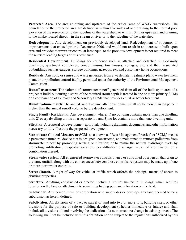**Protected Area.** The area adjoining and upstream of the critical area of WS-IV watersheds. The boundaries of the protected area are defined as within five miles of and draining to the normal pool elevation of the reservoir or to the ridgeline of the watershed; or within 10 miles upstream and draining to the intake located directly in the stream or river or to the ridgeline of the watershed.

**Redevelopment.** Any development on previously-developed land. Redevelopment of structures or improvements that existed prior to December 2006, and would not result in an increase in built-upon area and provides stormwater control at least equal to the previous development is not required to meet the nutrient loading targets of this ordinance.

**Residential Development.** Buildings for residence such as attached and detached single-family dwellings, apartment complexes, condominiums, townhouses, cottages, etc. and their associated outbuildings such as garages, storage buildings, gazebos, etc. and customary home occupations.

**Residuals.** Any solid or semi-solid waste generated from a wastewater treatment plant, water treatment plant, or air pollution control facility permitted under the authority of the Environmental Management Commission.

**Runoff treatment**: The volume of stormwater runoff generated from all of the built-upon area of a project at build-out during a storm of the required storm depth is treated in one or more primary SCMs or a combination of Primary and Secondary SCMs that provides equal or better treatment.

**Runoff volume match**: The annual runoff volume after development shall not be more than ten percent higher than the annual runoff volume before development.

**Single Family Residential.** Any development where: 1) no building contains more than one dwelling unit, 2) every dwelling unit is on a separate lot, and 3) no lot contains more than one dwelling unit.

**Site Plan**: A proposal for development approval, including drawings, documents, and other information necessary to fully illustrate the proposed development.

**Stormwater Control Measure or SCM**: also known as "Best Management Practice" or "SCM," means a permanent structural device that is designed, constructed, and maintained to remove pollutants from stormwater runoff by promoting settling or filtration; or to mimic the natural hydrologic cycle by promoting infiltration, evapo-transpiration, post-filtration discharge, reuse of stormwater, or a combination thereof.

**Stormwater system.** All engineered stormwater controls owned or controlled by a person that drain to the same outfall, along with the conveyances between those controls. A system may be made up of one or more stormwater controls.

**Street (Road).** A right-of-way for vehicular traffic which affords the principal means of access to abutting properties.

**Structure.** Anything constructed or erected, including but not limited to buildings, which requires location on the land or attachment to something having permanent location on the land.

**Subdivider.** Any person, firm, or corporation who subdivides or develops any land deemed to be a subdivision as herein defined.

**Subdivision.** All divisions of a tract or parcel of land into two or more lots, building sites, or other divisions for the purpose of sale or building development (whether immediate or future) and shall include all divisions of land involving the dedication of a new street or a change in existing streets. The following shall not be included with this definition nor be subject to the regulations authorized by this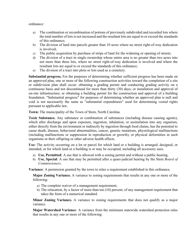ordinance:

- a) The combination or recombination of potions of previously subdivided and recorded lots where the total number of lots is not increased and the resultant lots are equal to or exceed the standards of this ordinance;
- b) The division of land into parcels greater than 10 acres where no street right-of-way dedication is involved;
- c) The public acquisition by purchase of strips of land for the widening or opening of streets;
- d) The division of a tract in single ownership whose entire area is no greater than two acres into not more than three lots, where no street right-of-way dedication is involved and where the resultant lots are equal to or exceed the standards of this ordinance;
- e) The division of a tract into plots or lots used as a cemetery.

**Substantial progress.** For the purposes of determining whether sufficient progress has been made on an approved plan, one or more of the following construction activities toward the completion of a site or subdivision plan shall occur: obtaining a grading permit and conducting grading activity on a continuous basis and not discontinued for more than thirty (30) days; or installation and approval of on-site infrastructure; or obtaining a building permit for the construction and approval of a building foundation. "Substantial progress" for purposes of determining whether an approved plan is null and void is not necessarily the same as "substantial expenditures" used for determining vested rights pursuant to applicable law.

**Town:** The municipality of the Town of Stem, North Carolina.

**Toxic Substance.** Any substance or combination of substances (including disease causing agents), which after discharge and upon exposure, ingestion, inhalation, or assimilation into any organism, either directly from the environment or indirectly by ingestion through food chains, has the potential to cause death, disease, behavioral abnormalities, cancer, genetic mutations, physiological malfunctions (including malfunctions or suppression in reproduction or growth), or physical deformities in such organisms or their offspring or other adverse health effects.

**Use:** The activity occurring on a lot or parcel for which land or a building is arranged, designed, or intended, or for which land or a building is or may be occupied, including all accessory uses.

- a) **Use, Permitted**: A use that is allowed with a zoning permit and without a public hearing.
- b) **Use, Special**: A use that may be permitted after a quasi-judicial hearing by the Stem *Board of Commissioners*.

**Variance**: A permission granted by the town to relax a requirement established in this ordinance.

**Major Zoning Variance.** A variance to zoning requirements that results in any one or more of the following:

- a) The complete waiver of a management requirement;
- b) The relaxation, by a factor of more than ten (10) percent, of any management requirement that takes the form of a numerical standard.

**Minor Zoning Variance.** A variance to zoning requirements that does not qualify as a major variance.

**Major Watershed Variance***:* A variance from the minimum statewide watershed protection rules that results in any one or more of the following: